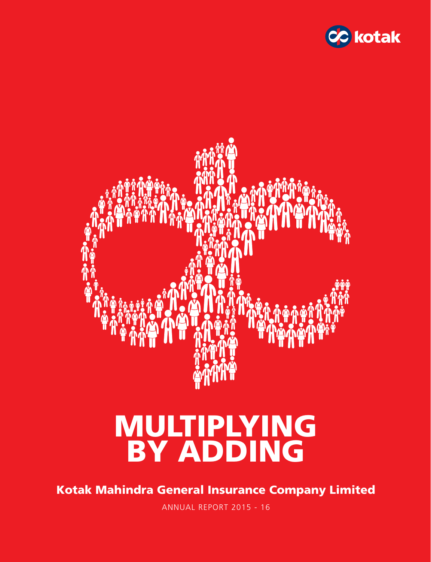



# MULTIPLYING BY ADDING

Kotak Mahindra General Insurance Company Limited

ANNUAL REPORT 2015 - 16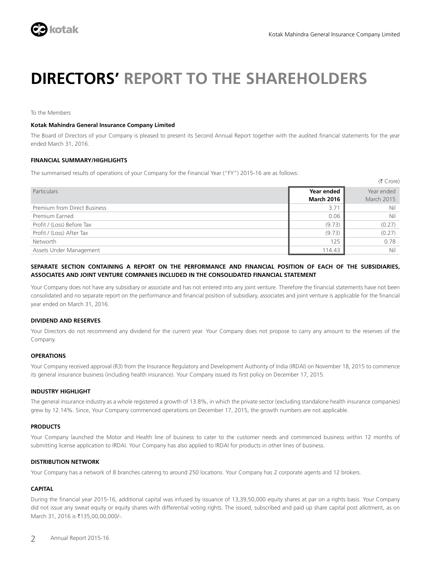

## **DIRECTORS' REPORT TO THE SHAREHOLDERS**

To the Members

### **Kotak Mahindra General Insurance Company Limited**

The Board of Directors of your Company is pleased to present its Second Annual Report together with the audited financial statements for the year ended March 31, 2016.

### **FINANCIAL SUMMARY/HIGHLIGHTS**

The summarised results of operations of your Company for the Financial Year ("FY") 2015-16 are as follows:

|                              |                   | $(5$ Crore) |
|------------------------------|-------------------|-------------|
| Particulars                  | Year ended        | Year ended  |
|                              | <b>March 2016</b> | March 2015  |
| Premium from Direct Business | 3.71              | Nil         |
| Premium Earned               | 0.06              | Nil         |
| Profit / (Loss) Before Tax   | (9.73)            | (0.27)      |
| Profit / (Loss) After Tax    | (9.73)            | (0.27)      |
| Networth                     | 125               | 0.78        |
| Assets Under Management      | 114.43            | Nil         |

### **SEPARATE SECTION CONTAINING A REPORT ON THE PERFORMANCE AND FINANCIAL POSITION OF EACH OF THE SUBSIDIARIES, ASSOCIATES AND JOINT VENTURE COMPANIES INCLUDED IN THE CONSOLIDATED FINANCIAL STATEMENT**

Your Company does not have any subsidiary or associate and has not entered into any joint venture. Therefore the financial statements have not been consolidated and no separate report on the performance and financial position of subsidiary, associates and joint venture is applicable for the financial year ended on March 31, 2016.

### **DIVIDEND AND RESERVES**

Your Directors do not recommend any dividend for the current year. Your Company does not propose to carry any amount to the reserves of the Company.

### **OPERATIONS**

Your Company received approval (R3) from the Insurance Regulatory and Development Authority of India (IRDAI) on November 18, 2015 to commence its general insurance business (including health insurance). Your Company issued its first policy on December 17, 2015.

### **INDUSTRY HIGHLIGHT**

The general insurance industry as a whole registered a growth of 13.8%, in which the private sector (excluding standalone health insurance companies) grew by 12.14%. Since, Your Company commenced operations on December 17, 2015, the growth numbers are not applicable.

### **PRODUCTS**

Your Company launched the Motor and Health line of business to cater to the customer needs and commenced business within 12 months of submitting license application to IRDAI. Your Company has also applied to IRDAI for products in other lines of business.

### **DISTRIBUTION NETWORK**

Your Company has a network of 8 branches catering to around 250 locations. Your Company has 2 corporate agents and 12 brokers.

### **CAPITAL**

During the financial year 2015-16, additional capital was infused by issuance of 13,39,50,000 equity shares at par on a rights basis. Your Company did not issue any sweat equity or equity shares with differential voting rights. The issued, subscribed and paid up share capital post allotment, as on March 31, 2016 is ₹135,00,00,000/-.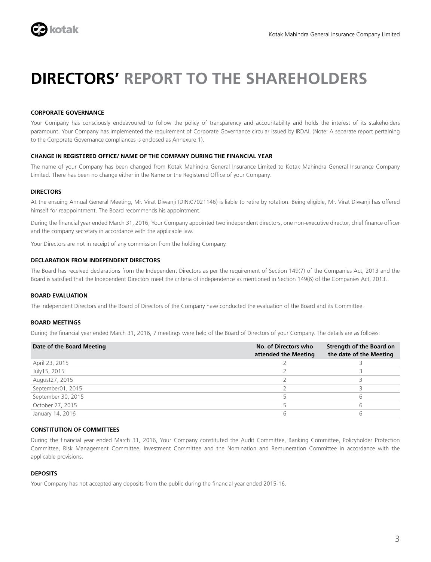

## **DIRECTORS' REPORT TO THE SHAREHOLDERS**

### **CORPORATE GOVERNANCE**

Your Company has consciously endeavoured to follow the policy of transparency and accountability and holds the interest of its stakeholders paramount. Your Company has implemented the requirement of Corporate Governance circular issued by IRDAI. (Note: A separate report pertaining to the Corporate Governance compliances is enclosed as Annexure 1).

### **CHANGE IN REGISTERED OFFICE/ NAME OF THE COMPANY DURING THE FINANCIAL YEAR**

The name of your Company has been changed from Kotak Mahindra General Insurance Limited to Kotak Mahindra General Insurance Company Limited. There has been no change either in the Name or the Registered Office of your Company.

### **DIRECTORS**

At the ensuing Annual General Meeting, Mr. Virat Diwanji (DIN:07021146) is liable to retire by rotation. Being eligible, Mr. Virat Diwanji has offered himself for reappointment. The Board recommends his appointment.

During the financial year ended March 31, 2016, Your Company appointed two independent directors, one non-executive director, chief finance officer and the company secretary in accordance with the applicable law.

Your Directors are not in receipt of any commission from the holding Company.

### **DECLARATION FROM INDEPENDENT DIRECTORS**

The Board has received declarations from the Independent Directors as per the requirement of Section 149(7) of the Companies Act, 2013 and the Board is satisfied that the Independent Directors meet the criteria of independence as mentioned in Section 149(6) of the Companies Act, 2013.

### **BOARD EVALUATION**

The Independent Directors and the Board of Directors of the Company have conducted the evaluation of the Board and its Committee.

### **BOARD MEETINGS**

During the financial year ended March 31, 2016, 7 meetings were held of the Board of Directors of your Company. The details are as follows:

| Date of the Board Meeting | No. of Directors who<br>attended the Meeting | Strength of the Board on<br>the date of the Meeting |
|---------------------------|----------------------------------------------|-----------------------------------------------------|
| April 23, 2015            |                                              |                                                     |
| July 15, 2015             |                                              |                                                     |
| August27, 2015            |                                              |                                                     |
| September01, 2015         |                                              |                                                     |
| September 30, 2015        |                                              | b                                                   |
| October 27, 2015          |                                              | h                                                   |
| January 14, 2016          |                                              |                                                     |

### **CONSTITUTION OF COMMITTEES**

During the financial year ended March 31, 2016, Your Company constituted the Audit Committee, Banking Committee, Policyholder Protection Committee, Risk Management Committee, Investment Committee and the Nomination and Remuneration Committee in accordance with the applicable provisions.

### **DEPOSITS**

Your Company has not accepted any deposits from the public during the financial year ended 2015-16.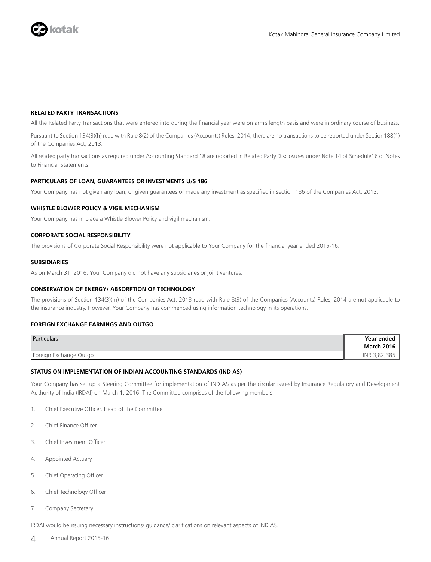

### **RELATED PARTY TRANSACTIONS**

All the Related Party Transactions that were entered into during the financial year were on arm's length basis and were in ordinary course of business.

Pursuant to Section 134(3)(h) read with Rule 8(2) of the Companies (Accounts) Rules, 2014, there are no transactions to be reported under Section188(1) of the Companies Act, 2013.

All related party transactions as required under Accounting Standard 18 are reported in Related Party Disclosures under Note 14 of Schedule16 of Notes to Financial Statements.

### **PARTICULARS OF LOAN, GUARANTEES OR INVESTMENTS U/S 186**

Your Company has not given any loan, or given guarantees or made any investment as specified in section 186 of the Companies Act, 2013.

### **WHISTLE BLOWER POLICY & VIGIL MECHANISM**

Your Company has in place a Whistle Blower Policy and vigil mechanism.

### **CORPORATE SOCIAL RESPONSIBILITY**

The provisions of Corporate Social Responsibility were not applicable to Your Company for the financial year ended 2015-16.

### **SUBSIDIARIES**

As on March 31, 2016, Your Company did not have any subsidiaries or joint ventures.

### **CONSERVATION OF ENERGY/ ABSORPTION OF TECHNOLOGY**

The provisions of Section 134(3)(m) of the Companies Act, 2013 read with Rule 8(3) of the Companies (Accounts) Rules, 2014 are not applicable to the insurance industry. However, Your Company has commenced using information technology in its operations.

### **FOREIGN EXCHANGE EARNINGS AND OUTGO**

| Particulars            | Year ended        |
|------------------------|-------------------|
|                        | <b>March 2016</b> |
| Foreign Exchange Outgo | INR 3,82,385      |

### **STATUS ON IMPLEMENTATION OF INDIAN ACCOUNTING STANDARDS (IND AS)**

Your Company has set up a Steering Committee for implementation of IND AS as per the circular issued by Insurance Regulatory and Development Authority of India (IRDAI) on March 1, 2016. The Committee comprises of the following members:

- 1. Chief Executive Officer, Head of the Committee
- 2. Chief Finance Officer
- 3. Chief Investment Officer
- 4. Appointed Actuary
- 5. Chief Operating Officer
- 6. Chief Technology Officer
- 7. Company Secretary

IRDAI would be issuing necessary instructions/ guidance/ clarifications on relevant aspects of IND AS.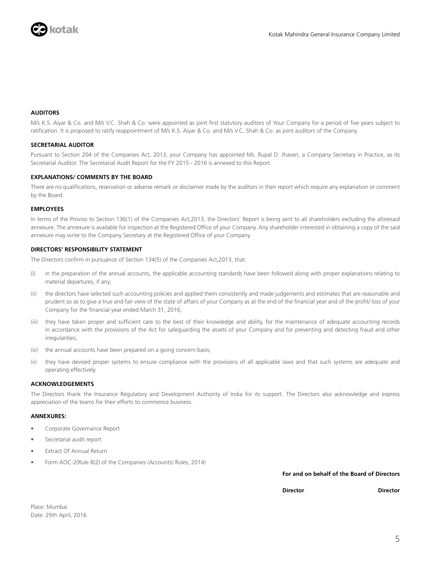

### **AUDITORS**

M/s K.S. Aiyar & Co. and M/s V.C. Shah & Co. were appointed as joint first statutory auditors of Your Company for a period of five years subject to ratification. It is proposed to ratify reappointment of M/s K.S. Aiyar & Co. and M/s V.C. Shah & Co. as joint auditors of the Company.

### **SECRETARIAL AUDITOR**

Pursuant to Section 204 of the Companies Act, 2013, your Company has appointed Ms. Rupal D. Jhaveri, a Company Secretary in Practice, as its Secretarial Auditor. The Secretarial Audit Report for the FY 2015 - 2016 is annexed to this Report.

### **EXPLANATIONS/ COMMENTS BY THE BOARD**

There are no qualifications, reservation or adverse remark or disclaimer made by the auditors in their report which require any explanation or comment by the Board.

#### **EMPLOYEES**

In terms of the Proviso to Section 136(1) of the Companies Act,2013, the Directors' Report is being sent to all shareholders excluding the aforesaid annexure. The annexure is available for inspection at the Registered Office of your Company. Any shareholder interested in obtaining a copy of the said annexure may write to the Company Secretary at the Registered Office of your Company.

### **DIRECTORS' RESPONSIBILITY STATEMENT**

The Directors confirm in pursuance of Section 134(5) of the Companies Act,2013, that:

- (i) in the preparation of the annual accounts, the applicable accounting standards have been followed along with proper explanations relating to material departures, if any;
- (ii) the directors have selected such accounting policies and applied them consistently and made judgements and estimates that are reasonable and prudent so as to give a true and fair view of the state of affairs of your Company as at the end of the financial year and of the profit/ loss of your Company for the financial year ended March 31, 2016;
- (iii) they have taken proper and sufficient care to the best of their knowledge and ability, for the maintenance of adequate accounting records in accordance with the provisions of the Act for safeguarding the assets of your Company and for preventing and detecting fraud and other irregularities;
- (iv) the annual accounts have been prepared on a going concern basis;
- (v) they have devised proper systems to ensure compliance with the provisions of all applicable laws and that such systems are adequate and operating effectively.

### **ACKNOWLEDGEMENTS**

The Directors thank the Insurance Regulatory and Development Authority of India for its support. The Directors also acknowledge and express appreciation of the teams for their efforts to commence business.

### **ANNEXURES:**

- Corporate Governance Report
- Secretarial audit report
- **Extract Of Annual Return**
- Form AOC-2(Rule 8(2) of the Companies (Accounts) Rules, 2014)

**For and on behalf of the Board of Directors**

 **Director Director**

Place: Mumbai Date: 29th April, 2016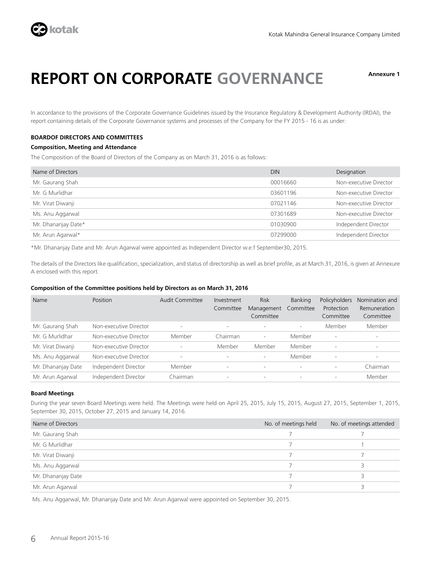

## **REPORT ON CORPORATE GOVERNANCE Annexure 1**

In accordance to the provisions of the Corporate Governance Guidelines issued by the Insurance Regulatory & Development Authority (IRDAI), the report containing details of the Corporate Governance systems and processes of the Company for the FY 2015 - 16 is as under:

### **BOARDOF DIRECTORS AND COMMITTEES**

### **Composition, Meeting and Attendance**

The Composition of the Board of Directors of the Company as on March 31, 2016 is as follows:

| Name of Directors   | <b>DIN</b> | Designation            |
|---------------------|------------|------------------------|
| Mr. Gaurang Shah    | 00016660   | Non-executive Director |
| Mr. G Murlidhar     | 03601196   | Non-executive Director |
| Mr. Virat Diwanji   | 07021146   | Non-executive Director |
| Ms. Anu Aggarwal    | 07301689   | Non-executive Director |
| Mr. Dhananjay Date* | 01030900   | Independent Director   |
| Mr. Arun Agarwal*   | 07299000   | Independent Director   |
|                     |            |                        |

\*Mr. Dhananjay Date and Mr. Arun Agarwal were appointed as Independent Director w.e.f September30, 2015.

The details of the Directors like qualification, specialization, and status of directorship as well as brief profile, as at March 31, 2016, is given at Annexure A enclosed with this report.

### **Composition of the Committee positions held by Directors as on March 31, 2016**

| Name               | Position               | <b>Audit Committee</b>   | Investment<br>Committee | <b>Risk</b><br>Management<br>Committee | <b>Banking</b><br>Committee | Policyholders<br>Protection<br>Committee | Nomination and<br>Remuneration<br>Committee |
|--------------------|------------------------|--------------------------|-------------------------|----------------------------------------|-----------------------------|------------------------------------------|---------------------------------------------|
| Mr. Gaurang Shah   | Non-executive Director | $\overline{\phantom{a}}$ |                         | $\overline{\phantom{a}}$               | $\overline{\phantom{a}}$    | Member                                   | Member                                      |
| Mr. G Murlidhar    | Non-executive Director | Member                   | Chairman                | $\overline{\phantom{a}}$               | Member                      | $\overline{\phantom{a}}$                 |                                             |
| Mr. Virat Diwanji  | Non-executive Director | $\overline{\phantom{a}}$ | Member                  | Member                                 | Member                      | $\overline{\phantom{a}}$                 | $\sim$                                      |
| Ms. Anu Aggarwal   | Non-executive Director | $\overline{\phantom{a}}$ |                         | $\sim$                                 | Member                      |                                          |                                             |
| Mr. Dhananjay Date | Independent Director   | Member                   | $\sim$                  | $\overline{\phantom{a}}$               | $\overline{\phantom{a}}$    | $\overline{\phantom{a}}$                 | Chairman                                    |
| Mr. Arun Agarwal   | Independent Director   | Chairman                 |                         | $\overline{\phantom{a}}$               | $\overline{\phantom{a}}$    |                                          | Member                                      |

### **Board Meetings**

During the year seven Board Meetings were held. The Meetings were held on April 25, 2015, July 15, 2015, August 27, 2015, September 1, 2015, September 30, 2015, October 27, 2015 and January 14, 2016.

| Name of Directors  | No. of meetings held | No. of meetings attended |
|--------------------|----------------------|--------------------------|
| Mr. Gaurang Shah   |                      |                          |
| Mr. G Murlidhar    |                      |                          |
| Mr. Virat Diwanji  |                      |                          |
| Ms. Anu Aggarwal   |                      |                          |
| Mr. Dhananjay Date |                      |                          |
| Mr. Arun Agarwal   |                      |                          |

Ms. Anu Aggarwal, Mr. Dhananjay Date and Mr. Arun Agarwal were appointed on September 30, 2015.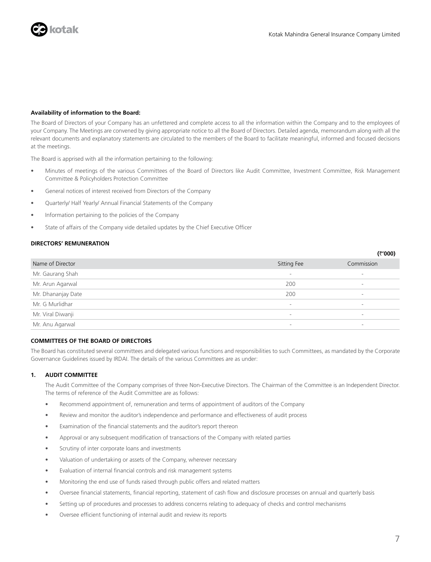

### **Availability of information to the Board:**

The Board of Directors of your Company has an unfettered and complete access to all the information within the Company and to the employees of your Company. The Meetings are convened by giving appropriate notice to all the Board of Directors. Detailed agenda, memorandum along with all the relevant documents and explanatory statements are circulated to the members of the Board to facilitate meaningful, informed and focused decisions at the meetings.

The Board is apprised with all the information pertaining to the following:

- Minutes of meetings of the various Committees of the Board of Directors like Audit Committee, Investment Committee, Risk Management Committee & Policyholders Protection Committee
- General notices of interest received from Directors of the Company
- Quarterly/ Half Yearly/ Annual Financial Statements of the Company
- Information pertaining to the policies of the Company
- State of affairs of the Company vide detailed updates by the Chief Executive Officer

### **DIRECTORS' REMUNERATION**

|                    |                          | $\sim$ vvv $\prime$      |
|--------------------|--------------------------|--------------------------|
| Name of Director   | Sitting Fee              | Commission               |
| Mr. Gaurang Shah   | $\overline{\phantom{a}}$ | $\sim$                   |
| Mr. Arun Agarwal   | 200                      | $\overline{\phantom{a}}$ |
| Mr. Dhananjay Date | 200                      |                          |
| Mr. G Murlidhar    | $\overline{\phantom{a}}$ | $\overline{\phantom{a}}$ |
| Mr. Viral Diwanji  | -                        | $\overline{\phantom{a}}$ |
| Mr. Anu Agarwal    | -                        | $\overline{\phantom{a}}$ |

### **COMMITTEES OF THE BOARD OF DIRECTORS**

The Board has constituted several committees and delegated various functions and responsibilities to such Committees, as mandated by the Corporate Governance Guidelines issued by IRDAI. The details of the various Committees are as under:

### **1. AUDIT COMMITTEE**

The Audit Committee of the Company comprises of three Non-Executive Directors. The Chairman of the Committee is an Independent Director. The terms of reference of the Audit Committee are as follows:

- Recommend appointment of, remuneration and terms of appointment of auditors of the Company
- Review and monitor the auditor's independence and performance and effectiveness of audit process
- Examination of the financial statements and the auditor's report thereon
- Approval or any subsequent modification of transactions of the Company with related parties
- Scrutiny of inter corporate loans and investments
- Valuation of undertaking or assets of the Company, wherever necessary
- Evaluation of internal financial controls and risk management systems
- Monitoring the end use of funds raised through public offers and related matters
- Oversee financial statements, financial reporting, statement of cash flow and disclosure processes on annual and quarterly basis
- Setting up of procedures and processes to address concerns relating to adequacy of checks and control mechanisms
- Oversee efficient functioning of internal audit and review its reports

**(**`**'000)**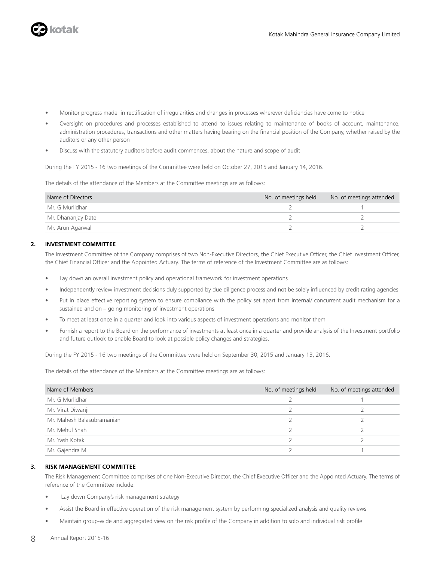

- Monitor progress made in rectification of irregularities and changes in processes wherever deficiencies have come to notice
- Oversight on procedures and processes established to attend to issues relating to maintenance of books of account, maintenance, administration procedures, transactions and other matters having bearing on the financial position of the Company, whether raised by the auditors or any other person
- Discuss with the statutory auditors before audit commences, about the nature and scope of audit

During the FY 2015 - 16 two meetings of the Committee were held on October 27, 2015 and January 14, 2016.

The details of the attendance of the Members at the Committee meetings are as follows:

| Name of Directors  | No. of meetings held | No. of meetings attended |
|--------------------|----------------------|--------------------------|
| Mr. G Murlidhar    |                      |                          |
| Mr. Dhananjay Date |                      |                          |
| Mr. Arun Agarwal   |                      |                          |

### **2. INVESTMENT COMMITTEE**

The Investment Committee of the Company comprises of two Non-Executive Directors, the Chief Executive Officer, the Chief Investment Officer, the Chief Financial Officer and the Appointed Actuary. The terms of reference of the Investment Committee are as follows:

- Lay down an overall investment policy and operational framework for investment operations
- Independently review investment decisions duly supported by due diligence process and not be solely influenced by credit rating agencies
- Put in place effective reporting system to ensure compliance with the policy set apart from internal/ concurrent audit mechanism for a sustained and on – going monitoring of investment operations
- To meet at least once in a quarter and look into various aspects of investment operations and monitor them
- Furnish a report to the Board on the performance of investments at least once in a quarter and provide analysis of the Investment portfolio and future outlook to enable Board to look at possible policy changes and strategies.

During the FY 2015 - 16 two meetings of the Committee were held on September 30, 2015 and January 13, 2016.

The details of the attendance of the Members at the Committee meetings are as follows:

| Name of Members            | No. of meetings held | No. of meetings attended |
|----------------------------|----------------------|--------------------------|
| Mr. G Murlidhar            |                      |                          |
| Mr. Virat Diwanji          |                      |                          |
| Mr. Mahesh Balasubramanian |                      |                          |
| Mr. Mehul Shah             |                      |                          |
| Mr. Yash Kotak             |                      |                          |
| Mr. Gajendra M             |                      |                          |

### **3. RISK MANAGEMENT COMMITTEE**

The Risk Management Committee comprises of one Non-Executive Director, the Chief Executive Officer and the Appointed Actuary. The terms of reference of the Committee include:

- Lay down Company's risk management strategy
- Assist the Board in effective operation of the risk management system by performing specialized analysis and quality reviews
- Maintain group-wide and aggregated view on the risk profile of the Company in addition to solo and individual risk profile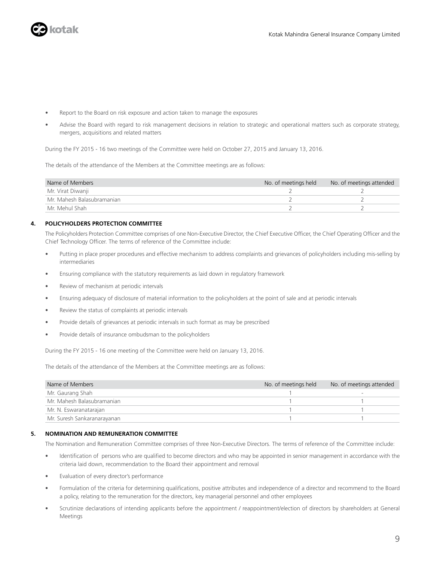

- Report to the Board on risk exposure and action taken to manage the exposures
- Advise the Board with regard to risk management decisions in relation to strategic and operational matters such as corporate strategy, mergers, acquisitions and related matters

During the FY 2015 - 16 two meetings of the Committee were held on October 27, 2015 and January 13, 2016.

The details of the attendance of the Members at the Committee meetings are as follows:

| Name of Members            | No. of meetings held | No. of meetings attended |
|----------------------------|----------------------|--------------------------|
| Mr. Virat Diwanji          |                      |                          |
| Mr. Mahesh Balasubramanian |                      |                          |
| Mr. Mehul Shah             |                      |                          |

### **4. POLICYHOLDERS PROTECTION COMMITTEE**

The Policyholders Protection Committee comprises of one Non-Executive Director, the Chief Executive Officer, the Chief Operating Officer and the Chief Technology Officer. The terms of reference of the Committee include:

- Putting in place proper procedures and effective mechanism to address complaints and grievances of policyholders including mis-selling by intermediaries
- Ensuring compliance with the statutory requirements as laid down in regulatory framework
- Review of mechanism at periodic intervals
- Ensuring adequacy of disclosure of material information to the policyholders at the point of sale and at periodic intervals
- Review the status of complaints at periodic intervals
- Provide details of grievances at periodic intervals in such format as may be prescribed
- Provide details of insurance ombudsman to the policyholders

During the FY 2015 - 16 one meeting of the Committee were held on January 13, 2016.

The details of the attendance of the Members at the Committee meetings are as follows:

| Name of Members             | No. of meetings held | No. of meetings attended |
|-----------------------------|----------------------|--------------------------|
| Mr. Gaurang Shah            |                      |                          |
| Mr. Mahesh Balasubramanian  |                      |                          |
| Mr. N. Eswaranatarajan      |                      |                          |
| Mr. Suresh Sankaranarayanan |                      |                          |

### **5. NOMINATION AND REMUNERATION COMMITTEE**

The Nomination and Remuneration Committee comprises of three Non-Executive Directors. The terms of reference of the Committee include:

- Identification of persons who are qualified to become directors and who may be appointed in senior management in accordance with the criteria laid down, recommendation to the Board their appointment and removal
- Evaluation of every director's performance
- Formulation of the criteria for determining qualifications, positive attributes and independence of a director and recommend to the Board a policy, relating to the remuneration for the directors, key managerial personnel and other employees
- Scrutinize declarations of intending applicants before the appointment / reappointment/election of directors by shareholders at General Meetings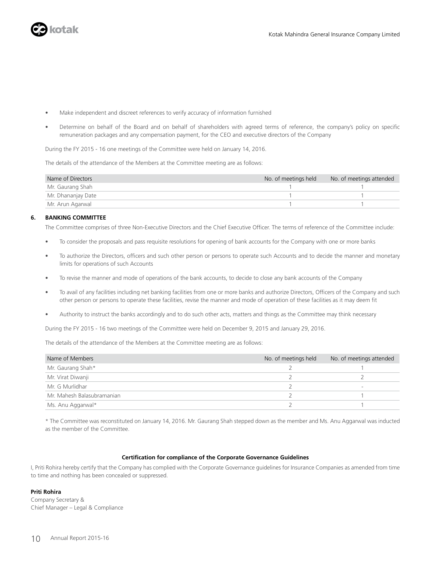

- Make independent and discreet references to verify accuracy of information furnished
- Determine on behalf of the Board and on behalf of shareholders with agreed terms of reference, the company's policy on specific remuneration packages and any compensation payment, for the CEO and executive directors of the Company

During the FY 2015 - 16 one meetings of the Committee were held on January 14, 2016.

The details of the attendance of the Members at the Committee meeting are as follows:

| Name of Directors  | No. of meetings held | No. of meetings attended |
|--------------------|----------------------|--------------------------|
| Mr. Gaurang Shah   |                      |                          |
| Mr. Dhananjay Date |                      |                          |
| Mr. Arun Agarwal   |                      |                          |

### **6. BANKING COMMITTEE**

The Committee comprises of three Non-Executive Directors and the Chief Executive Officer. The terms of reference of the Committee include:

- To consider the proposals and pass requisite resolutions for opening of bank accounts for the Company with one or more banks
- To authorize the Directors, officers and such other person or persons to operate such Accounts and to decide the manner and monetary limits for operations of such Accounts
- To revise the manner and mode of operations of the bank accounts, to decide to close any bank accounts of the Company
- To avail of any facilities including net banking facilities from one or more banks and authorize Directors, Officers of the Company and such other person or persons to operate these facilities, revise the manner and mode of operation of these facilities as it may deem fit
- Authority to instruct the banks accordingly and to do such other acts, matters and things as the Committee may think necessary

During the FY 2015 - 16 two meetings of the Committee were held on December 9, 2015 and January 29, 2016.

The details of the attendance of the Members at the Committee meeting are as follows:

| Name of Members            | No. of meetings held | No. of meetings attended |
|----------------------------|----------------------|--------------------------|
| Mr. Gaurang Shah*          |                      |                          |
| Mr. Virat Diwanji          |                      |                          |
| Mr. G Murlidhar            |                      |                          |
| Mr. Mahesh Balasubramanian |                      |                          |
| Ms. Anu Aggarwal*          |                      |                          |

\* The Committee was reconstituted on January 14, 2016. Mr. Gaurang Shah stepped down as the member and Ms. Anu Aggarwal was inducted as the member of the Committee.

#### **Certification for compliance of the Corporate Governance Guidelines**

I, Priti Rohira hereby certify that the Company has complied with the Corporate Governance guidelines for Insurance Companies as amended from time to time and nothing has been concealed or suppressed.

#### **Priti Rohira**

Company Secretary & Chief Manager – Legal & Compliance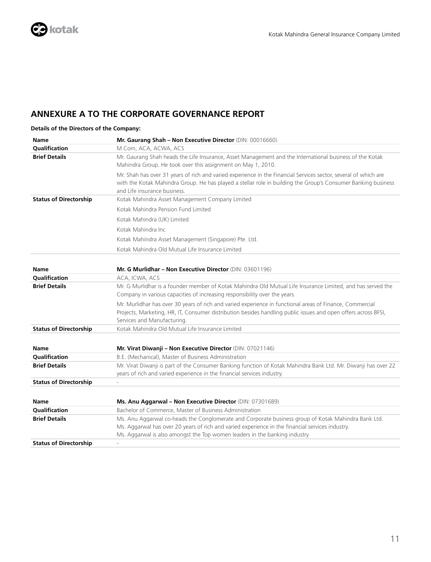### **ANNEXURE A TO THE CORPORATE GOVERNANCE REPORT**

### **Details of the Directors of the Company:**

| <b>Name</b>                   | Mr. Gaurang Shah - Non Executive Director (DIN: 00016660)                                                                                                                                                                                                                             |
|-------------------------------|---------------------------------------------------------------------------------------------------------------------------------------------------------------------------------------------------------------------------------------------------------------------------------------|
| Qualification                 | M.Com, ACA, ACWA, ACS                                                                                                                                                                                                                                                                 |
| <b>Brief Details</b>          | Mr. Gaurang Shah heads the Life Insurance, Asset Management and the International business of the Kotak<br>Mahindra Group. He took over this assignment on May 1, 2010.                                                                                                               |
|                               | Mr. Shah has over 31 years of rich and varied experience in the Financial Services sector, several of which are<br>with the Kotak Mahindra Group. He has played a stellar role in building the Group's Consumer Banking business<br>and Life insurance business.                      |
| <b>Status of Directorship</b> | Kotak Mahindra Asset Management Company Limited                                                                                                                                                                                                                                       |
|                               | Kotak Mahindra Pension Fund Limited                                                                                                                                                                                                                                                   |
|                               | Kotak Mahindra (UK) Limited                                                                                                                                                                                                                                                           |
|                               | Kotak Mahindra Inc                                                                                                                                                                                                                                                                    |
|                               | Kotak Mahindra Asset Management (Singapore) Pte. Ltd.                                                                                                                                                                                                                                 |
|                               | Kotak Mahindra Old Mutual Life Insurance Limited                                                                                                                                                                                                                                      |
| <b>Name</b>                   | Mr. G Murlidhar - Non Executive Director (DIN: 03601196)                                                                                                                                                                                                                              |
| <b>Qualification</b>          | ACA, ICWA, ACS                                                                                                                                                                                                                                                                        |
| <b>Brief Details</b>          | Mr. G Murlidhar is a founder member of Kotak Mahindra Old Mutual Life Insurance Limited, and has served the<br>Company in various capacities of increasing responsibility over the years.                                                                                             |
|                               | Mr. Murlidhar has over 30 years of rich and varied experience in functional areas of Finance, Commercial<br>Projects, Marketing, HR, IT, Consumer distribution besides handling public issues and open offers across BFSI,<br>Services and Manufacturing.                             |
| <b>Status of Directorship</b> | Kotak Mahindra Old Mutual Life Insurance Limited                                                                                                                                                                                                                                      |
| <b>Name</b>                   | Mr. Virat Diwanji - Non Executive Director (DIN: 07021146)                                                                                                                                                                                                                            |
| <b>Oualification</b>          | B.E. (Mechanical), Master of Business Administration                                                                                                                                                                                                                                  |
| <b>Brief Details</b>          | Mr. Virat Diwanji is part of the Consumer Banking function of Kotak Mahindra Bank Ltd. Mr. Diwanji has over 22<br>years of rich and varied experience in the financial services industry.                                                                                             |
| <b>Status of Directorship</b> |                                                                                                                                                                                                                                                                                       |
| <b>Name</b>                   | Ms. Anu Aggarwal - Non Executive Director (DIN: 07301689)                                                                                                                                                                                                                             |
| Qualification                 | Bachelor of Commerce, Master of Business Administration                                                                                                                                                                                                                               |
| <b>Brief Details</b>          | Ms. Anu Aggarwal co-heads the Conglomerate and Corporate business group of Kotak Mahindra Bank Ltd.<br>Ms. Aggarwal has over 20 years of rich and varied experience in the financial services industry.<br>Ms. Aggarwal is also amongst the Top women leaders in the banking industry |
| <b>Status of Directorship</b> |                                                                                                                                                                                                                                                                                       |
|                               |                                                                                                                                                                                                                                                                                       |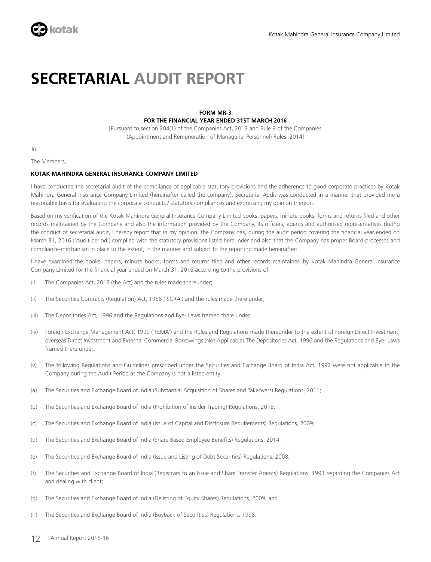

## **SECRETARIAL AUDIT REPORT**

### **FORM MR-3 FOR THE FINANCIAL YEAR ENDED 31ST MARCH 2016**

[Pursuant to section 204(1) of the Companies Act, 2013 and Rule 9 of the Companies (Appointment and Remuneration of Managerial Personnel) Rules, 2014]

To,

The Members,

### **KOTAK MAHINDRA GENERAL INSURANCE COMPANY LIMITED**

I have conducted the secretarial audit of the compliance of applicable statutory provisions and the adherence to good corporate practices by Kotak Mahindra General Insurance Company Limited (hereinafter called the company). Secretarial Audit was conducted in a manner that provided me a reasonable basis for evaluating the corporate conducts / statutory compliances and expressing my opinion thereon.

Based on my verification of the Kotak Mahindra General Insurance Company Limited books, papers, minute books, forms and returns filed and other records maintained by the Company and also the information provided by the Company, its officers, agents and authorised representatives during the conduct of secretarial audit, I hereby report that in my opinion, the Company has, during the audit period covering the financial year ended on March 31, 2016 ('Audit period') complied with the statutory provisions listed hereunder and also that the Company has proper Board-processes and compliance-mechanism in place to the extent, in the manner and subject to the reporting made hereinafter:

I have examined the books, papers, minute books, forms and returns filed and other records maintained by Kotak Mahindra General Insurance Company Limited for the financial year ended on March 31, 2016 according to the provisions of:

- (i) The Companies Act, 2013 (the Act) and the rules made thereunder;
- (ii) The Securities Contracts (Regulation) Act, 1956 ('SCRA') and the rules made there under;
- (iii) The Depositories Act, 1996 and the Regulations and Bye- Laws framed there under;
- (iv) Foreign Exchange Management Act, 1999 ('FEMA') and the Rules and Regulations made thereunder to the extent of Foreign Direct Investment, overseas Direct Investment and External Commercial Borrowings (Not Applicable);The Depositories Act, 1996 and the Regulations and Bye- Laws framed there under;
- (v) The following Regulations and Guidelines prescribed under the Securities and Exchange Board of India Act, 1992 were not applicable to the Company during the Audit Period as the Company is not a listed entity:
- (a) The Securities and Exchange Board of India (Substantial Acquisition of Shares and Takeovers) Regulations, 2011;
- (b) The Securities and Exchange Board of India (Prohibition of Insider Trading) Regulations, 2015;
- (c) The Securities and Exchange Board of India (Issue of Capital and Disclosure Requirements) Regulations, 2009;
- (d) The Securities and Exchange Board of India (Share Based Employee Benefits) Regulations, 2014.
- (e) The Securities and Exchange Board of India (Issue and Listing of Debt Securities) Regulations, 2008;
- (f) The Securities and Exchange Board of India (Registrars to an Issue and Share Transfer Agents) Regulations, 1993 regarding the Companies Act and dealing with client;
- (g) The Securities and Exchange Board of India (Delisting of Equity Shares) Regulations, 2009; and
- (h) The Securities and Exchange Board of India (Buyback of Securities) Regulations, 1998.
- 12 Annual Report 2015-16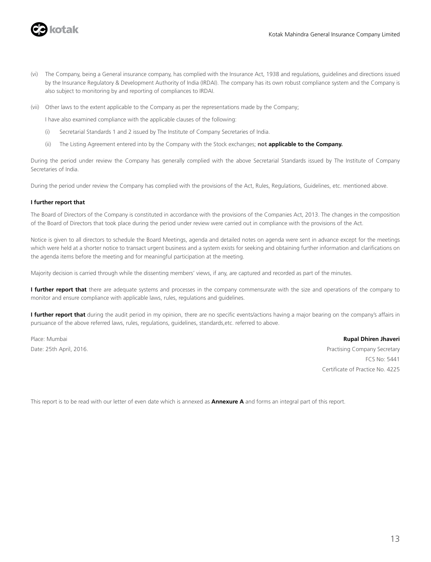

- (vi) The Company, being a General insurance company, has complied with the Insurance Act, 1938 and regulations, guidelines and directions issued by the Insurance Regulatory & Development Authority of India (IRDAI). The company has its own robust compliance system and the Company is also subject to monitoring by and reporting of compliances to IRDAI.
- (vii) Other laws to the extent applicable to the Company as per the representations made by the Company;

I have also examined compliance with the applicable clauses of the following:

- (i) Secretarial Standards 1 and 2 issued by The Institute of Company Secretaries of India.
- (ii) The Listing Agreement entered into by the Company with the Stock exchanges; **not applicable to the Company.**

During the period under review the Company has generally complied with the above Secretarial Standards issued by The Institute of Company Secretaries of India.

During the period under review the Company has complied with the provisions of the Act, Rules, Regulations, Guidelines, etc. mentioned above.

### **I further report that**

The Board of Directors of the Company is constituted in accordance with the provisions of the Companies Act, 2013. The changes in the composition of the Board of Directors that took place during the period under review were carried out in compliance with the provisions of the Act.

Notice is given to all directors to schedule the Board Meetings, agenda and detailed notes on agenda were sent in advance except for the meetings which were held at a shorter notice to transact urgent business and a system exists for seeking and obtaining further information and clarifications on the agenda items before the meeting and for meaningful participation at the meeting.

Majority decision is carried through while the dissenting members' views, if any, are captured and recorded as part of the minutes.

**I further report that** there are adequate systems and processes in the company commensurate with the size and operations of the company to monitor and ensure compliance with applicable laws, rules, regulations and guidelines.

**I further report that** during the audit period in my opinion, there are no specific events/actions having a major bearing on the company's affairs in pursuance of the above referred laws, rules, regulations, guidelines, standards,etc. referred to above.

Place: Mumbai **Rupal Dhiren Jhaveri** Date: 25th April, 2016. Practising Company Secretary

FCS No: 5441 Certificate of Practice No. 4225

This report is to be read with our letter of even date which is annexed as **Annexure A** and forms an integral part of this report.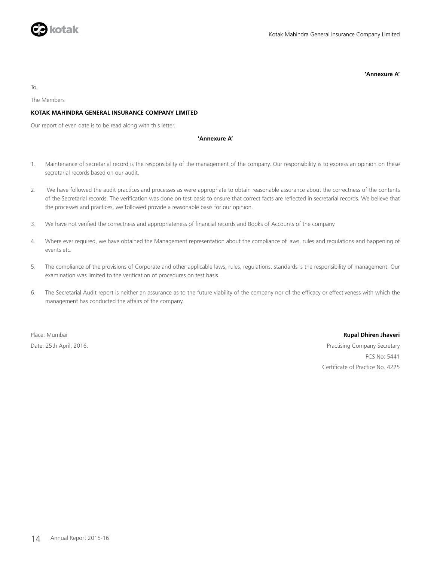

**'Annexure A'**

To,

The Members

### **KOTAK MAHINDRA GENERAL INSURANCE COMPANY LIMITED**

Our report of even date is to be read along with this letter.

### **'Annexure A'**

- 1. Maintenance of secretarial record is the responsibility of the management of the company. Our responsibility is to express an opinion on these secretarial records based on our audit.
- 2. We have followed the audit practices and processes as were appropriate to obtain reasonable assurance about the correctness of the contents of the Secretarial records. The verification was done on test basis to ensure that correct facts are reflected in secretarial records. We believe that the processes and practices, we followed provide a reasonable basis for our opinion.
- 3. We have not verified the correctness and appropriateness of financial records and Books of Accounts of the company.
- 4. Where ever required, we have obtained the Management representation about the compliance of laws, rules and regulations and happening of events etc.
- 5. The compliance of the provisions of Corporate and other applicable laws, rules, regulations, standards is the responsibility of management. Our examination was limited to the verification of procedures on test basis.
- 6. The Secretarial Audit report is neither an assurance as to the future viability of the company nor of the efficacy or effectiveness with which the management has conducted the affairs of the company.

### Place: Mumbai **Rupal Dhiren Jhaveri**

Date: 25th April, 2016. Practising Company Secretary FCS No: 5441 Certificate of Practice No. 4225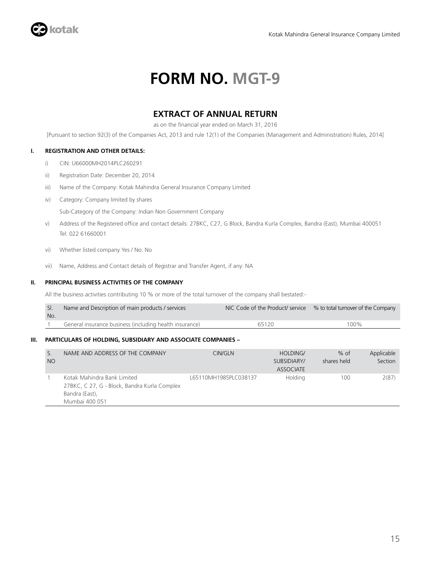

## **FORM NO. MGT-9**

### **EXTRACT OF ANNUAL RETURN**

as on the financial year ended on March 31, 2016

[Pursuant to section 92(3) of the Companies Act, 2013 and rule 12(1) of the Companies (Management and Administration) Rules, 2014]

### **I. REGISTRATION AND OTHER DETAILS:**

- i) CIN: U66000MH2014PLC260291
- ii) Registration Date: December 20, 2014
- iii) Name of the Company: Kotak Mahindra General Insurance Company Limited
- iv) Category: Company limited by shares

Sub-Category of the Company: Indian Non Government Company

- v) Address of the Registered office and contact details: 27BKC, C27, G Block, Bandra Kurla Complex, Bandra (East), Mumbai 400051 Tel: 022 61660001
- vi) Whether listed company Yes / No: No
- vii) Name, Address and Contact details of Registrar and Transfer Agent, if any: NA

### **II. PRINCIPAL BUSINESS ACTIVITIES OF THE COMPANY**

All the business activities contributing 10 % or more of the total turnover of the company shall bestated:-

| No. | Name and Description of main products / services        |       | NIC Code of the Product/ service % to total turnover of the Company |
|-----|---------------------------------------------------------|-------|---------------------------------------------------------------------|
|     | General insurance business (including health insurance) | 65120 | $100\%$                                                             |

### **III. PARTICULARS OF HOLDING, SUBSIDIARY AND ASSOCIATE COMPANIES –**

| S.<br><b>NO</b> | NAME AND ADDRESS OF THE COMPANY                                                                                 | CIN/GLN               | HOLDING/<br>SUBSIDIARY/<br>ASSOCIATE | $%$ of<br>shares held | Applicable<br>Section |
|-----------------|-----------------------------------------------------------------------------------------------------------------|-----------------------|--------------------------------------|-----------------------|-----------------------|
|                 | Kotak Mahindra Bank Limited<br>27BKC, C 27, G - Block, Bandra Kurla Complex<br>Bandra (East),<br>Mumbai 400 051 | L65110MH1985PLC038137 | Holdina                              | 100                   | 2(87)                 |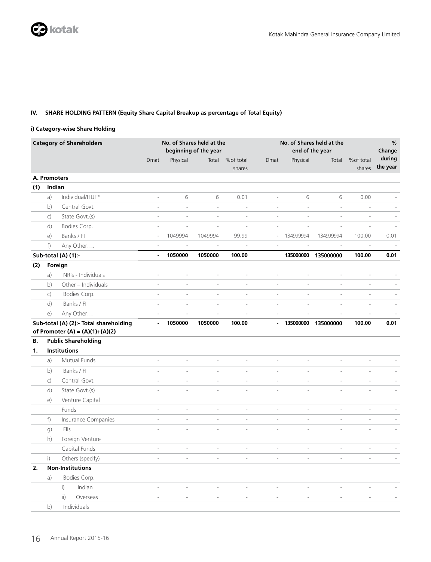### **IV. SHARE HOLDING PATTERN (Equity Share Capital Breakup as percentage of Total Equity)**

### **i) Category-wise Share Holding**

|     |                | <b>Category of Shareholders</b>                                             |                          | No. of Shares held at the | beginning of the year    |                          |                          | end of the year          | No. of Shares held at the |                          | $\%$<br>Change           |
|-----|----------------|-----------------------------------------------------------------------------|--------------------------|---------------------------|--------------------------|--------------------------|--------------------------|--------------------------|---------------------------|--------------------------|--------------------------|
|     |                |                                                                             | Dmat                     | Physical                  | Total                    | %of total<br>shares      | Dmat                     | Physical                 | Total                     | %of total<br>shares      | during<br>the year       |
|     | A. Promoters   |                                                                             |                          |                           |                          |                          |                          |                          |                           |                          |                          |
| (1) | Indian         |                                                                             |                          |                           |                          |                          |                          |                          |                           |                          |                          |
|     | a)             | Individual/HUF*                                                             | $\overline{a}$           | 6                         | 6                        | 0.01                     | ÷,                       | 6                        | 6                         | 0.00                     |                          |
|     | b)             | Central Govt.                                                               | $\overline{a}$           | $\overline{a}$            | $\overline{\phantom{a}}$ | $\overline{\phantom{0}}$ | $\overline{a}$           | $\overline{a}$           | $\frac{1}{2}$             | $\overline{a}$           |                          |
|     | $\mathsf{C}$ ) | State Govt.(s)                                                              | $\overline{\phantom{a}}$ | $\overline{a}$            | $\overline{\phantom{a}}$ | $\overline{\phantom{a}}$ | $\overline{\phantom{a}}$ | $\overline{\phantom{a}}$ | $\overline{a}$            | $\overline{\phantom{a}}$ |                          |
|     | d)             | Bodies Corp.                                                                | $\bar{\phantom{a}}$      | $\bar{a}$                 | $\bar{a}$                | $\bar{a}$                | $\bar{a}$                | $\bar{a}$                | $\frac{1}{2}$             | ÷,                       |                          |
|     | e)             | Banks / Fl                                                                  | $\overline{\phantom{a}}$ | 1049994                   | 1049994                  | 99.99                    | $\overline{\phantom{a}}$ | 134999994                | 134999994                 | 100.00                   | 0.01                     |
|     | f)             | Any Other                                                                   | $\sim$                   | $\overline{\phantom{a}}$  | $\bar{\phantom{a}}$      | $\sim$                   | $\overline{\phantom{a}}$ | ÷,                       | $\bar{a}$                 | $\overline{\phantom{a}}$ |                          |
|     |                | Sub-total (A) (1):-                                                         | $\blacksquare$           | 1050000                   | 1050000                  | 100.00                   |                          | 135000000                | 135000000                 | 100.00                   | 0.01                     |
| (2) |                | Foreign                                                                     |                          |                           |                          |                          |                          |                          |                           |                          |                          |
|     | a)             | NRIs - Individuals                                                          | $\overline{\phantom{a}}$ | $\overline{\phantom{a}}$  | $\overline{\phantom{a}}$ | $\overline{\phantom{a}}$ | $\overline{\phantom{a}}$ | $\overline{\phantom{a}}$ | $\overline{\phantom{a}}$  | $\overline{\phantom{a}}$ |                          |
|     | b)             | Other - Individuals                                                         | $\overline{a}$           | $\overline{a}$            | $\overline{\phantom{a}}$ | $\overline{a}$           | $\overline{a}$           | $\overline{\phantom{a}}$ | $\overline{\phantom{a}}$  | $\overline{\phantom{a}}$ | $\sim$                   |
|     | $\mathsf{C}$ ) | Bodies Corp.                                                                | $\overline{a}$           | L,                        | $\overline{a}$           | $\overline{a}$           | $\overline{a}$           | L,                       | $\frac{1}{2}$             | ÷,                       |                          |
|     | d)             | Banks / Fl                                                                  | $\overline{a}$           | $\overline{a}$            | $\overline{a}$           | $\overline{a}$           | $\overline{a}$           | L,                       |                           | L,                       |                          |
|     | e)             | Any Other                                                                   | $\overline{a}$           | $\overline{a}$            | $\overline{a}$           | $\bar{\phantom{a}}$      | $\overline{a}$           | L.                       |                           | L,                       |                          |
|     |                | Sub-total (A) (2):- Total shareholding<br>of Promoter (A) = $(A)(1)+(A)(2)$ | $\blacksquare$           | 1050000                   | 1050000                  | 100.00                   | $\overline{\phantom{a}}$ | 135000000                | 135000000                 | 100.00                   | 0.01                     |
| В.  |                | <b>Public Shareholding</b>                                                  |                          |                           |                          |                          |                          |                          |                           |                          |                          |
| 1.  |                | <b>Institutions</b>                                                         |                          |                           |                          |                          |                          |                          |                           |                          |                          |
|     | a)             | Mutual Funds                                                                | $\overline{a}$           | $\overline{a}$            | $\overline{a}$           | $\overline{\phantom{a}}$ | $\overline{a}$           | $\overline{\phantom{a}}$ | $\overline{a}$            | ÷,                       |                          |
|     | b)             | Banks / Fl                                                                  | $\bar{\phantom{a}}$      | ÷                         | $\bar{a}$                | $\bar{\phantom{a}}$      | $\bar{a}$                | $\sim$                   | $\overline{a}$            | ÷,                       |                          |
|     | $\mathsf{C}$   | Central Govt.                                                               | $\bar{a}$                | $\overline{\phantom{a}}$  | $\overline{\phantom{a}}$ | $\bar{a}$                | $\frac{1}{2}$            | $\sim$                   | $\overline{\phantom{a}}$  | $\sim$                   |                          |
|     | d)             | State Govt.(s)                                                              | $\overline{\phantom{0}}$ | $\overline{a}$            | $\frac{1}{2}$            | $\bar{\phantom{a}}$      | $\frac{1}{2}$            | $\overline{a}$           | $\bar{\phantom{a}}$       | ÷,                       |                          |
|     | e)             | Venture Capital                                                             |                          |                           |                          |                          |                          |                          |                           |                          |                          |
|     |                | Funds                                                                       | $\overline{\phantom{a}}$ | $\blacksquare$            | $\Box$                   | $\overline{\phantom{a}}$ | $\Box$                   | $\overline{\phantom{a}}$ | $\overline{\phantom{a}}$  | $\overline{\phantom{a}}$ |                          |
|     | f              | Insurance Companies                                                         | $\overline{a}$           | $\overline{a}$            | $\overline{\phantom{a}}$ | $\overline{\phantom{a}}$ | $\overline{\phantom{a}}$ | $\overline{\phantom{a}}$ | $\blacksquare$            | $\overline{\phantom{a}}$ | $\overline{\phantom{a}}$ |
|     | g)             | Flls                                                                        | $\overline{a}$           | $\overline{a}$            | $\overline{\phantom{a}}$ | $\overline{\phantom{0}}$ | $\overline{\phantom{a}}$ | $\overline{\phantom{a}}$ | $\frac{1}{2}$             | $\frac{1}{2}$            |                          |
|     | h)             | Foreign Venture                                                             |                          |                           |                          |                          |                          |                          |                           |                          |                          |
|     |                | Capital Funds                                                               | $\bar{a}$                | ÷,                        | $\overline{\phantom{a}}$ | $\sim$                   | $\overline{\phantom{a}}$ | ÷,                       | ÷,                        | J.                       |                          |
|     | i)             | Others (specify)                                                            | $\overline{a}$           | $\overline{a}$            | $\overline{a}$           | $\overline{a}$           | $\overline{\phantom{a}}$ | $\overline{\phantom{a}}$ | $\overline{a}$            | ÷,                       |                          |
| 2.  |                | <b>Non-Institutions</b>                                                     |                          |                           |                          |                          |                          |                          |                           |                          |                          |
|     | a)             | Bodies Corp.                                                                |                          |                           |                          |                          |                          |                          |                           |                          |                          |
|     |                | $\mathsf{i}$<br>Indian                                                      | $\sim$                   | $\overline{\phantom{a}}$  | $\overline{\phantom{a}}$ | $\overline{\phantom{a}}$ | $\overline{\phantom{a}}$ | $\sim$                   | $\overline{a}$            |                          |                          |
|     |                | $\overline{ii}$<br>Overseas                                                 | $\sim$                   | $\overline{\phantom{a}}$  | $\overline{\phantom{a}}$ | $\overline{\phantom{a}}$ | $\overline{\phantom{a}}$ | $\overline{\phantom{a}}$ | $\bar{\phantom{a}}$       | $\overline{a}$           |                          |
|     | b)             | Individuals                                                                 |                          |                           |                          |                          |                          |                          |                           |                          |                          |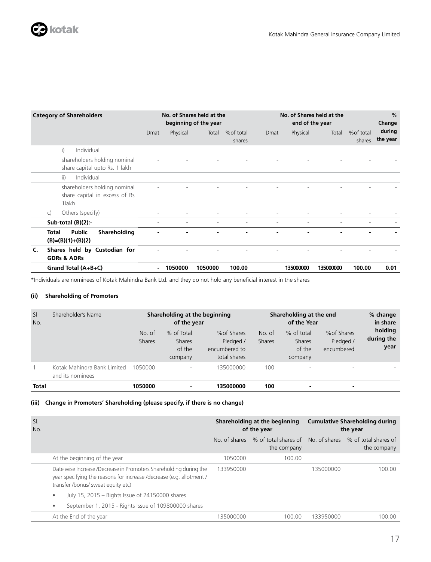

| <b>Category of Shareholders</b>                                         |      |          | No. of Shares held at the<br>beginning of the year |                      |      | No. of Shares held at the<br>end of the year |           |                      | $\%$<br>Change     |
|-------------------------------------------------------------------------|------|----------|----------------------------------------------------|----------------------|------|----------------------------------------------|-----------|----------------------|--------------------|
|                                                                         | Dmat | Physical | Total                                              | % of total<br>shares | Dmat | Physical                                     | Total     | % of total<br>shares | during<br>the year |
| i)<br>Individual                                                        |      |          |                                                    |                      |      |                                              |           |                      |                    |
| shareholders holding nominal<br>share capital upto Rs. 1 lakh           |      |          |                                                    |                      |      |                                              |           |                      |                    |
| Individual<br>ii)                                                       |      |          |                                                    |                      |      |                                              |           |                      |                    |
| shareholders holding nominal<br>share capital in excess of Rs<br>1 lakh |      |          |                                                    |                      |      |                                              |           |                      |                    |
| Others (specify)<br>$\mathsf{C}$                                        |      |          |                                                    |                      | -    |                                              |           |                      |                    |
| Sub-total $(B)(2)$ :-                                                   |      |          |                                                    |                      |      |                                              |           |                      |                    |
| Public<br>Shareholding<br>Total<br>$(B)=(B)(1)+(B)(2)$                  |      |          |                                                    |                      |      |                                              |           |                      |                    |
| Shares held by Custodian for<br>C.<br><b>GDRs &amp; ADRs</b>            |      |          |                                                    |                      |      |                                              |           |                      |                    |
| Grand Total (A+B+C)                                                     |      | 1050000  | 1050000                                            | 100.00               |      | 135000000                                    | 135000000 | 100.00               | 0.01               |

\*Individuals are nominees of Kotak Mahindra Bank Ltd. and they do not hold any beneficial interest in the shares

### **(ii) Shareholding of Promoters**

| SI<br>No.    | Shareholder's Name                              |                         | Shareholding at the beginning<br>of the year     |                                                           |                         | Shareholding at the end<br>of the Year           |                                        | % change<br>in share          |
|--------------|-------------------------------------------------|-------------------------|--------------------------------------------------|-----------------------------------------------------------|-------------------------|--------------------------------------------------|----------------------------------------|-------------------------------|
|              |                                                 | No. of<br><b>Shares</b> | % of Total<br><b>Shares</b><br>of the<br>company | % of Shares<br>Pledged /<br>encumbered to<br>total shares | No. of<br><b>Shares</b> | % of total<br><b>Shares</b><br>of the<br>company | % of Shares<br>Pledged /<br>encumbered | holding<br>during the<br>year |
|              | Kotak Mahindra Bank Limited<br>and its nominees | 1050000                 | $\overline{\phantom{a}}$                         | 135000000                                                 | 100                     | $\overline{\phantom{a}}$                         | ۰                                      |                               |
| <b>Total</b> |                                                 | 1050000                 | ۰                                                | 135000000                                                 | 100                     |                                                  | ۰                                      |                               |

### **(iii) Change in Promoters' Shareholding (please specify, if there is no change)**

| SI.<br>No. |                                                                                                                                                                                 |               | Shareholding at the beginning<br>of the year | <b>Cumulative Shareholding during</b><br>the year |                                     |  |
|------------|---------------------------------------------------------------------------------------------------------------------------------------------------------------------------------|---------------|----------------------------------------------|---------------------------------------------------|-------------------------------------|--|
|            |                                                                                                                                                                                 | No. of shares | % of total shares of<br>the company          | No. of shares                                     | % of total shares of<br>the company |  |
|            | At the beginning of the year                                                                                                                                                    | 1050000       | 100.00                                       |                                                   |                                     |  |
|            | Date wise Increase /Decrease in Promoters Shareholding during the<br>year specifying the reasons for increase /decrease (e.g. allotment /<br>transfer /bonus/ sweat equity etc) | 133950000     |                                              | 135000000                                         | 100.00                              |  |
|            | July 15, 2015 – Rights Issue of 24150000 shares<br>$\bullet$                                                                                                                    |               |                                              |                                                   |                                     |  |
|            | September 1, 2015 - Rights Issue of 109800000 shares                                                                                                                            |               |                                              |                                                   |                                     |  |
|            | At the End of the year                                                                                                                                                          | 135000000     | 100.00                                       | 133950000                                         | 100.00                              |  |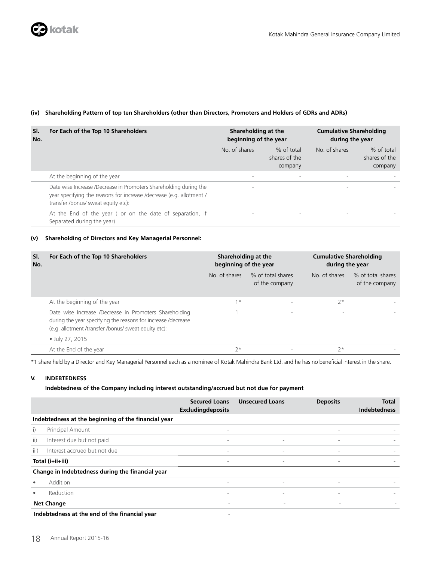### **(iv) Shareholding Pattern of top ten Shareholders (other than Directors, Promoters and Holders of GDRs and ADRs)**

| SI.<br>No. | For Each of the Top 10 Shareholders                                                                                                                                              | Shareholding at the<br>beginning of the year |                                        | <b>Cumulative Shareholding</b><br>during the year |                                        |  |
|------------|----------------------------------------------------------------------------------------------------------------------------------------------------------------------------------|----------------------------------------------|----------------------------------------|---------------------------------------------------|----------------------------------------|--|
|            |                                                                                                                                                                                  | No. of shares                                | % of total<br>shares of the<br>company | No. of shares                                     | % of total<br>shares of the<br>company |  |
|            | At the beginning of the year                                                                                                                                                     | $\sim$                                       | ۰                                      | $\sim$                                            |                                        |  |
|            | Date wise Increase /Decrease in Promoters Shareholding during the<br>year specifying the reasons for increase /decrease (e.g. allotment /<br>transfer /bonus/ sweat equity etc): | $\overline{\phantom{a}}$                     |                                        | $\sim$                                            |                                        |  |
|            | At the End of the year (or on the date of separation, if<br>Separated during the year)                                                                                           | $\sim$                                       |                                        |                                                   |                                        |  |

### **(v) Shareholding of Directors and Key Managerial Personnel:**

| SI.<br>No. | For Each of the Top 10 Shareholders                                                                                                                                             | Shareholding at the<br>beginning of the year |                                     | <b>Cumulative Shareholding</b><br>during the year |                                     |
|------------|---------------------------------------------------------------------------------------------------------------------------------------------------------------------------------|----------------------------------------------|-------------------------------------|---------------------------------------------------|-------------------------------------|
|            |                                                                                                                                                                                 | No. of shares                                | % of total shares<br>of the company | No. of shares                                     | % of total shares<br>of the company |
|            | At the beginning of the year                                                                                                                                                    | $1*$                                         |                                     | $2*$                                              |                                     |
|            | Date wise Increase /Decrease in Promoters Shareholding<br>during the year specifying the reasons for increase /decrease<br>(e.g. allotment /transfer /bonus/ sweat equity etc): |                                              |                                     | ٠                                                 |                                     |
|            | • July 27, 2015                                                                                                                                                                 |                                              |                                     |                                                   |                                     |
|            | At the End of the year                                                                                                                                                          | $2*$                                         |                                     | $7*$                                              |                                     |

\*1 share held by a Director and Key Managerial Personnel each as a nominee of Kotak Mahindra Bank Ltd. and he has no beneficial interest in the share.

### **V. INDEBTEDNESS**

### **Indebtedness of the Company including interest outstanding/accrued but not due for payment**

|           |                                                     | <b>Secured Loans</b><br><b>Excludingdeposits</b> | <b>Unsecured Loans</b>   | <b>Deposits</b>          | Total<br><b>Indebtedness</b> |
|-----------|-----------------------------------------------------|--------------------------------------------------|--------------------------|--------------------------|------------------------------|
|           | Indebtedness at the beginning of the financial year |                                                  |                          |                          |                              |
| i)        | <b>Principal Amount</b>                             | $\overline{\phantom{a}}$                         |                          | $\overline{\phantom{a}}$ |                              |
| ii)       | Interest due but not paid                           | $\overline{\phantom{a}}$                         | $\overline{\phantom{a}}$ | $\overline{\phantom{a}}$ |                              |
| iii)      | Interest accrued but not due                        | $\overline{\phantom{a}}$                         | $\overline{\phantom{a}}$ | $\overline{\phantom{a}}$ |                              |
|           | Total (i+ii+iii)                                    | $\overline{\phantom{a}}$                         | $\overline{\phantom{a}}$ | $\overline{\phantom{a}}$ |                              |
|           | Change in Indebtedness during the financial year    |                                                  |                          |                          |                              |
| $\bullet$ | Addition                                            | $\overline{\phantom{a}}$                         | $\overline{\phantom{a}}$ | $\overline{\phantom{a}}$ |                              |
| $\bullet$ | Reduction                                           | $\overline{\phantom{a}}$                         | $\overline{\phantom{a}}$ | $\overline{\phantom{a}}$ |                              |
|           | <b>Net Change</b>                                   | $\overline{\phantom{a}}$                         | $\overline{\phantom{a}}$ | $\sim$                   |                              |
|           | Indebtedness at the end of the financial year       |                                                  |                          |                          |                              |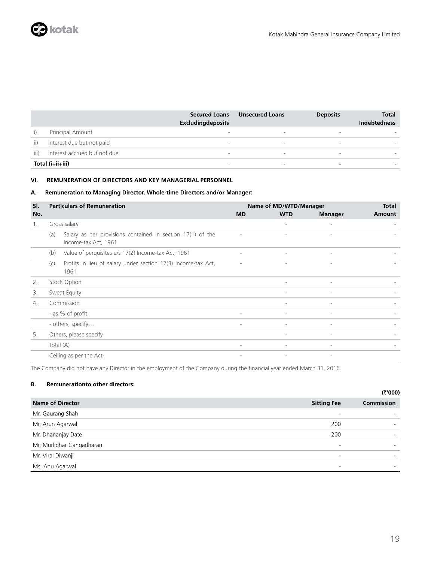|      |                              | <b>Secured Loans</b><br><b>Excludingdeposits</b> | <b>Unsecured Loans</b>   | <b>Deposits</b>          | Total<br><b>Indebtedness</b> |
|------|------------------------------|--------------------------------------------------|--------------------------|--------------------------|------------------------------|
|      | <b>Principal Amount</b>      | $\overline{\phantom{a}}$                         | $\overline{\phantom{a}}$ | $\overline{\phantom{a}}$ |                              |
| ii)  | Interest due but not paid    | $\overline{\phantom{a}}$                         | $\overline{\phantom{a}}$ |                          |                              |
| iii) | Interest accrued but not due | $\overline{\phantom{a}}$                         | $\overline{\phantom{0}}$ |                          |                              |
|      | Total (i+ii+iii)             | $\overline{\phantom{a}}$                         | -                        |                          |                              |

### **VI. REMUNERATION OF DIRECTORS AND KEY MANAGERIAL PERSONNEL**

### **A. Remuneration to Managing Director, Whole-time Directors and/or Manager:**

| SI. | <b>Particulars of Remuneration</b>                                                        | Name of MD/WTD/Manager   | <b>Total</b>             |                          |        |
|-----|-------------------------------------------------------------------------------------------|--------------------------|--------------------------|--------------------------|--------|
| No. |                                                                                           | <b>MD</b>                | <b>WTD</b>               | <b>Manager</b>           | Amount |
| 1.  | Gross salary                                                                              |                          | $\overline{\phantom{a}}$ | $\sim$                   |        |
|     | Salary as per provisions contained in section 17(1) of the<br>(a)<br>Income-tax Act, 1961 | ٠                        |                          | ٠                        |        |
|     | Value of perquisites u/s 17(2) Income-tax Act, 1961<br>(b)                                | $\overline{\phantom{a}}$ | $\overline{\phantom{a}}$ | $\overline{\phantom{a}}$ |        |
|     | Profits in lieu of salary under section 17(3) Income-tax Act,<br>(c)<br>1961              | $\overline{\phantom{a}}$ | $\sim$                   | $\overline{\phantom{a}}$ |        |
| 2.  | Stock Option                                                                              |                          | $\overline{\phantom{a}}$ | $\overline{\phantom{a}}$ |        |
| 3.  | Sweat Equity                                                                              |                          | $\overline{\phantom{0}}$ | $\sim$                   |        |
| 4.  | Commission                                                                                |                          |                          | $\sim$                   |        |
|     | - as % of profit                                                                          | $\sim$                   | $\overline{\phantom{a}}$ | $\sim$                   |        |
|     | - others, specify                                                                         | $\overline{\phantom{a}}$ | $\overline{\phantom{a}}$ | $\overline{\phantom{0}}$ |        |
| 5.  | Others, please specify                                                                    |                          | $\overline{\phantom{0}}$ | $\sim$                   |        |
|     | Total (A)                                                                                 |                          |                          |                          |        |
|     | Ceiling as per the Act-                                                                   | $\overline{\phantom{a}}$ | $\sim$                   | $\overline{\phantom{a}}$ |        |

The Company did not have any Director in the employment of the Company during the financial year ended March 31, 2016.

### **B. Remunerationto other directors:**

|                           |                          | (₹'000)           |  |  |
|---------------------------|--------------------------|-------------------|--|--|
| <b>Name of Director</b>   | <b>Sitting Fee</b>       | <b>Commission</b> |  |  |
| Mr. Gaurang Shah          | -                        |                   |  |  |
| Mr. Arun Agarwal          | 200                      |                   |  |  |
| Mr. Dhananjay Date        | 200                      |                   |  |  |
| Mr. Murlidhar Gangadharan | $\overline{\phantom{a}}$ |                   |  |  |
| Mr. Viral Diwanji         | $\overline{\phantom{a}}$ |                   |  |  |
| Ms. Anu Agarwal           | -                        |                   |  |  |
|                           |                          |                   |  |  |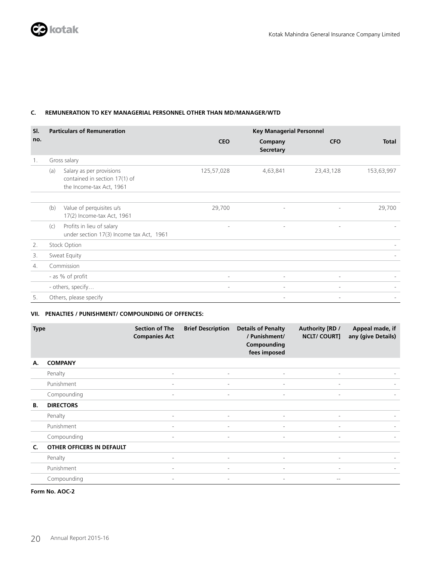### **C. REMUNERATION TO KEY MANAGERIAL PERSONNEL OTHER THAN MD/MANAGER/WTD**

| SI. |     | <b>Particulars of Remuneration</b>                                                    |                          | <b>Key Managerial Personnel</b> |                          |              |  |  |  |
|-----|-----|---------------------------------------------------------------------------------------|--------------------------|---------------------------------|--------------------------|--------------|--|--|--|
| no. |     |                                                                                       | <b>CEO</b>               | Company<br><b>Secretary</b>     | <b>CFO</b>               | <b>Total</b> |  |  |  |
| 1.  |     | Gross salary                                                                          |                          |                                 |                          |              |  |  |  |
|     | (a) | Salary as per provisions<br>contained in section 17(1) of<br>the Income-tax Act, 1961 | 125,57,028               | 4,63,841                        | 23,43,128                | 153,63,997   |  |  |  |
|     |     |                                                                                       |                          |                                 |                          |              |  |  |  |
|     | (b) | Value of perquisites u/s<br>17(2) Income-tax Act, 1961                                | 29,700                   | $\overline{\phantom{a}}$        | $\overline{\phantom{a}}$ | 29,700       |  |  |  |
|     | (c) | Profits in lieu of salary<br>under section 17(3) Income tax Act, 1961                 | $\overline{\phantom{a}}$ | $\overline{\phantom{a}}$        | $\overline{\phantom{0}}$ |              |  |  |  |
| 2.  |     | Stock Option                                                                          |                          |                                 |                          |              |  |  |  |
| 3.  |     | Sweat Equity                                                                          |                          |                                 |                          |              |  |  |  |
| 4.  |     | Commission                                                                            |                          |                                 |                          |              |  |  |  |
|     |     | - as % of profit                                                                      | $\overline{\phantom{a}}$ |                                 |                          |              |  |  |  |
|     |     | - others, specify                                                                     | $\overline{\phantom{a}}$ | $\overline{\phantom{a}}$        |                          |              |  |  |  |
| 5.  |     | Others, please specify                                                                |                          | $\overline{\phantom{a}}$        | $\overline{\phantom{a}}$ |              |  |  |  |

### **VII. PENALTIES / PUNISHMENT/ COMPOUNDING OF OFFENCES:**

| <b>Type</b> |                                  | <b>Section of The</b><br><b>Companies Act</b> | <b>Brief Description</b> | <b>Details of Penalty</b><br>/ Punishment/<br>Compounding<br>fees imposed | Authority [RD /<br><b>NCLT/COURTI</b> | Appeal made, if<br>any (give Details) |
|-------------|----------------------------------|-----------------------------------------------|--------------------------|---------------------------------------------------------------------------|---------------------------------------|---------------------------------------|
| А.          | <b>COMPANY</b>                   |                                               |                          |                                                                           |                                       |                                       |
|             | Penalty                          | $\sim$                                        | $\overline{\phantom{a}}$ | $\overline{\phantom{a}}$                                                  | $\overline{\phantom{a}}$              |                                       |
|             | Punishment                       | $\sim$                                        | $\overline{\phantom{a}}$ | $\overline{\phantom{a}}$                                                  | $\overline{\phantom{a}}$              |                                       |
|             | Compounding                      | $\overline{\phantom{a}}$                      | $\overline{\phantom{a}}$ | $\overline{\phantom{a}}$                                                  | $\overline{\phantom{a}}$              |                                       |
| В.          | <b>DIRECTORS</b>                 |                                               |                          |                                                                           |                                       |                                       |
|             | Penalty                          | $\sim$                                        | $\overline{\phantom{a}}$ | $\overline{\phantom{a}}$                                                  | $\overline{\phantom{a}}$              |                                       |
|             | Punishment                       | $\overline{\phantom{0}}$                      | $\overline{\phantom{a}}$ | $\overline{\phantom{a}}$                                                  | $\overline{\phantom{a}}$              |                                       |
|             | Compounding                      | $\overline{\phantom{a}}$                      | $\overline{\phantom{a}}$ | $\overline{\phantom{a}}$                                                  | $\overline{\phantom{a}}$              |                                       |
| C.          | <b>OTHER OFFICERS IN DEFAULT</b> |                                               |                          |                                                                           |                                       |                                       |
|             | Penalty                          | $\overline{\phantom{a}}$                      | $\overline{\phantom{a}}$ | $\overline{\phantom{a}}$                                                  | $\sim$                                |                                       |
|             | Punishment                       | $\overline{\phantom{a}}$                      | $\overline{\phantom{a}}$ | $\overline{\phantom{a}}$                                                  | $\sim$                                |                                       |
|             | Compounding                      | $\overline{\phantom{a}}$                      | $\overline{\phantom{a}}$ | $\overline{\phantom{a}}$                                                  | $- -$                                 |                                       |

**Form No. AOC-2**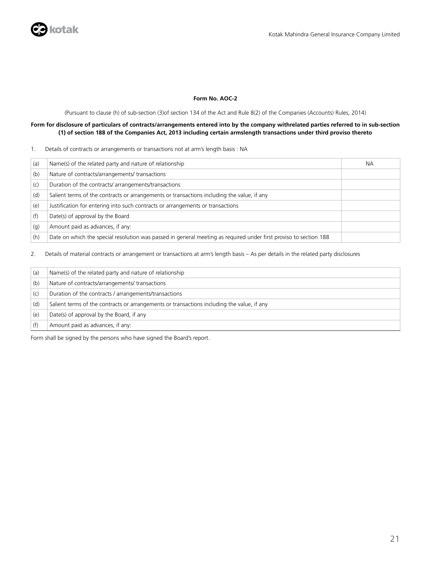### **Form No. AOC-2**

(Pursuant to clause (h) of sub-section (3)of section 134 of the Act and Rule 8(2) of the Companies (Accounts) Rules, 2014)

### **Form for disclosure of particulars of contracts/arrangements entered into by the company withrelated parties referred to in sub-section (1) of section 188 of the Companies Act, 2013 including certain armslength transactions under third proviso thereto**

### 1. Details of contracts or arrangements or transactions not at arm's length basis : NA

| (a) | Name(s) of the related party and nature of relationship                                                           | <b>NA</b> |
|-----|-------------------------------------------------------------------------------------------------------------------|-----------|
| (b) | Nature of contracts/arrangements/ transactions                                                                    |           |
| (c) | Duration of the contracts/arrangements/transactions                                                               |           |
| (d) | Salient terms of the contracts or arrangements or transactions including the value, if any                        |           |
| (e) | Justification for entering into such contracts or arrangements or transactions                                    |           |
| (f) | Date(s) of approval by the Board                                                                                  |           |
| (q) | Amount paid as advances, if any:                                                                                  |           |
| (h) | Date on which the special resolution was passed in general meeting as required under first proviso to section 188 |           |

2. Details of material contracts or arrangement or transactions at arm's length basis – As per details in the related party disclosures

| (a) | Name(s) of the related party and nature of relationship                                    |
|-----|--------------------------------------------------------------------------------------------|
| (b) | Nature of contracts/arrangements/ transactions                                             |
| (c) | Duration of the contracts / arrangements/transactions                                      |
| (d) | Salient terms of the contracts or arrangements or transactions including the value, if any |
| (e) | Date(s) of approval by the Board, if any                                                   |
|     | Amount paid as advances, if any:                                                           |

Form shall be signed by the persons who have signed the Board's report.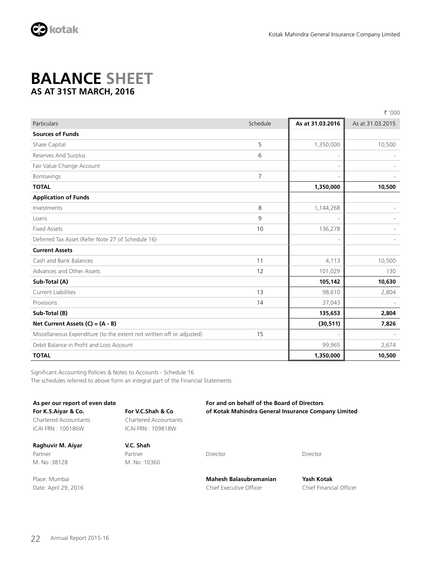

### **BALANCE SHEET AS AT 31ST MARCH, 2016**

|                                                                       |          |                          | ₹ '000           |
|-----------------------------------------------------------------------|----------|--------------------------|------------------|
| Particulars                                                           | Schedule | As at 31.03.2016         | As at 31.03.2015 |
| <b>Sources of Funds</b>                                               |          |                          |                  |
| Share Capital                                                         | 5        | 1,350,000                | 10,500           |
| Reserves And Surplus                                                  | 6        | $\overline{\phantom{a}}$ |                  |
| Fair Value Change Account                                             |          | $\overline{\phantom{a}}$ |                  |
| <b>Borrowings</b>                                                     | 7        | $\overline{\phantom{a}}$ |                  |
| <b>TOTAL</b>                                                          |          | 1,350,000                | 10,500           |
| <b>Application of Funds</b>                                           |          |                          |                  |
| Investments                                                           | 8        | 1,144,268                |                  |
| Loans                                                                 | 9        | $\overline{\phantom{a}}$ |                  |
| <b>Fixed Assets</b>                                                   | 10       | 136,278                  |                  |
| Deferred Tax Asset (Refer Note 27 of Schedule 16)                     |          | $\overline{\phantom{a}}$ |                  |
| <b>Current Assets</b>                                                 |          |                          |                  |
| Cash and Bank Balances                                                | 11       | 4,113                    | 10,500           |
| Advances and Other Assets                                             | 12       | 101,029                  | 130              |
| Sub-Total (A)                                                         |          | 105,142                  | 10,630           |
| <b>Current Liabilities</b>                                            | 13       | 98,610                   | 2,804            |
| Provisions                                                            | 14       | 37,043                   |                  |
| Sub-Total (B)                                                         |          | 135,653                  | 2,804            |
| Net Current Assets $(C) = (A - B)$                                    |          | (30, 511)                | 7,826            |
| Miscellaneous Expenditure (to the extent not written off or adjusted) | 15       |                          |                  |
| Debit Balance in Profit and Loss Account                              |          | 99,965                   | 2,674            |
| <b>TOTAL</b>                                                          |          | 1,350,000                | 10,500           |

Significant Accounting Policies & Notes to Accounts - Schedule 16 The schedules referred to above form an integral part of the Financial Statements

| As per our report of even date |                       | For and on behalf of the Board of Directors         |          |  |  |  |  |
|--------------------------------|-----------------------|-----------------------------------------------------|----------|--|--|--|--|
| For K.S.Aiyar & Co.            | For V.C.Shah & Co     | of Kotak Mahindra General Insurance Company Limited |          |  |  |  |  |
| Chartered Accountants          | Chartered Accountants |                                                     |          |  |  |  |  |
| ICAI FRN: 100186W              | ICAI FRN: 109818W     |                                                     |          |  |  |  |  |
| Raghuvir M. Aiyar              | V.C. Shah             |                                                     |          |  |  |  |  |
| Partner                        | Partner               | Director                                            | Director |  |  |  |  |
| M. No:38128                    | M. No:10360           |                                                     |          |  |  |  |  |

Date: April 29, 2016 **Chief Executive Officer** Chief Executive Officer Chief Financial Officer

Place: Mumbai **Mahesh Balasubramanian Yash Kotak**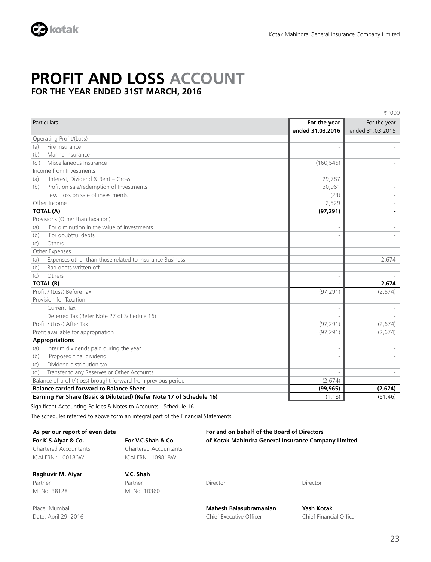

### **PROFIT AND LOSS ACCOUNT FOR THE YEAR ENDED 31ST MARCH, 2016**

₹ '000

|     | Particulars                                                          | For the year<br>ended 31.03.2016 | For the year<br>ended 31.03.2015 |
|-----|----------------------------------------------------------------------|----------------------------------|----------------------------------|
|     | Operating Profit/(Loss)                                              |                                  |                                  |
| (a) | Fire Insurance                                                       |                                  |                                  |
| (b) | Marine Insurance                                                     |                                  |                                  |
| (c) | Miscellaneous Insurance                                              | (160, 545)                       |                                  |
|     | Income from Investments                                              |                                  |                                  |
| (a) | Interest, Dividend & Rent - Gross                                    | 29,787                           |                                  |
| (b) | Profit on sale/redemption of Investments                             | 30,961                           |                                  |
|     | Less: Loss on sale of investments                                    | (23)                             |                                  |
|     | Other Income                                                         | 2,529                            |                                  |
|     | <b>TOTAL (A)</b>                                                     | (97, 291)                        |                                  |
|     | Provisions (Other than taxation)                                     |                                  |                                  |
| (a) | For diminution in the value of Investments                           |                                  |                                  |
| (b) | For doubtful debts                                                   |                                  |                                  |
| (c) | Others                                                               |                                  |                                  |
|     | Other Expenses                                                       |                                  |                                  |
| (a) | Expenses other than those related to Insurance Business              |                                  | 2,674                            |
| (b) | Bad debts written off                                                |                                  |                                  |
| (c) | Others                                                               |                                  |                                  |
|     | <b>TOTAL (B)</b>                                                     |                                  | 2,674                            |
|     | Profit / (Loss) Before Tax                                           | (97, 291)                        | (2,674)                          |
|     | Provision for Taxation                                               |                                  |                                  |
|     | Current Tax                                                          |                                  |                                  |
|     | Deferred Tax (Refer Note 27 of Schedule 16)                          |                                  |                                  |
|     | Profit / (Loss) After Tax                                            | (97, 291)                        | (2,674)                          |
|     | Profit availiable for appropriation                                  | (97, 291)                        | (2,674)                          |
|     | <b>Appropriations</b>                                                |                                  |                                  |
| (a) | Interim dividends paid during the year                               |                                  |                                  |
| (b) | Proposed final dividend                                              |                                  |                                  |
| (c) | Dividend distribution tax                                            |                                  |                                  |
| (d) | Transfer to any Reserves or Other Accounts                           |                                  |                                  |
|     | Balance of profit/ (loss) brought forward from previous period       | (2,674)                          |                                  |
|     | <b>Balance carried forward to Balance Sheet</b>                      | (99, 965)                        | (2,674)                          |
|     | Earning Per Share (Basic & Diluteted) (Refer Note 17 of Schedule 16) | (1.18)                           | (51.46)                          |

Significant Accounting Policies & Notes to Accounts - Schedule 16

The schedules referred to above form an integral part of the Financial Statements

Chartered Accountants Chartered Accountants ICAI FRN : 100186W ICAI FRN : 109818W

Partner Partner Partner Director Director Director Director Director M. No :38128 M. No :10360

**As per our report of even date For and on behalf of the Board of Directors For K.S.Aiyar & Co. For V.C.Shah & Co of Kotak Mahindra General Insurance Company Limited**

**Raghuvir M. Aiyar V.C. Shah**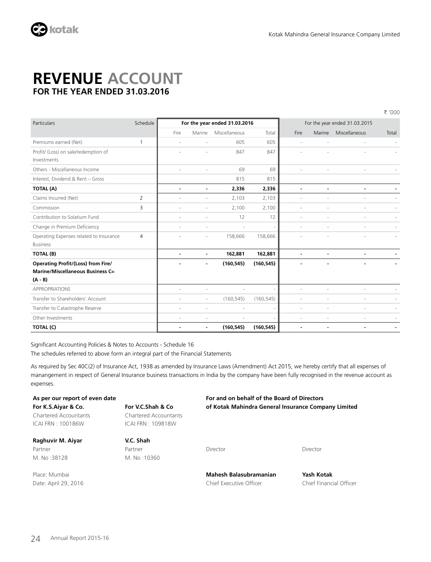

### **REVENUE ACCOUNT FOR THE YEAR ENDED 31.03.2016**

` '000

| Particulars                               | Schedule | For the year ended 31.03.2016 |                          |               | For the year ended 31.03.2015 |                          |                          |                          |       |
|-------------------------------------------|----------|-------------------------------|--------------------------|---------------|-------------------------------|--------------------------|--------------------------|--------------------------|-------|
|                                           |          | Fire                          | Marine                   | Miscellaneous | Total                         | Fire                     | Marine                   | Miscellaneous            | Total |
| Premiums earned (Net)                     | 1        | ٠                             | $\sim$                   | 605           | 605                           | $\overline{\phantom{a}}$ | $\overline{\phantom{a}}$ | $\overline{\phantom{a}}$ |       |
| Profit/ (Loss) on sale/redemption of      |          |                               |                          | 847           | 847                           |                          |                          |                          |       |
| Investments                               |          |                               |                          |               |                               |                          |                          |                          |       |
| Others - Miscellaneous Income             |          | ä,                            |                          | 69            | 69                            |                          |                          |                          |       |
| Interest, Dividend & Rent - Gross         |          |                               |                          | 815           | 815                           |                          |                          |                          |       |
| TOTAL (A)                                 |          | $\blacksquare$                | $\blacksquare$           | 2,336         | 2,336                         | $\blacksquare$           | ä,                       | Ĭ.                       |       |
| Claims Incurred (Net)                     | 2        | ÷.                            |                          | 2,103         | 2,103                         |                          |                          |                          |       |
| Commission                                | 3        |                               |                          | 2,100         | 2,100                         |                          |                          |                          |       |
| Contribution to Solatium Fund             |          | ٠                             | $\overline{\phantom{a}}$ | 12            | 12                            | ×                        | $\overline{a}$           | ×,                       |       |
| Change in Premium Deficiency              |          | ×.                            | ٠                        | $\sim$        |                               |                          |                          |                          |       |
| Operating Expenses related to Insurance   | 4        |                               | ÷,                       | 158,666       | 158,666                       |                          |                          |                          |       |
| <b>Business</b>                           |          |                               |                          |               |                               |                          |                          |                          |       |
| TOTAL (B)                                 |          | $\overline{\phantom{a}}$      |                          | 162,881       | 162,881                       | $\overline{a}$           |                          |                          |       |
| <b>Operating Profit/(Loss) from Fire/</b> |          |                               | $\blacksquare$           | (160, 545)    | (160, 545)                    |                          |                          |                          |       |
| <b>Marine/Miscellaneous Business C=</b>   |          |                               |                          |               |                               |                          |                          |                          |       |
| $(A - B)$                                 |          |                               |                          |               |                               |                          |                          |                          |       |
| <b>APPROPRIATIONS</b>                     |          | ä,                            |                          | $\sim$        |                               |                          |                          |                          |       |
| Transfer to Shareholders' Account         |          | ٠                             | $\overline{\phantom{a}}$ | (160, 545)    | (160, 545)                    | $\overline{\phantom{a}}$ | ٠                        | ٠                        |       |
| Transfer to Catastrophe Reserve           |          | ٠                             |                          |               |                               |                          |                          |                          |       |
| Other Investments                         |          | ٠                             |                          |               |                               |                          |                          |                          |       |
| TOTAL (C)                                 |          | $\blacksquare$                | $\blacksquare$           | (160, 545)    | (160, 545)                    | $\blacksquare$           | $\blacksquare$           | $\blacksquare$           |       |

Significant Accounting Policies & Notes to Accounts - Schedule 16

The schedules referred to above form an integral part of the Financial Statements

As required by Sec 40C(2) of Insurance Act, 1938 as amended by Insurance Laws (Amendment) Act 2015, we hereby certify that all expenses of manangement in respect of General Insurance business transactions in India by the company have been fully recognised in the revenue account as expenses.

| As per our report of even date |                       | For and on behalf of the Board of Directors         |
|--------------------------------|-----------------------|-----------------------------------------------------|
| For K.S.Aivar & Co.            | For V.C.Shah & Co     | of Kotak Mahindra General Insurance Company Limited |
| Chartered Accountants          | Chartered Accountants |                                                     |
| ICAI FRN: 100186W              | ICAI FRN : 109818W    |                                                     |
| Raghuvir M. Aiyar              | V.C. Shah             |                                                     |

Partner Partner Director Director M. No :38128 M. No :10360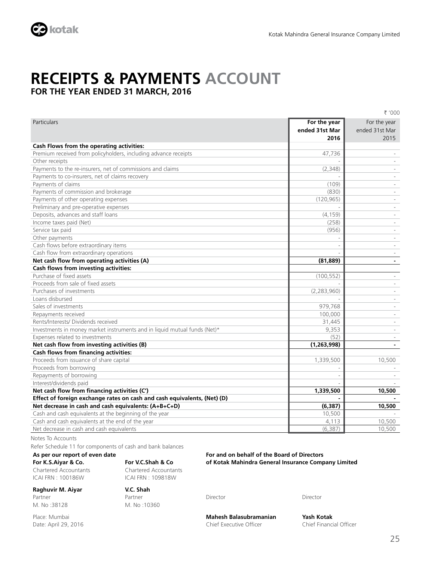

### **RECEIPTS & PAYMENTS ACCOUNT FOR THE YEAR ENDED 31 MARCH, 2016**

₹ '000 Particulars **For the year ended 31st Mar 2016** For the year ended 31st Mar 2015 **Cash Flows from the operating activities:** Premium received from policyholders, including advance receipts 47,736 - 47,736 Other receipts - - Payments to the re-insurers, net of commissions and claims (2,348) - (2,348) Payments to co-insurers, net of claims recovery Payments of claims (109) - (109) - (109) - (109) - (109) - (109) - (109) - (109) - (109) - (109) - (109) - (109) - (109) - (109) - (109) - (109) - (109) - (109) - (109) - (109) - (109) - (109) - (109) - (109) - (109) - (10 Payments of commission and brokerage (830) - (830) - (830) - (830) - (830) - (830) - (830) - (830) - (830) - (830) - (830) - (830) - (830) - (830) - (830) - (830) - (830) - (830) - (830) - (830) - (830) - (830) - (830) - ( Payments of other operating expenses (120,965) - (120,965) Preliminary and pre-operative expenses Deposits, advances and staff loans (4,159) - (4,159) - (4,159) - (4,159) - (4,159) - (4,159) - (5,159) - (5,159 Income taxes paid (Net)  $(258)$ Service tax paid and the service of the service of the service of the service of the service tax paid and the service of the service of the service of the service of the service of the service of the service of the service Other payments and the control of the control of the control of the control of the control of the control of the control of the control of the control of the control of the control of the control of the control of the cont Cash flows before extraordinary items Cash flow from extraordinary operations **Net cash flow from operating activities (A)**  $\qquad \qquad$  **(81,889)**  $\qquad \qquad$  (81,889) **Cash flows from investing activities:** Purchase of fixed assets (100,552) - (100,552) - (100,552) - (100,552) - (100,552) - (100,552) - (100,552) - (100,552) Proceeds from sale of fixed assets Purchases of investments (2,283,960) - (2,283,960) - (2,283,960) Loans disbursed - - Sales of investments **979,768** - 1989, 1999, 1999, 1999, 1999, 1999, 1999, 1999, 1999, 1999, 1999, 1999, 1999, 199 Repayments received and the state of the state of the state of the state of the state of the state of the state of the state of the state of the state of the state of the state of the state of the state of the state of the Rents/Interests/ Dividends received 31,445 Investments in money market instruments and in liquid mutual funds  $(\text{Net})^*$   $\blacksquare$  9,353 Expenses related to investments (52) - (52) - (52) - (52) - (52) - (52) - (52) - (52) - (52) - (52) - (52) - (52) - (52) - (52) - (52) - (52) - (52) - (52) - (52) - (52) - (52) - (52) - (52) - (52) - (52) - (52) - (52) - ( **Net cash flow from investing activities (B) (1,263,998) - Cash flows from financing activities:** Proceeds from issuance of share capital 1,339,500  $\vert$  1,339,500  $\vert$  10,500 10,500 10,500 10,500 10,500 10,500 10,500 10,500 10,500 10,500 10,500 10,500 10,500 10,500 10,500 10,500 10,500 10,500 10,500 10,500 10,500 10,5 Proceeds from borrowing Repayments of borrowing the contract of the contract of the contract of the contract of borrowing the contract of the contract of the contract of the contract of the contract of the contract of the contract of the contract Interest/dividends paid **Net cash flow from financing activities (C')** 1,339,500 1,339,500 1,339,500 10,500 10,500 **Effect of foreign exchange rates on cash and cash equivalents, (Net) (D)**  $\qquad \qquad$  $\qquad \qquad$ **Net decrease in cash and cash equivalents: (A+B+C+D) (6,387) 10,500** Cash and cash equivalents at the beginning of the year 10,500 - 10,500 - 10,500 - 10,500 - 10,500 - 10,500 - 10,500 - 10,500 - 10,500 - 10,500 - 10,500 - 10,500 - 10,500 - 10,500 - 10,500 - 10,500 - 10,500 - 10,500 - 10,50 Cash and cash equivalents at the end of the year 4,113 10,500 and the year 4,113 10,500 Net decrease in cash and cash equivalents (6,387) 10,500

Notes To Accounts

Refer Schedule 11 for components of cash and bank balances

### **As per our report of even date For and on behalf of the Board of Directors For K.S.Aiyar & Co. For V.C.Shah & Co of Kotak Mahindra General Insurance Company Limited**

Chartered Accountants Chartered Accountants ICAI FRN : 100186W ICAI FRN : 109818W

### **Raghuvir M. Aiyar V.C. Shah**

Partner Partner Partner Director Director Director Director Director M. No :38128 M. No :10360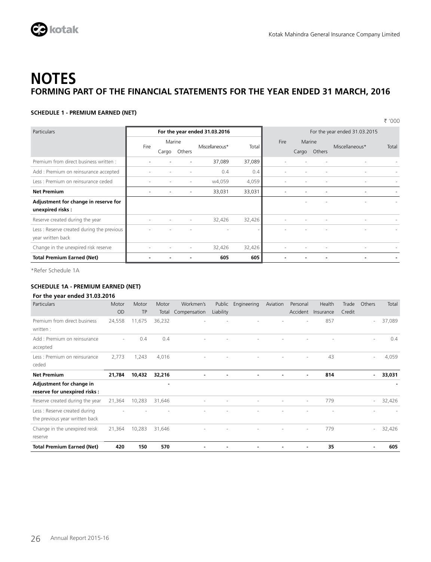

### **SCHEDULE 1 - PREMIUM EARNED (NET)**

|                                           |      |                               |        |                |             |                          |       |        |                               | ₹ '000 |
|-------------------------------------------|------|-------------------------------|--------|----------------|-------------|--------------------------|-------|--------|-------------------------------|--------|
| Particulars                               |      | For the year ended 31.03.2016 |        |                |             |                          |       |        | For the year ended 31.03.2015 |        |
|                                           |      | Marine                        |        |                | <b>Fire</b> | Marine                   |       |        |                               |        |
|                                           | Fire | Cargo                         | Others | Miscellaneous* | Total       |                          | Cargo | Others | Miscellaneous*                | Total  |
| Premium from direct business written :    |      |                               |        | 37,089         | 37,089      | $\overline{\phantom{a}}$ |       |        |                               |        |
| Add : Premium on reinsurance accepted     |      |                               |        | 0.4            | 0.4         |                          |       |        |                               |        |
| Less : Premium on reinsurance ceded       |      |                               | $\sim$ | w4,059         | 4,059       | ٠                        |       |        |                               |        |
| <b>Net Premium</b>                        |      |                               |        | 33,031         | 33,031      | ٠                        |       |        |                               |        |
| Adjustment for change in reserve for      |      |                               |        |                |             |                          |       |        |                               |        |
| unexpired risks:                          |      |                               |        |                |             |                          |       |        |                               |        |
| Reserve created during the year           |      |                               | ٠      | 32,426         | 32,426      | $\sim$                   |       |        | $\overline{\phantom{a}}$      |        |
| Less: Reserve created during the previous |      |                               |        |                |             |                          |       |        |                               |        |
| year written back                         |      |                               |        |                |             |                          |       |        |                               |        |
| Change in the unexpired risk reserve      |      |                               | $\sim$ | 32,426         | 32,426      |                          |       |        |                               |        |
| <b>Total Premium Earned (Net)</b>         |      |                               |        | 605            | 605         |                          |       |        |                               |        |

\*Refer Schedule 1A

### **SCHEDULE 1A - PREMIUM EARNED (NET)**

### **For the year ended 31.03.2016**

| Particulars                                                    | Motor<br><b>OD</b> | Motor<br><b>TP</b> | Motor<br>Total | Workmen's<br>Compensation | Liability | Public Engineering | Aviation | Personal<br>Accident | Health<br>Insurance | Trade<br>Credit | Others                   | Total  |
|----------------------------------------------------------------|--------------------|--------------------|----------------|---------------------------|-----------|--------------------|----------|----------------------|---------------------|-----------------|--------------------------|--------|
| Premium from direct business<br>written :                      | 24,558             | 11,675             | 36,232         |                           |           |                    |          | $\sim$               | 857                 |                 | $\sim$                   | 37,089 |
| Add : Premium on reinsurance<br>accepted                       | $\sim$             | 0.4                | 0.4            |                           |           |                    |          |                      |                     |                 | $\sim$                   | 0.4    |
| Less : Premium on reinsurance<br>ceded                         | 2,773              | 1,243              | 4,016          |                           |           |                    |          | ٠                    | 43                  |                 | $\overline{\phantom{a}}$ | 4,059  |
| <b>Net Premium</b>                                             | 21,784             | 10,432             | 32,216         |                           |           |                    |          |                      | 814                 |                 | $\blacksquare$           | 33,031 |
| Adjustment for change in<br>reserve for unexpired risks:       |                    |                    | $\blacksquare$ |                           |           |                    |          |                      |                     |                 |                          |        |
| Reserve created during the year                                | 21,364             | 10,283             | 31,646         | ٠                         |           |                    |          | $\sim$               | 779                 |                 | $\overline{\phantom{a}}$ | 32,426 |
| Less: Reserve created during<br>the previous year written back |                    |                    |                |                           |           |                    |          |                      |                     |                 |                          |        |
| Change in the unexpired reisk<br>reserve                       | 21,364             | 10,283             | 31,646         |                           |           |                    |          | ٠                    | 779                 |                 | $\overline{\phantom{a}}$ | 32,426 |
| <b>Total Premium Earned (Net)</b>                              | 420                | 150                | 570            |                           |           |                    |          |                      | 35                  |                 |                          | 605    |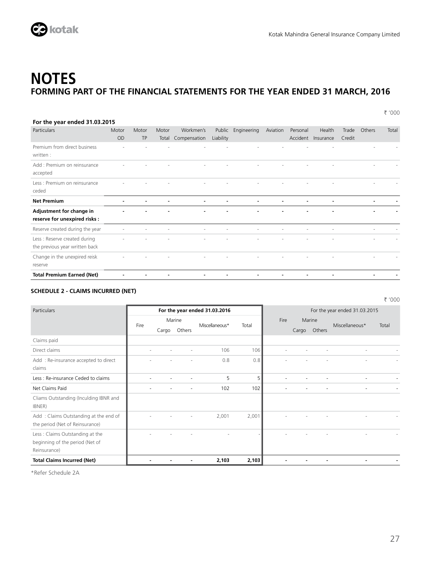

` '000

| For the year ended 31.03.2015                                  |             |                    |                |                           |                     |                |          |                          |                          |                 |                          |       |
|----------------------------------------------------------------|-------------|--------------------|----------------|---------------------------|---------------------|----------------|----------|--------------------------|--------------------------|-----------------|--------------------------|-------|
| Particulars                                                    | Motor<br>OD | Motor<br><b>TP</b> | Motor<br>Total | Workmen's<br>Compensation | Public<br>Liability | Engineering    | Aviation | Personal<br>Accident     | Health<br>Insurance      | Trade<br>Credit | Others                   | Total |
| Premium from direct business<br>written :                      |             |                    |                |                           |                     |                |          |                          |                          |                 |                          |       |
| Add : Premium on reinsurance<br>accepted                       |             |                    |                |                           |                     |                |          |                          |                          |                 |                          |       |
| Less : Premium on reinsurance<br>ceded                         |             |                    |                |                           |                     |                |          |                          |                          |                 |                          |       |
| <b>Net Premium</b>                                             |             |                    |                | $\blacksquare$            |                     |                |          |                          | $\blacksquare$           |                 | $\overline{\phantom{0}}$ |       |
| Adjustment for change in<br>reserve for unexpired risks :      |             |                    |                | $\blacksquare$            |                     |                |          |                          |                          |                 | ۰                        |       |
| Reserve created during the year                                |             |                    |                | $\sim$                    |                     |                |          |                          | $\sim$                   |                 | $\overline{\phantom{a}}$ |       |
| Less: Reserve created during<br>the previous year written back |             |                    |                |                           |                     |                |          |                          |                          |                 |                          |       |
| Change in the unexpired reisk<br>reserve                       |             |                    |                |                           |                     |                |          |                          |                          |                 |                          |       |
| <b>Total Premium Earned (Net)</b>                              | ٠           |                    |                | $\blacksquare$            |                     | $\blacksquare$ | ۰        | $\overline{\phantom{0}}$ | $\overline{\phantom{a}}$ |                 |                          |       |

### **SCHEDULE 2 - CLAIMS INCURRED (NET)**

` '000 Particulars **For the year ended 31.03.2016** For the year ended 31.03.2016 Fire Marine Miscellaneous\* Total Fire Marine Miscellaneous\* Total Cargo Others Cargo Others Claims paid Direct claims - - - 106 106 - - - - - Add : Re-insurance accepted to direct claims - - - - 0.8 0.8 - - - - - - - - - -Less : Re-insurance Ceded to claims and the set of the set of the set of the set of the set of the set of the set of the set of the set of the set of the set of the set of the set of the set of the set of the set of the se Net Claims Paid - - - 102 102 - - - - - Cliams Outstanding (Inculding IBNR and IBNER) Add : Claims Outstanding at the end of the period (Net of Reinsurance) - - - - 2,001 2,001 - - - - - - - - - - -Less : Claims Outstanding at the beginning of the period (Net of Reinsurance) - - - - - - - - - - **Total Claims Incurred (Net) - - - 2,103 2,103 - - - - -**

\*Refer Schedule 2A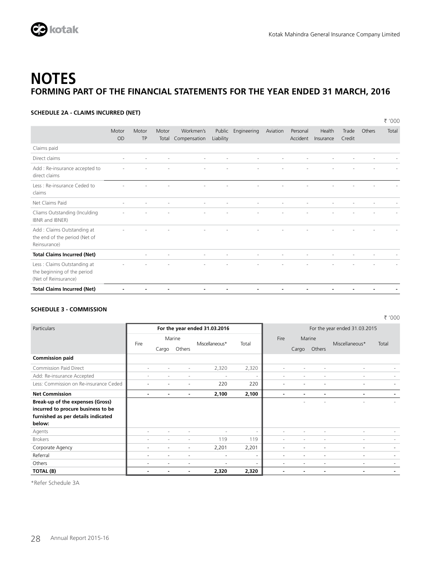

` '000

### **NOTES FORMING PART OF THE FINANCIAL STATEMENTS FOR THE YEAR ENDED 31 MARCH, 2016**

### **SCHEDULE 2A - CLAIMS INCURRED (NET)**

|                                                                                    |                    |                          |                |                           |                     |             |          |                      |                     |                 |        | ₹ '000 |
|------------------------------------------------------------------------------------|--------------------|--------------------------|----------------|---------------------------|---------------------|-------------|----------|----------------------|---------------------|-----------------|--------|--------|
|                                                                                    | Motor<br><b>OD</b> | Motor<br><b>TP</b>       | Motor<br>Total | Workmen's<br>Compensation | Public<br>Liability | Engineering | Aviation | Personal<br>Accident | Health<br>Insurance | Trade<br>Credit | Others | Total  |
| Claims paid                                                                        |                    |                          |                |                           |                     |             |          |                      |                     |                 |        |        |
| Direct claims                                                                      | $\sim$             | $\overline{\phantom{a}}$ |                | $\overline{\phantom{a}}$  |                     |             |          |                      |                     |                 |        |        |
| Add : Re-insurance accepted to<br>direct claims                                    |                    |                          |                |                           |                     |             |          |                      |                     |                 |        |        |
| Less: Re-insurance Ceded to<br>claims                                              |                    |                          |                |                           |                     |             |          |                      |                     |                 |        |        |
| Net Claims Paid                                                                    | ٠                  | ٠                        | ٠              | ٠                         |                     |             |          |                      |                     |                 |        |        |
| Cliams Outstanding (Inculding<br>IBNR and IBNER)                                   |                    |                          |                | ٠                         |                     |             |          |                      |                     |                 |        |        |
| Add: Claims Outstanding at<br>the end of the period (Net of<br>Reinsurance)        |                    |                          |                |                           |                     |             |          |                      |                     |                 |        |        |
| <b>Total Claims Incurred (Net)</b>                                                 |                    | $\overline{\phantom{a}}$ |                | ٠                         |                     |             |          |                      |                     |                 |        |        |
| Less: Claims Outstanding at<br>the beginning of the period<br>(Net of Reinsurance) |                    |                          |                |                           |                     |             |          |                      |                     |                 |        |        |
| <b>Total Claims Incurred (Net)</b>                                                 |                    |                          |                |                           |                     |             |          |                      |                     |                 |        |        |

### **SCHEDULE 3 - COMMISSION**

| Particulars                            |                          |       |                | For the year ended 31.03.2016 |       | For the year ended 31.03.2015 |                          |                |                          |       |  |
|----------------------------------------|--------------------------|-------|----------------|-------------------------------|-------|-------------------------------|--------------------------|----------------|--------------------------|-------|--|
|                                        | Fire                     |       | Marine         | Miscellaneous*                | Total | Fire                          |                          | Marine         | Miscellaneous*           | Total |  |
|                                        |                          | Cargo | Others         |                               |       |                               | Cargo                    | Others         |                          |       |  |
| <b>Commission paid</b>                 |                          |       |                |                               |       |                               |                          |                |                          |       |  |
| <b>Commission Paid Direct</b>          | $\overline{\phantom{a}}$ |       | ٠              | 2,320                         | 2,320 | $\sim$                        |                          |                | $\overline{\phantom{a}}$ |       |  |
| Add: Re-insurance Accepted             | ٠                        |       | ٠              | $\sim$                        |       | $\sim$                        | ٠                        |                | $\overline{\phantom{a}}$ |       |  |
| Less: Commission on Re-insurance Ceded | $\overline{\phantom{a}}$ |       | ٠              | 220                           | 220   | $\overline{\phantom{a}}$      |                          |                | ٠                        |       |  |
| <b>Net Commission</b>                  | $\overline{\phantom{a}}$ |       | $\blacksquare$ | 2,100                         | 2,100 | $\blacksquare$                | $\overline{\phantom{0}}$ | $\blacksquare$ |                          |       |  |
| Break-up of the expenses (Gross)       |                          |       |                |                               |       |                               |                          |                |                          |       |  |
| incurred to procure business to be     |                          |       |                |                               |       |                               |                          |                |                          |       |  |
| furnished as per details indicated     |                          |       |                |                               |       |                               |                          |                |                          |       |  |
| below:                                 |                          |       |                |                               |       |                               |                          |                |                          |       |  |
| Agents                                 | ٠                        |       |                |                               |       | $\overline{\phantom{a}}$      |                          |                |                          |       |  |
| <b>Brokers</b>                         | ٠                        |       |                | 119                           | 119   | $\sim$                        | ٠                        |                | $\overline{\phantom{a}}$ |       |  |
| Corporate Agency                       | ٠                        | ٠     | ٠              | 2,201                         | 2,201 | ٠                             | ٠                        | ٠              | $\overline{\phantom{a}}$ |       |  |
| Referral                               | ٠                        | ٠     | ٠              | ٠                             |       | ٠                             | ۰                        | ٠              | ٠                        |       |  |
| Others                                 | -                        |       |                |                               |       | ۰                             |                          |                | ۰                        |       |  |
| TOTAL (B)                              |                          |       |                | 2,320                         | 2,320 |                               |                          |                | ٠                        |       |  |

\*Refer Schedule 3A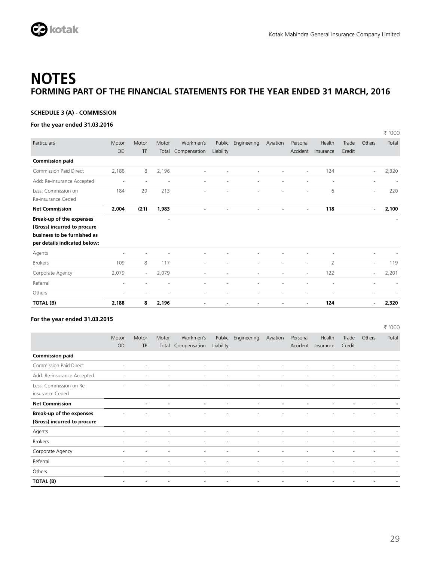

.<br>.....

` '000

## **NOTES FORMING PART OF THE FINANCIAL STATEMENTS FOR THE YEAR ENDED 31 MARCH, 2016**

### **SCHEDULE 3 (A) - COMMISSION**

### **For the year ended 31.03.2016**

|                              |       |                          |       |                          |           |                          |                |                |                |        |                          | ₹ ,000                   |
|------------------------------|-------|--------------------------|-------|--------------------------|-----------|--------------------------|----------------|----------------|----------------|--------|--------------------------|--------------------------|
| Particulars                  | Motor | Motor                    | Motor | Workmen's                | Public    | Engineering              | Aviation       | Personal       | Health         | Trade  | Others                   | Total                    |
|                              | OD    | <b>TP</b>                | Total | Compensation             | Liability |                          |                | Accident       | Insurance      | Credit |                          |                          |
| <b>Commission paid</b>       |       |                          |       |                          |           |                          |                |                |                |        |                          |                          |
| Commission Paid Direct       | 2,188 | 8                        | 2,196 | ٠                        |           |                          |                | ٠              | 124            |        | $\overline{\phantom{a}}$ | 2,320                    |
| Add: Re-insurance Accepted   | ٠     | $\overline{\phantom{a}}$ | ٠     | ٠                        |           | $\sim$                   |                | ٠              | ٠              |        | $\sim$                   |                          |
| Less: Commission on          | 184   | 29                       | 213   |                          |           |                          |                |                | 6              |        | $\sim$                   | 220                      |
| Re-insurance Ceded           |       |                          |       |                          |           |                          |                |                |                |        |                          |                          |
| <b>Net Commission</b>        | 2,004 | (21)                     | 1,983 | $\blacksquare$           |           | $\blacksquare$           | $\blacksquare$ | $\blacksquare$ | 118            |        | ٠                        | 2,100                    |
| Break-up of the expenses     |       |                          | ٠     |                          |           |                          |                |                |                |        |                          |                          |
| (Gross) incurred to procure  |       |                          |       |                          |           |                          |                |                |                |        |                          |                          |
| business to be furnished as  |       |                          |       |                          |           |                          |                |                |                |        |                          |                          |
| per details indicated below: |       |                          |       |                          |           |                          |                |                |                |        |                          |                          |
| Agents                       |       |                          |       | $\overline{\phantom{a}}$ |           |                          |                |                | ٠              |        | $\overline{\phantom{a}}$ |                          |
| <b>Brokers</b>               | 109   | 8                        | 117   | ٠                        |           | $\overline{\phantom{a}}$ | ٠              | ٠              | $\overline{2}$ |        | ٠                        | 119                      |
| Corporate Agency             | 2,079 | $\overline{\phantom{a}}$ | 2,079 | ٠                        | ٠         | $\overline{\phantom{a}}$ | ٠              | ٠              | 122            |        | $\sim$                   | 2,201                    |
| Referral                     | ٠     |                          | ٠     | ٠                        |           |                          | ٠              |                | ٠              |        | ٠                        | $\overline{\phantom{a}}$ |
| Others                       | ٠     | $\sim$                   | ٠     | ٠                        |           | ٠                        | ٠              | ٠              | ٠              |        | ٠                        |                          |
| TOTAL (B)                    | 2,188 | 8                        | 2,196 |                          |           |                          |                | $\blacksquare$ | 124            |        | $\blacksquare$           | 2,320                    |

### **For the year ended 31.03.2015**

|                                                         | Motor<br>OD    | Motor<br>TP    | Motor<br>Total | Workmen's<br>Compensation | Public<br>Liability | Engineering              | Aviation | Personal<br>Accident | Health<br>Insurance | Trade<br>Credit | Others                   | Total |
|---------------------------------------------------------|----------------|----------------|----------------|---------------------------|---------------------|--------------------------|----------|----------------------|---------------------|-----------------|--------------------------|-------|
| <b>Commission paid</b>                                  |                |                |                |                           |                     |                          |          |                      |                     |                 |                          |       |
| Commission Paid Direct                                  | $\overline{a}$ |                |                | $\sim$                    |                     |                          |          |                      |                     |                 |                          |       |
| Add: Re-insurance Accepted                              | $\sim$         | $\sim$         |                | $\sim$                    | ٠                   | $\sim$                   | $\sim$   | $\sim$               | ٠                   |                 | $\sim$                   |       |
| Less: Commission on Re-<br>insurance Ceded              | ٠              |                |                | ٠                         | ۰                   | $\overline{\phantom{a}}$ | ٠        | ٠                    | ٠                   |                 | $\overline{\phantom{a}}$ |       |
| <b>Net Commission</b>                                   |                | $\blacksquare$ | $\blacksquare$ | $\blacksquare$            |                     | $\blacksquare$           |          |                      |                     |                 |                          |       |
| Break-up of the expenses<br>(Gross) incurred to procure |                |                |                | ٠                         |                     |                          |          |                      |                     |                 |                          |       |
| Agents                                                  | $\sim$         | ٠              |                | $\sim$                    | ٠                   | ٠                        | ٠        |                      | ٠                   |                 | ä,                       |       |
| <b>Brokers</b>                                          | $\sim$         | $\blacksquare$ |                | $\sim$                    | ٠                   | ٠                        | ٠        | ٠                    | ٠                   |                 | ٠                        |       |
| Corporate Agency                                        | ٠              | $\blacksquare$ |                | $\sim$                    |                     | ۰                        | ٠        |                      | ۰                   |                 |                          |       |
| Referral                                                | ٠              | ٠              |                | $\sim$                    | $\sim$              | ٠                        | ٠        | ٠                    | ٠                   |                 | ٠                        |       |
| Others                                                  | ٠              | ٠              |                | ٠                         |                     | ٠                        |          |                      |                     |                 |                          |       |
| TOTAL (B)                                               |                |                |                |                           |                     |                          |          |                      |                     |                 |                          |       |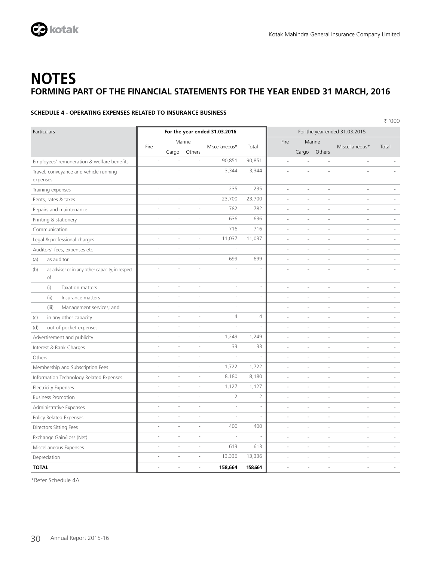

### **SCHEDULE 4 - OPERATING EXPENSES RELATED TO INSURANCE BUSINESS**

` '000 Particulars **For the year ended 31.03.2016 For the year ended 31.03.2016 For the year ended 31.03.2015** Fire Marine Miscellaneous\* Total Fire Marine Miscellaneous\* Total Cargo Others Cargo Others Employees' remuneration & welfare benefits - - - 90,851 90,851 - - - - - Travel, conveyance and vehicle running expenses - - - 3,344 3,344 - - - - - Training expenses - - - 235 235 - - - - - Rents, rates & taxes and the set of the set of the control of the 23,700 23,700 and the set of the set of the set of the set of the set of the set of the set of the set of the set of the set of the set of the set of the se Repairs and maintenance and the set of the set of the set of the set of the set of the set of the set of the set of the set of the set of the set of the set of the set of the set of the set of the set of the set of the set Printing & stationery  $\overline{a}$  -  $\overline{a}$  -  $\overline{a}$  -  $\overline{a}$  -  $\overline{a}$  -  $\overline{a}$  -  $\overline{a}$  -  $\overline{a}$  -  $\overline{a}$  -  $\overline{a}$ Communication - - - 716 716 - - - - - Legal & professional charges and the contract of the contract of the contract of the contract of the contract of the contract of the contract of the contract of the contract of the contract of the contract of the contract Auditors' fees, expenses etc and the state of the state of the state of the state of the state of the state of the state of the state of the state of the state of the state of the state of the state of the state of the sta (a) as auditor (a) and the set of the set of the set of the set of the set of the set of the set of the set of the set of the set of the set of the set of the set of the set of the set of the set of the set of the set of t (b) as adviser or in any other capacity, in respect of - - - - - - - - - - (i) Taxation matters - - - - - - - - - - (ii) Insurance matters **and the set of the set of the set of the set of the set of the set of the set of the set of the set of the set of the set of the set of the set of the set of the set of the set of the set of the set** (iii) Management services; and  $\begin{vmatrix} 1 & 1 & 1 \\ 1 & 1 & 1 \\ 1 & 1 & 1 \end{vmatrix}$  and  $\begin{vmatrix} 1 & 1 & 1 \\ 1 & 1 & 1 \\ 1 & 1 & 1 \end{vmatrix}$  and  $\begin{vmatrix} 1 & 1 & 1 \\ 1 & 1 & 1 \\ 1 & 1 & 1 \end{vmatrix}$  and  $\begin{vmatrix} 1 & 1 & 1 \\ 1 & 1 & 1 \\ 1 & 1 & 1 \end{vmatrix}$ (c) in any other capacity - - - 4 4 - - - - - (d) out of pocket expenses and the set of the set of the set of the set of the set of the set of the set of the set of the set of the set of the set of the set of the set of the set of the set of the set of the set of the Advertisement and publicity and the state of the state of the state of the state of the state of the state of the state of the state of the state of the state of the state of the state of the state of the state of the stat Interest & Bank Charges - - - 33 33 - - - - - Others - - - - - - - - - - Membership and Subscription Fees and the state of the state of the state of the state of the state of the state of the state of the state of the state of the state of the state of the state of the state of the state of the Information Technology Related Expenses and the state of the state of the state of the state of the state of the state of the state of the state of the state of the state of the state of the state of the state of the state Electricity Expenses - - - 1,127 1,127 - - - - - Business Promotion and the state of the state of the state of the state of the state of the state of the state of the state of the state of the state of the state of the state of the state of the state of the state of the Administrative Expenses and the set of the set of the set of the set of the set of the set of the set of the set of the set of the set of the set of the set of the set of the set of the set of the set of the set of the set Policy Related Expenses and the state of the state of the state of the state of the state of the state of the state of the state of the state of the state of the state of the state of the state of the state of the state of Directors Sitting Fees - - - 400 400 - - - - - Exchange Gain/Loss (Net) - - - - - - - - - - Miscellaneous Expenses and the set of the set of the set of the set of the set of the set of the set of the set of the set of the set of the set of the set of the set of the set of the set of the set of the set of the set Depreciation - - - 13,336 13,336 - - - - - **TOTAL** - - - **158,664 158,664** - - - - -

\*Refer Schedule 4A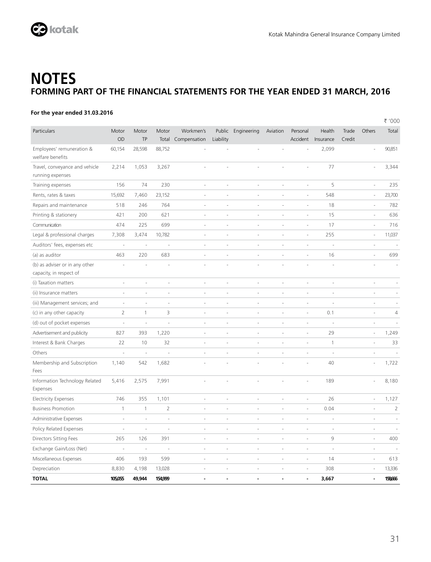

### **For the year ended 31.03.2016**

|                                                           |                          |                          |                          |                          |                          |                    |          |                          |              |        |        | ₹ '000         |
|-----------------------------------------------------------|--------------------------|--------------------------|--------------------------|--------------------------|--------------------------|--------------------|----------|--------------------------|--------------|--------|--------|----------------|
| Particulars                                               | Motor                    | Motor                    | Motor                    | Workmen's                |                          | Public Engineering | Aviation | Personal                 | Health       | Trade  | Others | Total          |
|                                                           | OD                       | TP                       | Total                    | Compensation             | Liability                |                    |          | Accident                 | Insurance    | Credit |        |                |
| Employees' remuneration &<br>welfare benefits             | 60,154                   | 28,598                   | 88,752                   |                          |                          |                    |          |                          | 2,099        |        |        | 90,851         |
| Travel, conveyance and vehicle<br>running expenses        | 2,214                    | 1,053                    | 3,267                    | J.                       | ÷.                       |                    |          | i,                       | 77           |        |        | 3,344          |
| Training expenses                                         | 156                      | 74                       | 230                      | J.                       | ÷.                       | ä,                 | ä,       | $\overline{\phantom{a}}$ | 5            |        | J.     | 235            |
| Rents, rates & taxes                                      | 15,692                   | 7,460                    | 23,152                   | ä,                       | ×.                       | ÷,                 | ä,       | ä,                       | 548          |        | Í,     | 23,700         |
| Repairs and maintenance                                   | 518                      | 246                      | 764                      | Î,                       |                          | Î,                 | ä,       | ä,                       | 18           |        | ł,     | 782            |
| Printing & stationery                                     | 421                      | 200                      | 621                      | ä,                       |                          | ä,                 | J,       | i,                       | 15           |        | ä,     | 636            |
| Communication                                             | 474                      | 225                      | 699                      | ä,                       |                          | i,                 | J,       | i,                       | 17           |        | Í,     | 716            |
| Legal & professional charges                              | 7,308                    | 3,474                    | 10,782                   | ä,                       | ÷,                       | ä,                 | J,       | ÷,                       | 255          |        | ł,     | 11,037         |
| Auditors' fees, expenses etc                              | ×,                       | ÷,                       | ÷,                       | Í,                       | ÷,                       | ä,                 | ä,       | ä,                       | J.           |        | ä,     |                |
| (a) as auditor                                            | 463                      | 220                      | 683                      | ÷,                       | ÷,                       | ä,                 | ÷        | ÷                        | 16           |        | ÷,     | 699            |
| (b) as adviser or in any other<br>capacity, in respect of |                          |                          |                          | J.                       |                          |                    |          | i,                       |              |        |        |                |
| (i) Taxation matters                                      | ÷                        | ×                        | ÷,                       | L.                       | ä,                       | ä,                 | L.       | ä,                       | ä,           |        | J.     |                |
| (ii) Insurance matters                                    | ä,                       | J.                       | J.                       | Î.                       | Î.                       | J.                 | ä,       | ä,                       | ä,           |        | ä,     |                |
| (iii) Management services; and                            | J.                       | ×,                       | J.                       | Í,                       | Î.                       | ä,                 | L,       | L                        | í.           |        | i,     |                |
| (c) in any other capacity                                 | $\overline{2}$           | $\mathbf{1}$             | 3                        | í,                       |                          | ä,                 | L,       | L                        | 0.1          |        | i,     | $\overline{4}$ |
| (d) out of pocket expenses                                |                          |                          |                          |                          |                          | ä,                 | L,       | J,                       |              |        | í,     |                |
| Advertisement and publicity                               | 827                      | 393                      | 1,220                    | i,                       | ٠                        | ä,                 | J.       | i.                       | 29           |        | ł,     | 1,249          |
| Interest & Bank Charges                                   | 22                       | 10                       | 32                       | i,                       | ÷                        | ä,                 | ÷,       | ÷,                       | $\mathbf{1}$ |        | i,     | 33             |
| Others                                                    | J.                       | J.                       | J.                       | i,                       | ä,                       | ä,                 | ä,       | i.                       | J.           |        | J.     | J.             |
| Membership and Subscription<br>Fees                       | 1,140                    | 542                      | 1,682                    | ł,                       |                          |                    | i,       | i.                       | 40           |        | ł,     | 1,722          |
| Information Technology Related<br>Expenses                | 5,416                    | 2,575                    | 7,991                    |                          |                          |                    |          |                          | 189          |        |        | 8,180          |
| <b>Electricity Expenses</b>                               | 746                      | 355                      | 1,101                    | i,                       | ä,                       | i,                 | i.       | ÷,                       | 26           |        | ÷,     | 1,127          |
| <b>Business Promotion</b>                                 | $\mathbf{1}$             | $\mathbf{1}$             | $\overline{2}$           | ä,                       | ä,                       | ä,                 | i,       | ÷,                       | 0.04         |        | J.     | $\overline{2}$ |
| Administrative Expenses                                   | ×.                       | J.                       | J.                       | i,                       | ä,                       | J.                 | L.       | i.                       | J.           |        | J.     | ×.             |
| Policy Related Expenses                                   | ÷                        | ÷,                       | ä,                       | ÷,                       | ä,                       | i,                 | ÷        | ÷                        | ÷,           |        | ÷      | ä,             |
| Directors Sitting Fees                                    | 265                      | 126                      | 391                      | ÷,                       | $\overline{\phantom{a}}$ | ÷,                 | ä,       | ä,                       | 9            |        | ÷,     | 400            |
| Exchange Gain/Loss (Net)                                  | $\overline{\phantom{a}}$ | $\overline{\phantom{a}}$ | $\overline{\phantom{a}}$ | $\overline{\phantom{a}}$ | $\overline{\phantom{a}}$ | ÷,                 | ÷,       | ä,                       | ÷,           |        | ÷,     |                |
| Miscellaneous Expenses                                    | 406                      | 193                      | 599                      | ÷,                       | $\overline{\phantom{a}}$ | ä,                 | ÷,       | ä,                       | 14           |        | ÷,     | 613            |
| Depreciation                                              | 8,830                    | 4,198                    | 13,028                   | J.                       | ×,                       | ä,                 | i.       | i.                       | 308          |        | Í.     | 13,336         |
| <b>TOTAL</b>                                              | 105,055                  | 49,944                   | 154,999                  | ÷.                       | ÷.                       | ä,                 | ä,       | ÷.                       | 3,667        |        | L.     | 158666         |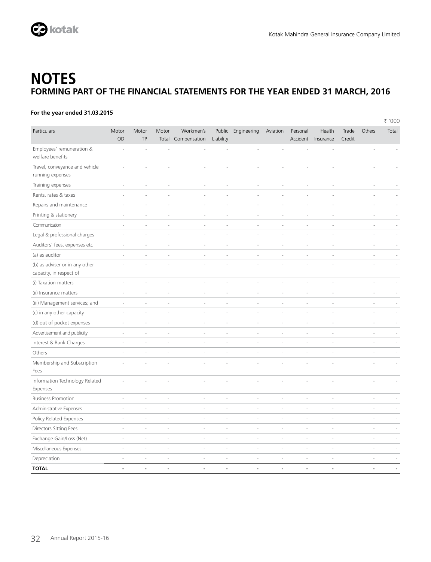

### **For the year ended 31.03.2015**

|                                                    |                          |                          |                          |                                 |                          |                          |                          |                          |                          |                 |                      | ₹ '000 |
|----------------------------------------------------|--------------------------|--------------------------|--------------------------|---------------------------------|--------------------------|--------------------------|--------------------------|--------------------------|--------------------------|-----------------|----------------------|--------|
| Particulars                                        | Motor<br>OD              | Motor<br>TP              | Motor                    | Workmen's<br>Total Compensation | Liability                | Public Engineering       | Aviation                 | Personal<br>Accident     | Health<br>Insurance      | Trade<br>Credit | Others               | Total  |
| Employees' remuneration &<br>welfare benefits      |                          |                          |                          |                                 |                          |                          |                          |                          |                          |                 |                      |        |
| Travel, conveyance and vehicle<br>running expenses |                          |                          |                          |                                 |                          |                          |                          |                          |                          |                 |                      |        |
| Training expenses                                  | ÷,                       | ÷,                       | ÷                        | $\overline{\phantom{a}}$        | $\overline{\phantom{a}}$ | $\overline{\phantom{a}}$ | ÷,                       | ÷                        | $\overline{\phantom{a}}$ |                 | ÷,                   |        |
| Rents, rates & taxes                               | ä,                       | ÷.                       | ä,                       | ä,                              | ä,                       | ÷,                       | à.                       | ×,                       | ×,                       |                 | Î.                   |        |
| Repairs and maintenance                            | ÷,                       | ÷,                       | J.                       | i.                              | ä,                       | ÷,                       | $\overline{\phantom{a}}$ | ÷,                       | J.                       |                 | J.                   |        |
| Printing & stationery                              | ä,                       | ä,                       | ÷,                       | ÷,                              | i.                       | ÷,                       | ÷,                       | ÷                        | ä,                       |                 | i,                   |        |
| Communication                                      | ÷,                       | $\overline{\phantom{a}}$ | ÷,                       | ä,                              | ä,                       | $\overline{\phantom{a}}$ | ÷,                       | $\overline{\phantom{a}}$ | ÷,                       |                 | ÷,                   |        |
| Legal & professional charges                       | $\overline{\phantom{a}}$ | $\overline{\phantom{a}}$ | $\overline{\phantom{a}}$ | ÷,                              | ä,                       | ÷,                       | ÷,                       | ÷,                       | ÷,                       |                 | i,                   |        |
| Auditors' fees, expenses etc                       | ä,                       | ٠                        | ×,                       | $\overline{a}$                  | ×,                       | ×,                       | ×,                       | ×,                       | ×.                       |                 | L.                   |        |
| (a) as auditor                                     |                          | ÷.                       | ä,                       | ä,                              | ä,                       | Ĭ.                       | ×,                       | ä,                       | ×,                       |                 | ä,                   |        |
| (b) as adviser or in any other                     |                          |                          |                          |                                 |                          |                          |                          |                          |                          |                 |                      |        |
| capacity, in respect of                            |                          |                          |                          |                                 |                          |                          |                          |                          |                          |                 |                      |        |
| (i) Taxation matters                               | i.                       | ä,                       | ÷,                       | i,                              | ä,                       | ä,                       | ÷                        | ÷                        | ÷                        |                 | i,                   |        |
| (ii) Insurance matters                             | ٠                        | ä,                       | J.                       | L,                              | ä,                       | Î,                       | ä,                       | i,                       | i.                       |                 | i,                   |        |
| (iii) Management services; and                     | ä,                       | ÷.                       | ÷.                       | ä,                              | ä,                       | í.                       | Î.                       | J.                       | ä,                       |                 | J.                   |        |
| (c) in any other capacity                          |                          |                          |                          | ä,                              |                          | Ĭ.                       | Í,                       |                          |                          |                 | i,                   |        |
| (d) out of pocket expenses                         | ä                        | $\sim$                   | ×,                       | ä,                              | J,                       | J.                       | í,                       | ä,                       | ×,                       |                 | ÷,                   |        |
| Advertisement and publicity                        | $\overline{\phantom{a}}$ | ÷,                       | $\overline{\phantom{a}}$ | ÷                               | i,                       | ÷,                       | ÷                        | ÷,                       | $\overline{\phantom{a}}$ |                 | ÷,                   |        |
| Interest & Bank Charges                            | $\overline{\phantom{a}}$ | $\overline{\phantom{a}}$ | $\sim$                   | $\overline{\phantom{a}}$        | ä,                       | ä,                       | $\overline{\phantom{a}}$ | $\sim$                   | $\overline{\phantom{a}}$ |                 | ÷,                   |        |
| Others                                             | ä,                       | $\sim$                   | ÷.                       | ä,                              | ä,                       | ä,                       | $\overline{\phantom{a}}$ | ä,                       | $\sim$                   |                 | ä,                   |        |
| Membership and Subscription<br>Fees                |                          |                          |                          |                                 |                          |                          |                          |                          |                          |                 |                      |        |
| Information Technology Related<br>Expenses         |                          |                          |                          |                                 |                          |                          |                          |                          |                          |                 |                      |        |
| <b>Business Promotion</b>                          |                          |                          | J.                       | J.                              | ä,                       | í.                       | i,                       | J.                       | ×,                       |                 | L,                   |        |
| Administrative Expenses                            |                          | $\sim$                   | ÷,                       | $\overline{a}$                  | ä,                       | ä,                       | i,                       | i,                       | $\sim$                   |                 | ×,                   |        |
| Policy Related Expenses                            | J.                       | ä,                       | ÷,                       | $\sim$                          | ä,                       | i,                       | ä,                       | ÷,                       | ×,                       |                 | ä,                   |        |
| Directors Sitting Fees                             | i.                       | ÷,                       | $\sim$                   | $\overline{\phantom{a}}$        | J,                       | ł,                       | $\overline{\phantom{a}}$ | ÷,                       | $\overline{\phantom{a}}$ |                 | ÷,                   |        |
| Exchange Gain/Loss (Net)                           | i.                       | ٠                        | ×.                       | $\sim$                          | ä,                       | ä,                       | ÷,                       | ×,                       | $\sim$                   |                 | ×,                   |        |
| Miscellaneous Expenses                             |                          | ÷.                       | $\sim$                   | $\sim$                          | ä,                       | ÷,                       | ÷.                       | ÷.                       | ×.                       |                 | ÷.                   |        |
| Depreciation                                       |                          | ä,                       | ä,                       | ä,                              | ä,                       | ł,                       | ÷,                       | ÷,                       |                          |                 | i,                   |        |
| <b>TOTAL</b>                                       | $\blacksquare$           | ä,                       | $\sim$                   | $\tilde{\phantom{a}}$           | $\overline{a}$           | ÷,                       | $\blacksquare$           | $\tilde{\phantom{a}}$    | $\overline{a}$           |                 | $\ddot{\phantom{a}}$ |        |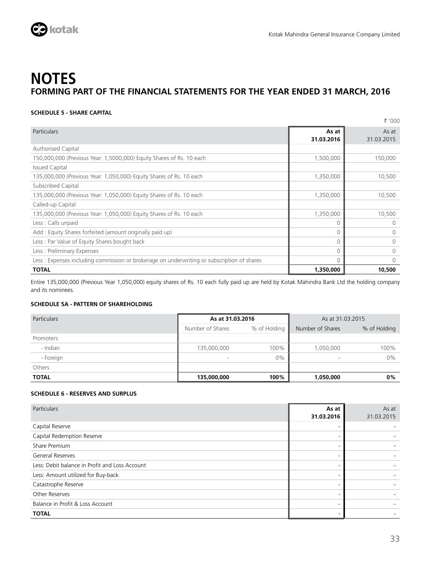

### **SCHEDULE 5 - SHARE CAPITAL**

|                                                                                            |                     | ₹ '000              |
|--------------------------------------------------------------------------------------------|---------------------|---------------------|
| Particulars                                                                                | As at<br>31.03.2016 | As at<br>31.03.2015 |
| <b>Authorised Capital</b>                                                                  |                     |                     |
| 150,000,000 (Previous Year: 1,5000,000) Equity Shares of Rs. 10 each                       | 1,500,000           | 150,000             |
| <b>Issued Capital</b>                                                                      |                     |                     |
| 135,000,000 (Previous Year: 1,050,000) Equity Shares of Rs. 10 each                        | 1,350,000           | 10,500              |
| Subscribed Capital                                                                         |                     |                     |
| 135,000,000 (Previous Year: 1,050,000) Equity Shares of Rs. 10 each                        | 1,350,000           | 10,500              |
| Called-up Capital                                                                          |                     |                     |
| 135,000,000 (Previous Year: 1,050,000) Equity Shares of Rs. 10 each                        | 1,350,000           | 10,500              |
| Less: Calls unpaid                                                                         | $\Omega$            | 0                   |
| Add: Equity Shares forfeited (amount originally paid up)                                   | $\Omega$            | $\Omega$            |
| Less: Par Value of Equity Shares bought back                                               | $\Omega$            | $\Omega$            |
| Less: Preliminary Expenses                                                                 | $\Omega$            | $\Omega$            |
| Less: Expenses including commission or brokerage on underwriting or subscription of shares | $\Omega$            | $\Omega$            |
| <b>TOTAL</b>                                                                               | 1,350,000           | 10,500              |

Entire 135,000,000 (Previous Year 1,050,000) equity shares of Rs. 10 each fully paid up are held by Kotak Mahindra Bank Ltd the holding company and its nominees.

### **SCHEDULE 5A - PATTERN OF SHAREHOLDING**

| <b>Particulars</b> | As at 31.03.2016 |              | As at 31.03.2015         |              |  |
|--------------------|------------------|--------------|--------------------------|--------------|--|
|                    | Number of Shares | % of Holding | Number of Shares         | % of Holding |  |
| Promoters          |                  |              |                          |              |  |
| - Indian           | 135,000,000      | 100%         | 1,050,000                | 100%         |  |
| - Foreign          |                  | $0\%$        | $\overline{\phantom{a}}$ | 0%           |  |
| Others             |                  |              |                          |              |  |
| <b>TOTAL</b>       | 135,000,000      | 100%         | 1,050,000                | 0%           |  |

### **SCHEDULE 6 - RESERVES AND SURPLUS**

| Particulars                                    | As at<br>31.03.2016      | As at<br>31.03.2015 |
|------------------------------------------------|--------------------------|---------------------|
| Capital Reserve                                |                          |                     |
| Capital Redemption Reserve                     |                          |                     |
| Share Premium                                  | $\overline{\phantom{a}}$ |                     |
| <b>General Reserves</b>                        | $\overline{\phantom{a}}$ |                     |
| Less: Debit balance in Profit and Loss Account |                          |                     |
| Less: Amount utilized for Buy-back             |                          |                     |
| Catastrophe Reserve                            |                          |                     |
| Other Reserves                                 |                          |                     |
| Balance in Profit & Loss Account               |                          |                     |
| <b>TOTAL</b>                                   |                          |                     |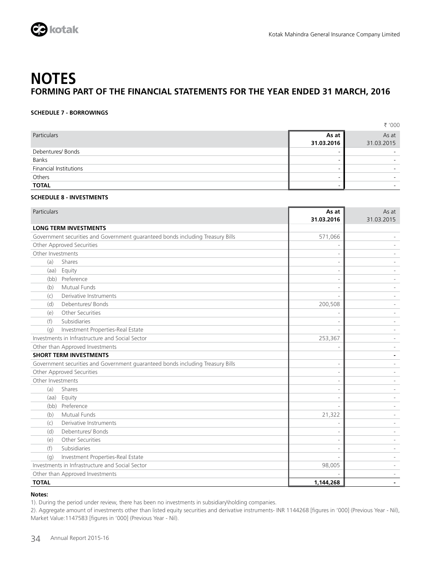

### **SCHEDULE 7 - BORROWINGS**

|                               |            | ₹ '000     |
|-------------------------------|------------|------------|
| Particulars                   | As at      | As at      |
|                               | 31.03.2016 | 31.03.2015 |
| Debentures/ Bonds             | -          |            |
| Banks                         | -          |            |
| <b>Financial Institutions</b> | -          |            |
| Others                        | -          | -          |
| <b>TOTAL</b>                  | -          |            |

### **SCHEDULE 8 - INVESTMENTS**

| Particulars                                     |                                                                                | As at<br>31.03.2016      | As at<br>31.03.2015      |
|-------------------------------------------------|--------------------------------------------------------------------------------|--------------------------|--------------------------|
|                                                 | <b>LONG TERM INVESTMENTS</b>                                                   |                          |                          |
|                                                 | Government securities and Government guaranteed bonds including Treasury Bills | 571,066                  |                          |
|                                                 | Other Approved Securities                                                      | $\overline{\phantom{a}}$ |                          |
| Other Investments                               |                                                                                |                          |                          |
| (a)                                             | Shares                                                                         | $\overline{\phantom{a}}$ |                          |
| (aa)                                            | Equity                                                                         |                          |                          |
|                                                 | (bb) Preference                                                                | $\overline{\phantom{a}}$ |                          |
| (b)                                             | Mutual Funds                                                                   | $\sim$                   |                          |
| (c)                                             | Derivative Instruments                                                         |                          |                          |
| (d)                                             | Debentures/Bonds                                                               | 200,508                  |                          |
| (e)                                             | Other Securities                                                               | $\overline{\phantom{a}}$ |                          |
| (f)                                             | Subsidiaries                                                                   | $\overline{\phantom{a}}$ |                          |
| (q)                                             | Investment Properties-Real Estate                                              |                          |                          |
| Investments in Infrastructure and Social Sector |                                                                                | 253,367                  |                          |
|                                                 | Other than Approved Investments                                                |                          |                          |
|                                                 | <b>SHORT TERM INVESTMENTS</b>                                                  |                          |                          |
|                                                 | Government securities and Government guaranteed bonds including Treasury Bills | $\overline{\phantom{a}}$ |                          |
|                                                 | Other Approved Securities                                                      | $\overline{\phantom{a}}$ |                          |
| Other Investments                               |                                                                                |                          |                          |
| (a)                                             | Shares                                                                         | $\overline{\phantom{a}}$ |                          |
| (aa)                                            | Equity                                                                         | $\overline{\phantom{a}}$ |                          |
|                                                 | (bb) Preference                                                                |                          |                          |
| (b)                                             | Mutual Funds                                                                   | 21,322                   |                          |
| (c)                                             | Derivative Instruments                                                         | $\overline{\phantom{a}}$ |                          |
| (d)                                             | Debentures/ Bonds                                                              |                          |                          |
| (e)                                             | Other Securities                                                               | $\overline{\phantom{a}}$ | ٠                        |
| (f)                                             | Subsidiaries                                                                   |                          |                          |
| (q)                                             | Investment Properties-Real Estate                                              |                          |                          |
|                                                 | Investments in Infrastructure and Social Sector                                | 98,005                   |                          |
|                                                 | Other than Approved Investments                                                |                          | $\overline{\phantom{0}}$ |
| <b>TOTAL</b>                                    |                                                                                | 1,144,268                |                          |

### **Notes:**

1). During the period under review, there has been no investments in subsidiary\holding companies.

2). Aggregate amount of investments other than listed equity securities and derivative instruments- INR 1144268 [figures in '000] (Previous Year - Nil), Market Value:1147583 [figures in '000] (Previous Year - Nil).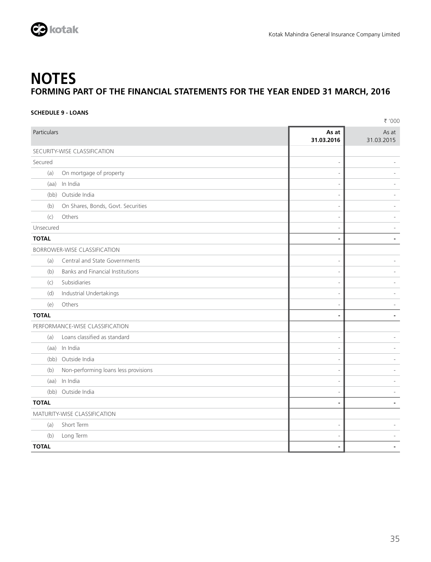

### **SCHEDULE 9 - LOANS**

|                              |                                         |                          | ₹ '000              |
|------------------------------|-----------------------------------------|--------------------------|---------------------|
| Particulars                  |                                         | As at<br>31.03.2016      | As at<br>31.03.2015 |
|                              | SECURITY-WISE CLASSIFICATION            |                          |                     |
| Secured                      |                                         | $\overline{\phantom{a}}$ |                     |
| (a)                          | On mortgage of property                 | $\overline{\phantom{a}}$ |                     |
| (aa)                         | In India                                | $\overline{\phantom{a}}$ |                     |
|                              | (bb) Outside India                      | $\overline{\phantom{a}}$ |                     |
| (b)                          | On Shares, Bonds, Govt. Securities      | $\overline{\phantom{a}}$ |                     |
| (c)                          | Others                                  | $\overline{\phantom{a}}$ |                     |
| Unsecured                    |                                         | $\overline{\phantom{a}}$ |                     |
| <b>TOTAL</b>                 |                                         | $\blacksquare$           |                     |
|                              | <b>BORROWER-WISE CLASSIFICATION</b>     |                          |                     |
| (a)                          | Central and State Governments           | $\overline{\phantom{a}}$ |                     |
| (b)                          | <b>Banks and Financial Institutions</b> | $\overline{\phantom{a}}$ |                     |
| (c)                          | Subsidiaries                            | $\overline{\phantom{a}}$ |                     |
| (d)                          | Industrial Undertakings                 | $\overline{\phantom{a}}$ |                     |
| (e)                          | Others                                  | $\overline{\phantom{a}}$ |                     |
| <b>TOTAL</b>                 |                                         | $\blacksquare$           | $\blacksquare$      |
|                              | PERFORMANCE-WISE CLASSIFICATION         |                          |                     |
| (a)                          | Loans classified as standard            | $\overline{\phantom{a}}$ |                     |
|                              | (aa) In India                           | $\overline{\phantom{a}}$ |                     |
|                              | (bb) Outside India                      | $\overline{\phantom{a}}$ |                     |
| (b)                          | Non-performing loans less provisions    | $\overline{a}$           |                     |
|                              | (aa) In India                           | $\overline{\phantom{a}}$ |                     |
|                              | (bb) Outside India                      | $\overline{\phantom{a}}$ |                     |
| <b>TOTAL</b>                 |                                         | $\blacksquare$           | $\blacksquare$      |
| MATURITY-WISE CLASSIFICATION |                                         |                          |                     |
| (a)                          | Short Term                              | $\overline{\phantom{a}}$ |                     |
| (b)                          | Long Term                               | $\overline{a}$           |                     |
| <b>TOTAL</b>                 |                                         | $\blacksquare$           |                     |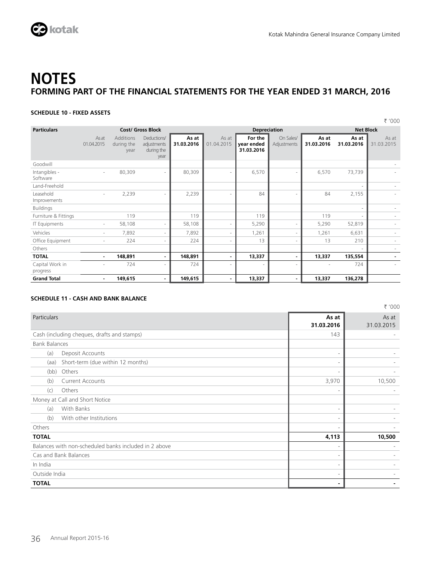

### **SCHEDULE 10 - FIXED ASSETS**

|                                                |                     |                                        |                                                  |                     |                          |                                     |                          |                     |                     | ₹ '000              |
|------------------------------------------------|---------------------|----------------------------------------|--------------------------------------------------|---------------------|--------------------------|-------------------------------------|--------------------------|---------------------|---------------------|---------------------|
| <b>Particulars</b><br><b>Cost/ Gross Block</b> |                     |                                        |                                                  | <b>Depreciation</b> |                          |                                     |                          | <b>Net Block</b>    |                     |                     |
|                                                | As at<br>01.04.2015 | <b>Additions</b><br>during the<br>year | Deductions/<br>adjustments<br>during the<br>year | As at<br>31.03.2016 | As at<br>01.04.2015      | For the<br>vear ended<br>31.03.2016 | On Sales/<br>Adjustments | As at<br>31.03.2016 | As at<br>31.03.2016 | As at<br>31.03.2015 |
| Goodwill                                       |                     |                                        |                                                  |                     |                          |                                     |                          |                     |                     |                     |
| Intangibles -<br>Software                      | $\sim$              | 80,309                                 | ٠                                                | 80,309              | ٠                        | 6,570                               |                          | 6,570               | 73,739              |                     |
| Land-Freehold                                  |                     |                                        |                                                  |                     |                          |                                     |                          |                     |                     |                     |
| Leasehold<br>Improvements                      | $\sim$              | 2,239                                  | ٠                                                | 2,239               | $\overline{\phantom{a}}$ | 84                                  |                          | 84                  | 2,155               |                     |
| <b>Buildings</b>                               |                     |                                        |                                                  |                     |                          |                                     |                          |                     |                     |                     |
| Furniture & Fittings                           |                     | 119                                    |                                                  | 119                 |                          | 119                                 |                          | 119                 |                     |                     |
| IT Equipments                                  | ٠                   | 58,108                                 | ٠                                                | 58,108              | ٠                        | 5,290                               |                          | 5,290               | 52,819              |                     |
| Vehicles                                       | $\sim$              | 7,892                                  | ٠                                                | 7,892               | ٠                        | 1,261                               | ٠                        | 1,261               | 6,631               |                     |
| Office Equipment                               | ٠                   | 224                                    |                                                  | 224                 | ٠                        | 13                                  |                          | 13                  | 210                 |                     |
| Others                                         |                     |                                        |                                                  |                     |                          |                                     |                          |                     |                     |                     |
| <b>TOTAL</b>                                   | $\sim$              | 148,891                                |                                                  | 148,891             | $\blacksquare$           | 13,337                              |                          | 13,337              | 135,554             |                     |
| Capital Work in<br>progress                    | ٠                   | 724                                    |                                                  | 724                 | $\sim$                   |                                     | $\overline{\phantom{a}}$ | ٠                   | 724                 |                     |
| <b>Grand Total</b>                             | $\sim$              | 149,615                                | ۰.                                               | 149,615             | $\blacksquare$           | 13,337                              | ۰.                       | 13,337              | 136,278             |                     |

### **SCHEDULE 11 - CASH AND BANK BALANCE**

|                                                       |                          | ₹ '000              |
|-------------------------------------------------------|--------------------------|---------------------|
| <b>Particulars</b>                                    | As at<br>31.03.2016      | As at<br>31.03.2015 |
| Cash (including cheques, drafts and stamps)           | 143                      |                     |
| <b>Bank Balances</b>                                  |                          |                     |
| Deposit Accounts<br>(a)                               | $\sim$                   |                     |
| Short-term (due within 12 months)<br>(aa)             | $\overline{\phantom{a}}$ |                     |
| Others<br>(bb)                                        | $\overline{\phantom{a}}$ |                     |
| <b>Current Accounts</b><br>(b)                        | 3,970                    | 10,500              |
| Others<br>(c)                                         | $\overline{\phantom{a}}$ |                     |
| Money at Call and Short Notice                        |                          |                     |
| With Banks<br>(a)                                     | $\overline{\phantom{a}}$ |                     |
| With other Institutions<br>(b)                        | $\overline{\phantom{a}}$ |                     |
| Others                                                | $\overline{\phantom{a}}$ |                     |
| <b>TOTAL</b>                                          | 4,113                    | 10,500              |
| Balances with non-scheduled banks included in 2 above | $\overline{\phantom{a}}$ |                     |
| Cas and Bank Balances                                 | $\sim$                   |                     |
| In India                                              | $\sim$                   |                     |
| Outside India                                         | $\sim$                   |                     |
| <b>TOTAL</b>                                          | ٠                        |                     |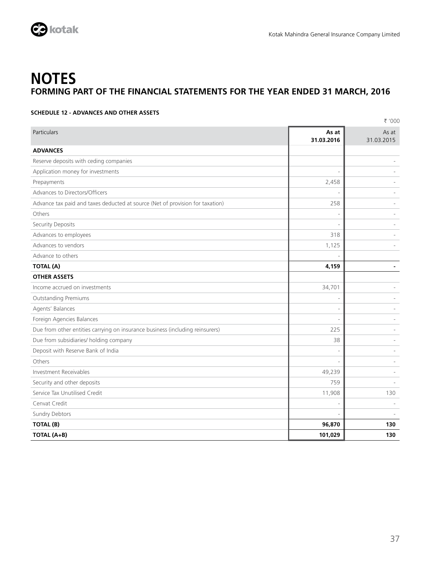

### **SCHEDULE 12 - ADVANCES AND OTHER ASSETS**

|                                                                               |                          | ₹ '000              |
|-------------------------------------------------------------------------------|--------------------------|---------------------|
| Particulars                                                                   | As at<br>31.03.2016      | As at<br>31.03.2015 |
| <b>ADVANCES</b>                                                               |                          |                     |
| Reserve deposits with ceding companies                                        |                          |                     |
| Application money for investments                                             | $\overline{\phantom{a}}$ |                     |
| Prepayments                                                                   | 2,458                    |                     |
| Advances to Directors/Officers                                                |                          |                     |
| Advance tax paid and taxes deducted at source (Net of provision for taxation) | 258                      |                     |
| Others                                                                        | $\overline{a}$           |                     |
| Security Deposits                                                             | L,                       |                     |
| Advances to employees                                                         | 318                      |                     |
| Advances to vendors                                                           | 1,125                    |                     |
| Advance to others                                                             |                          |                     |
| <b>TOTAL (A)</b>                                                              | 4,159                    |                     |
| <b>OTHER ASSETS</b>                                                           |                          |                     |
| Income accrued on investments                                                 | 34,701                   |                     |
| <b>Outstanding Premiums</b>                                                   | $\overline{a}$           |                     |
| Agents' Balances                                                              | $\overline{\phantom{a}}$ |                     |
| Foreign Agencies Balances                                                     | ÷,                       |                     |
| Due from other entities carrying on insurance business (including reinsurers) | 225                      |                     |
| Due from subsidiaries/ holding company                                        | 38                       |                     |
| Deposit with Reserve Bank of India                                            | $\overline{\phantom{a}}$ |                     |
| Others                                                                        | $\overline{a}$           |                     |
| <b>Investment Receivables</b>                                                 | 49,239                   |                     |
| Security and other deposits                                                   | 759                      |                     |
| Service Tax Unutilised Credit                                                 | 11,908                   | 130                 |
| Cenvat Credit                                                                 | ٠                        |                     |
| Sundry Debtors                                                                |                          |                     |
| TOTAL (B)                                                                     | 96,870                   | 130                 |
| TOTAL (A+B)                                                                   | 101,029                  | 130                 |
|                                                                               |                          |                     |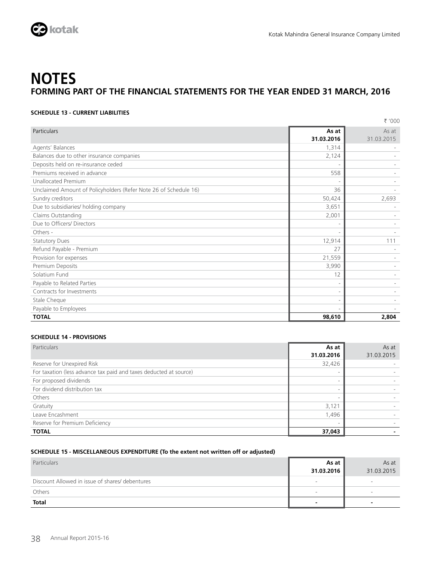

### **SCHEDULE 13 - CURRENT LIABILITIES**

|                                                                  |                          | ₹ '000     |
|------------------------------------------------------------------|--------------------------|------------|
| <b>Particulars</b>                                               | As at                    | As at      |
|                                                                  | 31.03.2016               | 31.03.2015 |
| Agents' Balances                                                 | 1,314                    |            |
| Balances due to other insurance companies                        | 2,124                    |            |
| Deposits held on re-insurance ceded                              | $\overline{a}$           |            |
| Premiums received in advance                                     | 558                      |            |
| <b>Unallocated Premium</b>                                       |                          |            |
| Unclaimed Amount of Policyholders (Refer Note 26 of Schedule 16) | 36                       |            |
| Sundry creditors                                                 | 50,424                   | 2,693      |
| Due to subsidiaries/ holding company                             | 3,651                    |            |
| Claims Outstanding                                               | 2,001                    |            |
| Due to Officers/ Directors                                       | $\overline{\phantom{0}}$ |            |
| Others -                                                         |                          |            |
| <b>Statutory Dues</b>                                            | 12,914                   | 111        |
| Refund Payable - Premium                                         | 27                       |            |
| Provision for expenses                                           | 21,559                   |            |
| Premium Deposits                                                 | 3,990                    |            |
| Solatium Fund                                                    | 12                       |            |
| Payable to Related Parties                                       | $\overline{\phantom{a}}$ |            |
| Contracts for Investments                                        | $\overline{a}$           |            |
| Stale Cheque                                                     | $\overline{\phantom{0}}$ |            |
| Payable to Employees                                             |                          |            |
| <b>TOTAL</b>                                                     | 98,610                   | 2,804      |

### **SCHEDULE 14 - PROVISIONS**

| Particulars                                                       | As at                    | As at      |
|-------------------------------------------------------------------|--------------------------|------------|
|                                                                   | 31.03.2016               | 31.03.2015 |
| Reserve for Unexpired Risk                                        | 32,426                   |            |
| For taxation (less advance tax paid and taxes deducted at source) | $\overline{\phantom{a}}$ |            |
| For proposed dividends                                            | ۰                        |            |
| For dividend distribution tax                                     | $\overline{\phantom{a}}$ |            |
| Others                                                            | $\overline{\phantom{a}}$ |            |
| Gratuity                                                          | 3,121                    |            |
| Leave Encashment                                                  | 1,496                    |            |
| Reserve for Premium Deficiency                                    | ۰                        |            |
| <b>TOTAL</b>                                                      | 37,043                   |            |

### **SCHEDULE 15 - MISCELLANEOUS EXPENDITURE (To the extent not written off or adjusted)**

| Particulars                                     | As at                        | As at      |
|-------------------------------------------------|------------------------------|------------|
|                                                 | 31.03.2016                   | 31.03.2015 |
| Discount Allowed in issue of shares/ debentures | $\qquad \qquad \blacksquare$ | $\sim$     |
| Others                                          | $\overline{\phantom{0}}$     | $\sim$     |
| <b>Total</b>                                    | -                            |            |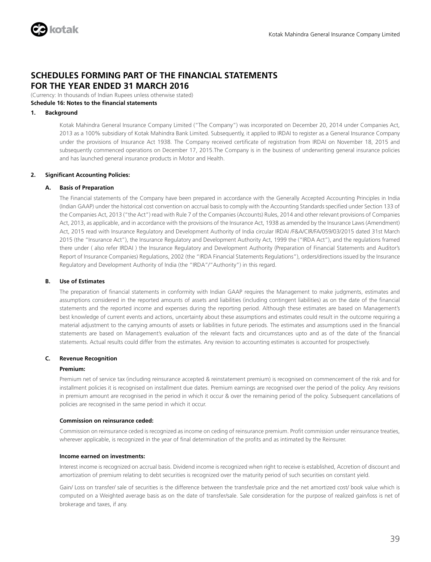

(Currency: In thousands of Indian Rupees unless otherwise stated)

### **Schedule 16: Notes to the financial statements 1. Background**

 Kotak Mahindra General Insurance Company Limited ("The Company") was incorporated on December 20, 2014 under Companies Act, 2013 as a 100% subsidiary of Kotak Mahindra Bank Limited. Subsequently, it applied to IRDAI to register as a General Insurance Company under the provisions of Insurance Act 1938. The Company received certificate of registration from IRDAI on November 18, 2015 and subsequently commenced operations on December 17, 2015.The Company is in the business of underwriting general insurance policies and has launched general insurance products in Motor and Health.

### **2. Significant Accounting Policies:**

### **A. Basis of Preparation**

 The Financial statements of the Company have been prepared in accordance with the Generally Accepted Accounting Principles in India (Indian GAAP) under the historical cost convention on accrual basis to comply with the Accounting Standards specified under Section 133 of the Companies Act, 2013 ("the Act") read with Rule 7 of the Companies (Accounts) Rules, 2014 and other relevant provisions of Companies Act, 2013, as applicable, and in accordance with the provisions of the Insurance Act, 1938 as amended by the Insurance Laws (Amendment) Act, 2015 read with Insurance Regulatory and Development Authority of India circular IRDAI /F&A/CIR/FA/059/03/2015 dated 31st March 2015 (the "Insurance Act"), the Insurance Regulatory and Development Authority Act, 1999 the ("IRDA Act"), and the regulations framed there under ( also refer IRDAI ) the Insurance Regulatory and Development Authority (Preparation of Financial Statements and Auditor's Report of Insurance Companies) Regulations, 2002 (the "IRDA Financial Statements Regulations"), orders/directions issued by the Insurance Regulatory and Development Authority of India (the "IRDA"/"Authority") in this regard.

### **B. Use of Estimates**

 The preparation of financial statements in conformity with Indian GAAP requires the Management to make judgments, estimates and assumptions considered in the reported amounts of assets and liabilities (including contingent liabilities) as on the date of the financial statements and the reported income and expenses during the reporting period. Although these estimates are based on Management's best knowledge of current events and actions, uncertainty about these assumptions and estimates could result in the outcome requiring a material adjustment to the carrying amounts of assets or liabilities in future periods. The estimates and assumptions used in the financial statements are based on Management's evaluation of the relevant facts and circumstances upto and as of the date of the financial statements. Actual results could differ from the estimates. Any revision to accounting estimates is accounted for prospectively.

### **C. Revenue Recognition**

### **Premium:**

 Premium net of service tax (including reinsurance accepted & reinstatement premium) is recognised on commencement of the risk and for installment policies it is recognised on installment due dates. Premium earnings are recognised over the period of the policy. Any revisions in premium amount are recognised in the period in which it occur & over the remaining period of the policy. Subsequent cancellations of policies are recognised in the same period in which it occur.

### **Commission on reinsurance ceded:**

 Commission on reinsurance ceded is recognized as income on ceding of reinsurance premium. Profit commission under reinsurance treaties, wherever applicable, is recognized in the year of final determination of the profits and as intimated by the Reinsurer.

### **Income earned on investments:**

 Interest income is recognized on accrual basis. Dividend income is recognized when right to receive is established, Accretion of discount and amortization of premium relating to debt securities is recognized over the maturity period of such securities on constant yield.

 Gain/ Loss on transfer/ sale of securities is the difference between the transfer/sale price and the net amortized cost/ book value which is computed on a Weighted average basis as on the date of transfer/sale. Sale consideration for the purpose of realized gain/loss is net of brokerage and taxes, if any.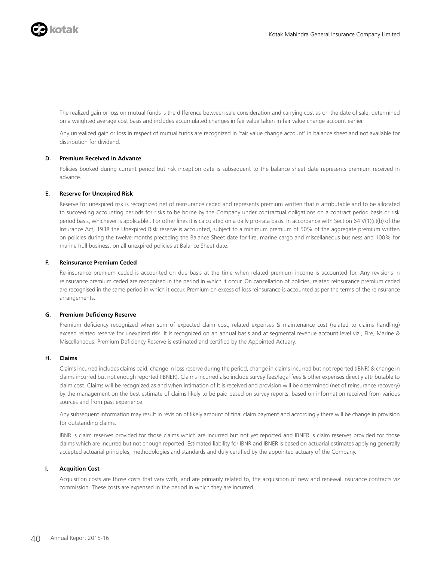

 The realized gain or loss on mutual funds is the difference between sale consideration and carrying cost as on the date of sale, determined on a weighted average cost basis and includes accumulated changes in fair value taken in fair value change account earlier.

 Any unrealized gain or loss in respect of mutual funds are recognized in 'fair value change account' in balance sheet and not available for distribution for dividend.

### **D. Premium Received In Advance**

 Policies booked during current period but risk inception date is subsequent to the balance sheet date represents premium received in advance.

### **E. Reserve for Unexpired Risk**

 Reserve for unexpired risk is recognized net of reinsurance ceded and represents premium written that is attributable and to be allocated to succeeding accounting periods for risks to be borne by the Company under contractual obligations on a contract period basis or risk period basis, whichever is applicable.. For other lines it is calculated on a daily pro-rata basis. In accordance with Section 64 V(1)(ii)(b) of the Insurance Act, 1938 the Unexpired Risk reserve is accounted, subject to a minimum premium of 50% of the aggregate premium written on policies during the twelve months preceding the Balance Sheet date for fire, marine cargo and miscellaneous business and 100% for marine hull business, on all unexpired policies at Balance Sheet date.

### **F. Reinsurance Premium Ceded**

 Re-insurance premium ceded is accounted on due basis at the time when related premium income is accounted for. Any revisions in reinsurance premium ceded are recognised in the period in which it occur. On cancellation of policies, related reinsurance premium ceded are recognised in the same period in which it occur. Premium on excess of loss reinsurance is accounted as per the terms of the reinsurance arrangements.

### **G. Premium Deficiency Reserve**

 Premium deficiency recognized when sum of expected claim cost, related expenses & maintenance cost (related to claims handling) exceed related reserve for unexpired risk. It is recognized on an annual basis and at segmental revenue account level viz., Fire, Marine & Miscellaneous. Premium Deficiency Reserve is estimated and certified by the Appointed Actuary.

### **H. Claims**

 Claims incurred includes claims paid, change in loss reserve during the period, change in claims incurred but not reported (IBNR) & change in claims incurred but not enough reported (IBNER). Claims incurred also include survey fees/legal fees & other expenses directly attributable to claim cost. Claims will be recognized as and when intimation of it is received and provision will be determined (net of reinsurance recovery) by the management on the best estimate of claims likely to be paid based on survey reports, based on information received from various sources and from past experience.

 Any subsequent information may result in revision of likely amount of final claim payment and accordingly there will be change in provision for outstanding claims.

 IBNR is claim reserves provided for those claims which are incurred but not yet reported and IBNER is claim reserves provided for those claims which are incurred but not enough reported. Estimated liability for IBNR and IBNER is based on actuarial estimates applying generally accepted actuarial principles, methodologies and standards and duly certified by the appointed actuary of the Company.

### **I. Acquition Cost**

 Acquisition costs are those costs that vary with, and are primarily related to, the acquisition of new and renewal insurance contracts viz commission. These costs are expensed in the period in which they are incurred.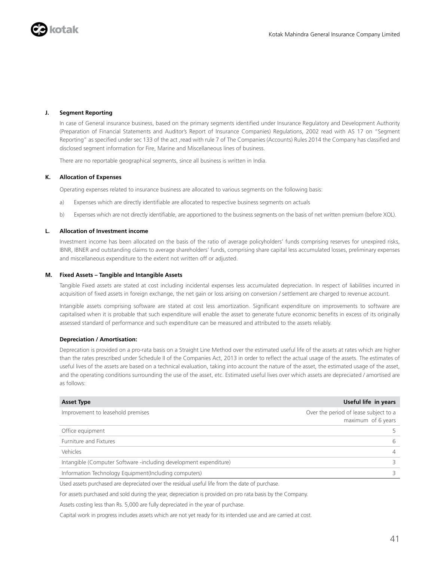

### **J. Segment Reporting**

 In case of General insurance business, based on the primary segments identified under Insurance Regulatory and Development Authority (Preparation of Financial Statements and Auditor's Report of Insurance Companies) Regulations, 2002 read with AS 17 on "Segment Reporting" as specified under sec 133 of the act ,read with rule 7 of The Companies (Accounts) Rules 2014 the Company has classified and disclosed segment information for Fire, Marine and Miscellaneous lines of business.

There are no reportable geographical segments, since all business is written in India.

### **K. Allocation of Expenses**

Operating expenses related to insurance business are allocated to various segments on the following basis:

- a) Expenses which are directly identifiable are allocated to respective business segments on actuals
- b) Expenses which are not directly identifiable, are apportioned to the business segments on the basis of net written premium (before XOL).

### **L. Allocation of Investment income**

 Investment income has been allocated on the basis of the ratio of average policyholders' funds comprising reserves for unexpired risks, IBNR, IBNER and outstanding claims to average shareholders' funds, comprising share capital less accumulated losses, preliminary expenses and miscellaneous expenditure to the extent not written off or adjusted.

### **M. Fixed Assets – Tangible and Intangible Assets**

 Tangible Fixed assets are stated at cost including incidental expenses less accumulated depreciation. In respect of liabilities incurred in acquisition of fixed assets in foreign exchange, the net gain or loss arising on conversion / settlement are charged to revenue account.

 Intangible assets comprising software are stated at cost less amortization. Significant expenditure on improvements to software are capitalised when it is probable that such expenditure will enable the asset to generate future economic benefits in excess of its originally assessed standard of performance and such expenditure can be measured and attributed to the assets reliably.

### **Depreciation / Amortisation:**

 Deprecation is provided on a pro-rata basis on a Straight Line Method over the estimated useful life of the assets at rates which are higher than the rates prescribed under Schedule II of the Companies Act, 2013 in order to reflect the actual usage of the assets. The estimates of useful lives of the assets are based on a technical evaluation, taking into account the nature of the asset, the estimated usage of the asset, and the operating conditions surrounding the use of the asset, etc. Estimated useful lives over which assets are depreciated / amortised are as follows:

| <b>Asset Type</b>                                                 | Useful life in years                                        |
|-------------------------------------------------------------------|-------------------------------------------------------------|
| Improvement to leasehold premises                                 | Over the period of lease subject to a<br>maximum of 6 years |
| Office equipment                                                  |                                                             |
| <b>Furniture and Fixtures</b>                                     | 6                                                           |
| Vehicles                                                          | 4                                                           |
| Intangible (Computer Software -including development expenditure) |                                                             |
| Information Technology Equipment(Including computers)             |                                                             |

Used assets purchased are depreciated over the residual useful life from the date of purchase.

For assets purchased and sold during the year, depreciation is provided on pro rata basis by the Company.

Assets costing less than Rs. 5,000 are fully depreciated in the year of purchase.

Capital work in progress includes assets which are not yet ready for its intended use and are carried at cost.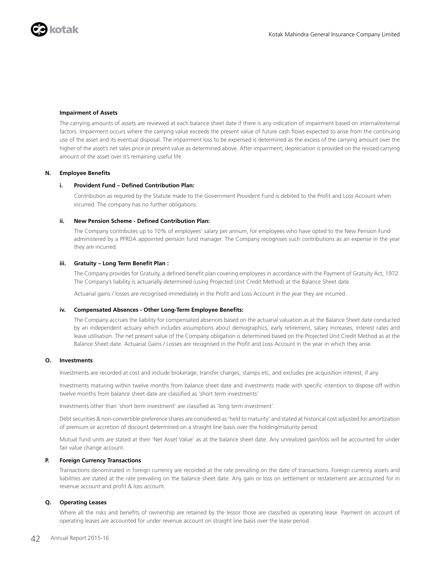

### **Impairment of Assets**

 The carrying amounts of assets are reviewed at each balance sheet date if there is any indication of impairment based on internal/external factors. Impairment occurs where the carrying value exceeds the present value of future cash flows expected to arise from the continuing use of the asset and its eventual disposal. The impairment loss to be expensed is determined as the excess of the carrying amount over the higher of the asset's net sales price or present value as determined above. After impairment, depreciation is provided on the revised carrying amount of the asset over it's remaining useful life.

### **N. Employee Benefits**

### **i. Provident Fund – Defined Contribution Plan:**

 Contribution as required by the Statute made to the Government Provident Fund is debited to the Profit and Loss Account when incurred. The company has no further obligations.

#### **ii. New Pension Scheme - Defined Contribution Plan:**

 The Company contributes up to 10% of employees' salary per annum, for employees who have opted to the New Pension Fund administered by a PFRDA appointed pension fund manager. The Company recognises such contributions as an expense in the year they are incurred.

#### **iii. Gratuity – Long Term Benefit Plan :**

 The Company provides for Gratuity, a defined benefit plan covering employees in accordance with the Payment of Gratuity Act, 1972. The Company's liability is actuarially determined (using Projected Unit Credit Method) at the Balance Sheet date.

Actuarial gains / losses are recognised immediately in the Profit and Loss Account in the year they are incurred.

#### **iv. Compensated Absences - Other Long-Term Employee Benefits:**

 The Company accrues the liability for compensated absences based on the actuarial valuation as at the Balance Sheet date conducted by an independent actuary which includes assumptions about demographics, early retirement, salary increases, interest rates and leave utilisation. The net present value of the Company obligation is determined based on the Projected Unit Credit Method as at the Balance Sheet date. Actuarial Gains / Losses are recognised in the Profit and Loss Account in the year in which they arise.

### **O. Investments**

Investments are recorded at cost and include brokerage, transfer charges, stamps etc, and excludes pre acquisition interest, if any.

 Investments maturing within twelve months from balance sheet date and investments made with specific intention to dispose off within twelve months from balance sheet date are classified as 'short term investments'

Investments other than 'short term investment' are classified as 'long term investment'.

 Debt securities & non-convertible preference shares are considered as 'held to maturity' and stated at historical cost adjusted for amortization of premium or accretion of discount determined on a straight line basis over the holding/maturity period.

 Mutual fund units are stated at their 'Net Asset Value' as at the balance sheet date. Any unrealized gain/loss will be accounted for under fair value change account.

#### **P. Foreign Currency Transactions**

 Transactions denominated in foreign currency are recorded at the rate prevailing on the date of transactions. Foreign currency assets and liabilities are stated at the rate prevailing on the balance sheet date. Any gain or loss on settlement or restatement are accounted for in revenue account and profit & loss account.

#### **Q. Operating Leases**

 Where all the risks and benefits of ownership are retained by the lessor those are classified as operating lease. Payment on account of operating leases are accounted for under revenue account on straight line basis over the lease period.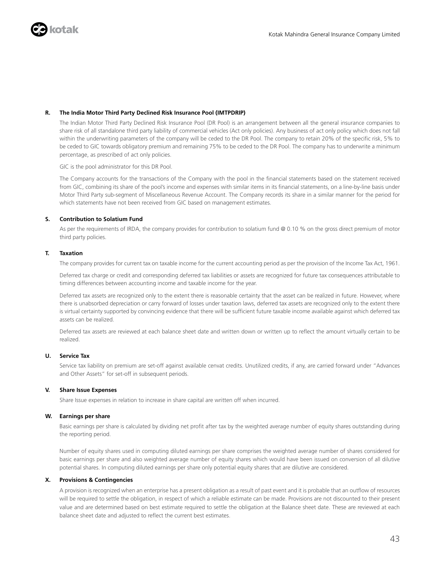

### **R. The India Motor Third Party Declined Risk Insurance Pool (IMTPDRIP)**

 The Indian Motor Third Party Declined Risk Insurance Pool (DR Pool) is an arrangement between all the general insurance companies to share risk of all standalone third party liability of commercial vehicles (Act only policies). Any business of act only policy which does not fall within the underwriting parameters of the company will be ceded to the DR Pool. The company to retain 20% of the specific risk, 5% to be ceded to GIC towards obligatory premium and remaining 75% to be ceded to the DR Pool. The company has to underwrite a minimum percentage, as prescribed of act only policies.

GIC is the pool administrator for this DR Pool.

 The Company accounts for the transactions of the Company with the pool in the financial statements based on the statement received from GIC, combining its share of the pool's income and expenses with similar items in its financial statements, on a line-by-line basis under Motor Third Party sub-segment of Miscellaneous Revenue Account. The Company records its share in a similar manner for the period for which statements have not been received from GIC based on management estimates.

### **S. Contribution to Solatium Fund**

As per the requirements of IRDA, the company provides for contribution to solatium fund @ 0.10 % on the gross direct premium of motor third party policies.

### **T. Taxation**

The company provides for current tax on taxable income for the current accounting period as per the provision of the Income Tax Act, 1961.

 Deferred tax charge or credit and corresponding deferred tax liabilities or assets are recognized for future tax consequences attributable to timing differences between accounting income and taxable income for the year.

 Deferred tax assets are recognized only to the extent there is reasonable certainty that the asset can be realized in future. However, where there is unabsorbed depreciation or carry forward of losses under taxation laws, deferred tax assets are recognized only to the extent there is virtual certainty supported by convincing evidence that there will be sufficient future taxable income available against which deferred tax assets can be realized.

 Deferred tax assets are reviewed at each balance sheet date and written down or written up to reflect the amount virtually certain to be realized.

### **U. Service Tax**

 Service tax liability on premium are set-off against available cenvat credits. Unutilized credits, if any, are carried forward under "Advances and Other Assets" for set-off in subsequent periods.

### **V. Share Issue Expenses**

Share Issue expenses in relation to increase in share capital are written off when incurred.

### **W. Earnings per share**

 Basic earnings per share is calculated by dividing net profit after tax by the weighted average number of equity shares outstanding during the reporting period.

 Number of equity shares used in computing diluted earnings per share comprises the weighted average number of shares considered for basic earnings per share and also weighted average number of equity shares which would have been issued on conversion of all dilutive potential shares. In computing diluted earnings per share only potential equity shares that are dilutive are considered.

### **X. Provisions & Contingencies**

 A provision is recognized when an enterprise has a present obligation as a result of past event and it is probable that an outflow of resources will be required to settle the obligation, in respect of which a reliable estimate can be made. Provisions are not discounted to their present value and are determined based on best estimate required to settle the obligation at the Balance sheet date. These are reviewed at each balance sheet date and adjusted to reflect the current best estimates.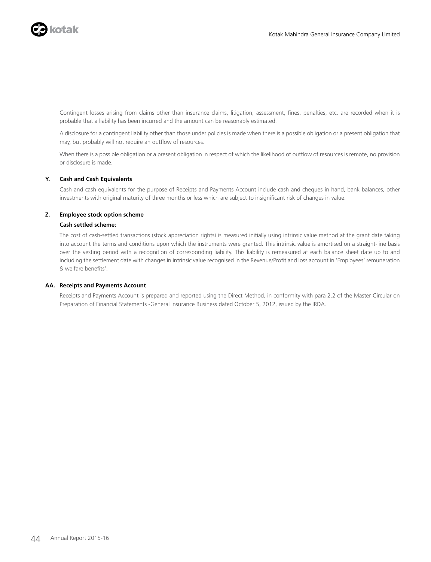

 Contingent losses arising from claims other than insurance claims, litigation, assessment, fines, penalties, etc. are recorded when it is probable that a liability has been incurred and the amount can be reasonably estimated.

 A disclosure for a contingent liability other than those under policies is made when there is a possible obligation or a present obligation that may, but probably will not require an outflow of resources.

 When there is a possible obligation or a present obligation in respect of which the likelihood of outflow of resources is remote, no provision or disclosure is made.

### **Y. Cash and Cash Equivalents**

 Cash and cash equivalents for the purpose of Receipts and Payments Account include cash and cheques in hand, bank balances, other investments with original maturity of three months or less which are subject to insignificant risk of changes in value.

### **Z. Employee stock option scheme**

### **Cash settled scheme:**

 The cost of cash-settled transactions (stock appreciation rights) is measured initially using intrinsic value method at the grant date taking into account the terms and conditions upon which the instruments were granted. This intrinsic value is amortised on a straight-line basis over the vesting period with a recognition of corresponding liability. This liability is remeasured at each balance sheet date up to and including the settlement date with changes in intrinsic value recognised in the Revenue/Profit and loss account in 'Employees' remuneration & welfare benefits'.

#### **AA. Receipts and Payments Account**

 Receipts and Payments Account is prepared and reported using the Direct Method, in conformity with para 2.2 of the Master Circular on Preparation of Financial Statements -General Insurance Business dated October 5, 2012, issued by the IRDA.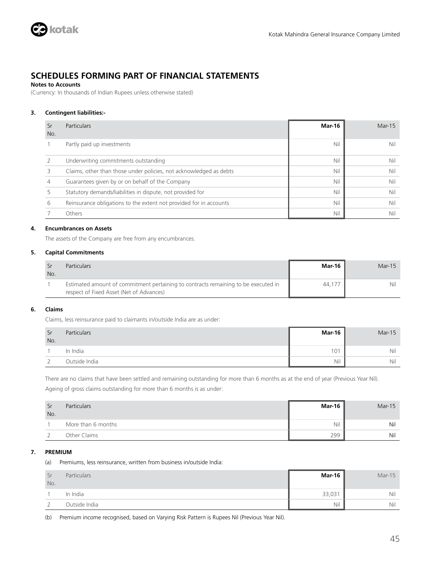

### **Notes to Accounts**

(Currency: In thousands of Indian Rupees unless otherwise stated)

### **3. Contingent liabilities:-**

| Sr<br>No. | <b>Particulars</b>                                                 | <b>Mar-16</b> | Mar-15 |
|-----------|--------------------------------------------------------------------|---------------|--------|
|           | Partly paid up investments                                         | Nil           | Nil    |
|           | Underwriting commitments outstanding                               | Nil           | Nil    |
|           | Claims, other than those under policies, not acknowledged as debts | Nil           | Nil    |
|           | Guarantees given by or on behalf of the Company                    | Nil           | Nil    |
|           | Statutory demands/liabilities in dispute, not provided for         | Nil           | Nil    |
| 6         | Reinsurance obligations to the extent not provided for in accounts | Nil           | Nil    |
|           | Others                                                             | Nil           | Nil    |

### **4. Encumbrances on Assets**

The assets of the Company are free from any encumbrances.

### **5. Capital Commitments**

| No. | <b>Particulars</b>                                                                                                             | <b>Mar-16</b> | $Mar-15$ |
|-----|--------------------------------------------------------------------------------------------------------------------------------|---------------|----------|
|     | Estimated amount of commitment pertaining to contracts remaining to be executed in<br>respect of Fixed Asset (Net of Advances) | 44.17         | Nil      |

### **6. Claims**

Claims, less reinsurance paid to claimants in/outside India are as under:

| -Sr<br>No. | <b>Particulars</b> | <b>Mar-16</b> | $Mar-15$ |
|------------|--------------------|---------------|----------|
|            | In India           | 101           | Nil      |
|            | Outside India      | Nil           | Nil      |

There are no claims that have been settled and remaining outstanding for more than 6 months as at the end of year (Previous Year Nil).

Ageing of gross claims outstanding for more than 6 months is as under:

| -Sr<br>No. | <b>Particulars</b> | Mar-16 | Mar-15 |
|------------|--------------------|--------|--------|
|            | More than 6 months | Nil    | Nil    |
|            | Other Claims       | 299    | Nil    |

### **7. PREMIUM**

(a) Premiums, less reinsurance, written from business in/outside India:

| Sr<br>No. | Particulars   | <b>Mar-16</b> | $Mar-15$ |
|-----------|---------------|---------------|----------|
|           | In India      | 33,031        | Nil      |
| ำ<br>∠    | Outside India | Nil           | Nil      |

(b) Premium income recognised, based on Varying Risk Pattern is Rupees Nil (Previous Year Nil).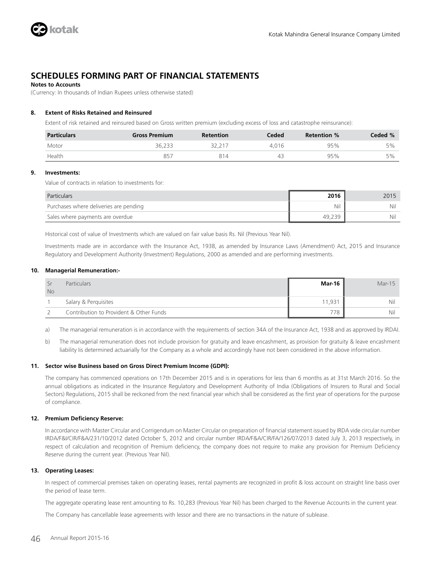

### **Notes to Accounts**

(Currency: In thousands of Indian Rupees unless otherwise stated)

### **8. Extent of Risks Retained and Reinsured**

Extent of risk retained and reinsured based on Gross written premium (excluding excess of loss and catastrophe reinsurance):

| <b>Particulars</b> | <b>Gross Premium</b> | <b>Retention</b> | Ceded | Retention % | Ceded % |
|--------------------|----------------------|------------------|-------|-------------|---------|
| Motor              | 36.233               |                  | 4.016 | 95%         | 5%      |
| Health             | $R5^-$               | 814              |       | 95%         | 5%      |

### **9. Investments:**

Value of contracts in relation to investments for:

| Particulars                            | 2016   | 2015 |
|----------------------------------------|--------|------|
| Purchases where deliveries are pending | Nil    | Nil  |
| Sales where payments are overdue       | 49.239 | Nil  |

Historical cost of value of Investments which are valued on fair value basis Rs. Nil (Previous Year Nil).

Investments made are in accordance with the Insurance Act, 1938, as amended by Insurance Laws (Amendment) Act, 2015 and Insurance Regulatory and Development Authority (Investment) Regulations, 2000 as amended and are performing investments.

### **10. Managerial Remuneration:-**

| <b>No</b> | <b>Particulars</b>                      | Mar-16 | Mar-15 |
|-----------|-----------------------------------------|--------|--------|
|           | Salary & Perguisites                    | 11.931 | Nil    |
|           | Contribution to Provident & Other Funds | 778.   | Nil    |

a) The managerial remuneration is in accordance with the requirements of section 34A of the Insurance Act, 1938 and as approved by IRDAI.

b) The managerial remuneration does not include provision for gratuity and leave encashment, as provision for gratuity & leave encashment liability Iis determined actuarially for the Company as a whole and accordingly have not been considered in the above information.

#### **11. Sector wise Business based on Gross Direct Premium Income (GDPI):**

The company has commenced operations on 17th December 2015 and is in operations for less than 6 months as at 31st March 2016. So the annual obligations as indicated in the Insurance Regulatory and Development Authority of India (Obligations of Insurers to Rural and Social Sectors) Regulations, 2015 shall be reckoned from the next financial year which shall be considered as the first year of operations for the purpose of compliance.

### **12. Premium Deficiency Reserve:**

In accordance with Master Circular and Corrigendum on Master Circular on preparation of financial statement issued by IRDA vide circular number IRDA/F&I/CIR/F&A/231/10/2012 dated October 5, 2012 and circular number IRDA/F&A/CIR/FA/126/07/2013 dated July 3, 2013 respectively, in respect of calculation and recognition of Premium deficiency, the company does not require to make any provision for Premium Deficiency Reserve during the current year. (Previous Year Nil).

### **13. Operating Leases:**

In respect of commercial premises taken on operating leases, rental payments are recognized in profit & loss account on straight line basis over the period of lease term.

The aggregate operating lease rent amounting to Rs. 10,283 (Previous Year Nil) has been charged to the Revenue Accounts in the current year.

The Company has cancellable lease agreements with lessor and there are no transactions in the nature of sublease.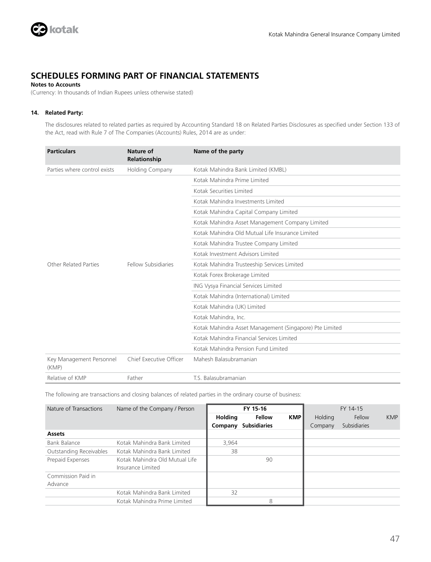

### **Notes to Accounts**

(Currency: In thousands of Indian Rupees unless otherwise stated)

### **14. Related Party:**

The disclosures related to related parties as required by Accounting Standard 18 on Related Parties Disclosures as specified under Section 133 of the Act, read with Rule 7 of The Companies (Accounts) Rules, 2014 are as under:

| <b>Particulars</b>                | Nature of<br>Relationship | Name of the party                                       |
|-----------------------------------|---------------------------|---------------------------------------------------------|
| Parties where control exists      | <b>Holding Company</b>    | Kotak Mahindra Bank Limited (KMBL)                      |
|                                   |                           | Kotak Mahindra Prime Limited                            |
|                                   |                           | Kotak Securities Limited                                |
|                                   |                           | Kotak Mahindra Investments Limited                      |
|                                   |                           | Kotak Mahindra Capital Company Limited                  |
|                                   |                           | Kotak Mahindra Asset Management Company Limited         |
|                                   |                           | Kotak Mahindra Old Mutual Life Insurance Limited        |
|                                   |                           | Kotak Mahindra Trustee Company Limited                  |
|                                   |                           | Kotak Investment Advisors Limited                       |
| Other Related Parties             | Fellow Subsidiaries       | Kotak Mahindra Trusteeship Services Limited             |
|                                   |                           | Kotak Forex Brokerage Limited                           |
|                                   |                           | ING Vysya Financial Services Limited                    |
|                                   |                           | Kotak Mahindra (International) Limited                  |
|                                   |                           | Kotak Mahindra (UK) Limited                             |
|                                   |                           | Kotak Mahindra, Inc.                                    |
|                                   |                           | Kotak Mahindra Asset Management (Singapore) Pte Limited |
|                                   |                           | Kotak Mahindra Financial Services Limited               |
|                                   |                           | Kotak Mahindra Pension Fund Limited                     |
| Key Management Personnel<br>(KMP) | Chief Executive Officer   | Mahesh Balasubramanian                                  |
| Relative of KMP                   | Father                    | T.S. Balasubramanian                                    |

The following are transactions and closing balances of related parties in the ordinary course of business:

| Nature of Transactions<br>FY 15-16<br>Name of the Company / Person |                                                     |                           |                               | FY 14-15   |                    |                               |            |
|--------------------------------------------------------------------|-----------------------------------------------------|---------------------------|-------------------------------|------------|--------------------|-------------------------------|------------|
|                                                                    |                                                     | <b>Holding</b><br>Company | Fellow<br><b>Subsidiaries</b> | <b>KMP</b> | Holding<br>Company | Fellow<br><b>Subsidiaries</b> | <b>KMP</b> |
| <b>Assets</b>                                                      |                                                     |                           |                               |            |                    |                               |            |
| Bank Balance                                                       | Kotak Mahindra Bank Limited                         | 3,964                     |                               |            |                    |                               |            |
| Outstanding Receivables                                            | Kotak Mahindra Bank Limited                         | 38                        |                               |            |                    |                               |            |
| Prepaid Expenses                                                   | Kotak Mahindra Old Mutual Life<br>Insurance Limited |                           | 90                            |            |                    |                               |            |
| Commission Paid in<br>Advance                                      |                                                     |                           |                               |            |                    |                               |            |
|                                                                    | Kotak Mahindra Bank Limited                         | 32                        |                               |            |                    |                               |            |
|                                                                    | Kotak Mahindra Prime Limited                        |                           | 8                             |            |                    |                               |            |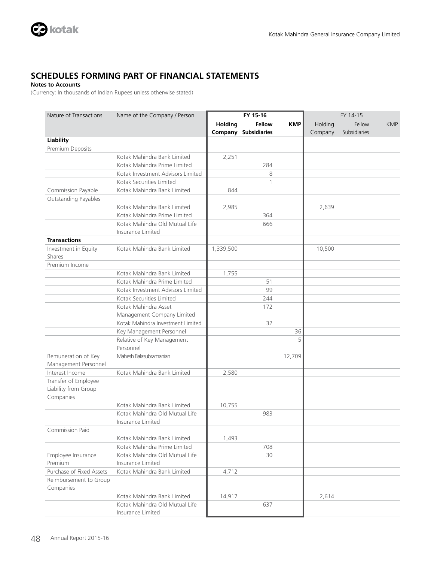

### **Notes to Accounts**

(Currency: In thousands of Indian Rupees unless otherwise stated)

| Nature of Transactions   | Name of the Company / Person      | FY 15-16  |                             | FY 14-15   |         |              |            |
|--------------------------|-----------------------------------|-----------|-----------------------------|------------|---------|--------------|------------|
|                          |                                   | Holding   | Fellow                      | <b>KMP</b> | Holding | Fellow       | <b>KMP</b> |
|                          |                                   |           | <b>Company Subsidiaries</b> |            | Company | Subsidiaries |            |
| <b>Liability</b>         |                                   |           |                             |            |         |              |            |
| Premium Deposits         |                                   |           |                             |            |         |              |            |
|                          | Kotak Mahindra Bank Limited       | 2,251     |                             |            |         |              |            |
|                          | Kotak Mahindra Prime Limited      |           | 284                         |            |         |              |            |
|                          | Kotak Investment Advisors Limited |           | 8                           |            |         |              |            |
|                          | Kotak Securities Limited          |           | $\mathbf{1}$                |            |         |              |            |
| Commission Payable       | Kotak Mahindra Bank Limited       | 844       |                             |            |         |              |            |
| Outstanding Payables     |                                   |           |                             |            |         |              |            |
|                          | Kotak Mahindra Bank Limited       | 2,985     |                             |            | 2,639   |              |            |
|                          | Kotak Mahindra Prime Limited      |           | 364                         |            |         |              |            |
|                          | Kotak Mahindra Old Mutual Life    |           | 666                         |            |         |              |            |
|                          | Insurance Limited                 |           |                             |            |         |              |            |
| <b>Transactions</b>      |                                   |           |                             |            |         |              |            |
| Investment in Equity     | Kotak Mahindra Bank Limited       | 1,339,500 |                             |            | 10,500  |              |            |
| Shares                   |                                   |           |                             |            |         |              |            |
| Premium Income           |                                   |           |                             |            |         |              |            |
|                          | Kotak Mahindra Bank Limited       | 1,755     |                             |            |         |              |            |
|                          | Kotak Mahindra Prime Limited      |           | 51                          |            |         |              |            |
|                          | Kotak Investment Advisors Limited |           | 99                          |            |         |              |            |
|                          | Kotak Securities Limited          |           | 244                         |            |         |              |            |
|                          | Kotak Mahindra Asset              |           | 172                         |            |         |              |            |
|                          | Management Company Limited        |           |                             |            |         |              |            |
|                          | Kotak Mahindra Investment Limited |           | 32                          |            |         |              |            |
|                          | Key Management Personnel          |           |                             | 36         |         |              |            |
|                          | Relative of Key Management        |           |                             | 5          |         |              |            |
|                          | Personnel                         |           |                             |            |         |              |            |
| Remuneration of Key      | Mahesh Balasubramanian            |           |                             | 12,709     |         |              |            |
| Management Personnel     |                                   |           |                             |            |         |              |            |
| Interest Income          | Kotak Mahindra Bank Limited       | 2,580     |                             |            |         |              |            |
| Transfer of Employee     |                                   |           |                             |            |         |              |            |
| Liability from Group     |                                   |           |                             |            |         |              |            |
| Companies                | Kotak Mahindra Bank Limited       | 10,755    |                             |            |         |              |            |
|                          | Kotak Mahindra Old Mutual Life    |           | 983                         |            |         |              |            |
|                          | Insurance Limited                 |           |                             |            |         |              |            |
| Commission Paid          |                                   |           |                             |            |         |              |            |
|                          | Kotak Mahindra Bank Limited       | 1,493     |                             |            |         |              |            |
|                          | Kotak Mahindra Prime Limited      |           | 708                         |            |         |              |            |
| Employee Insurance       | Kotak Mahindra Old Mutual Life    |           | 30                          |            |         |              |            |
| Premium                  | Insurance Limited                 |           |                             |            |         |              |            |
| Purchase of Fixed Assets | Kotak Mahindra Bank Limited       | 4,712     |                             |            |         |              |            |
| Reimbursement to Group   |                                   |           |                             |            |         |              |            |
| Companies                |                                   |           |                             |            |         |              |            |
|                          | Kotak Mahindra Bank Limited       | 14,917    |                             |            | 2,614   |              |            |
|                          | Kotak Mahindra Old Mutual Life    |           | 637                         |            |         |              |            |
|                          | Insurance Limited                 |           |                             |            |         |              |            |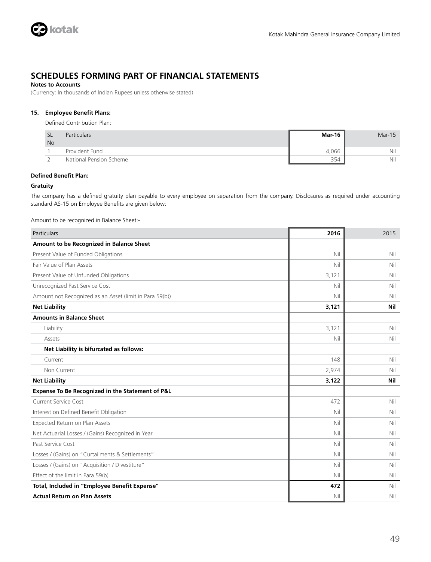

### **Notes to Accounts**

(Currency: In thousands of Indian Rupees unless otherwise stated)

### **15. Employee Benefit Plans:**

Defined Contribution Plan:

| -SL<br><b>No</b> | Particulars             | Mar-16 | $Mar-15$ |
|------------------|-------------------------|--------|----------|
|                  | Provident Fund          | 4.066  | Nil      |
|                  | National Pension Scheme | 354    | Nil      |

### **Defined Benefit Plan:**

### **Gratuity**

The company has a defined gratuity plan payable to every employee on separation from the company. Disclosures as required under accounting standard AS-15 on Employee Benefits are given below:

Amount to be recognized in Balance Sheet:-

| Particulars                                             | 2016  | 2015 |
|---------------------------------------------------------|-------|------|
| Amount to be Recognized in Balance Sheet                |       |      |
| Present Value of Funded Obligations                     | Nil   | Nil  |
| Fair Value of Plan Assets                               | Nil   | Nil  |
| Present Value of Unfunded Obligations                   | 3,121 | Nil  |
| Unrecognized Past Service Cost                          | Nil   | Nil  |
| Amount not Recognized as an Asset (limit in Para 59(b)) | Nil   | Nil  |
| <b>Net Liability</b>                                    | 3,121 | Nil  |
| <b>Amounts in Balance Sheet</b>                         |       |      |
| Liability                                               | 3,121 | Nil  |
| Assets                                                  | Nil   | Nil  |
| Net Liability is bifurcated as follows:                 |       |      |
| Current                                                 | 148   | Nil  |
| Non Current                                             | 2,974 | Nil  |
| <b>Net Liability</b>                                    | 3,122 | Nil  |
| Expense To Be Recognized in the Statement of P&L        |       |      |
| <b>Current Service Cost</b>                             | 472   | Nil  |
| Interest on Defined Benefit Obligation                  | Nil   | Nil  |
| Expected Return on Plan Assets                          | Nil   | Nil  |
| Net Actuarial Losses / (Gains) Recognized in Year       | Nil   | Nil  |
| Past Service Cost                                       | Nil   | Nil  |
| Losses / (Gains) on "Curtailments & Settlements"        | Nil   | Nil  |
| Losses / (Gains) on "Acquisition / Divestiture"         | Nil   | Nil  |
| Effect of the limit in Para 59(b)                       | Nil   | Nil  |
| Total, Included in "Employee Benefit Expense"           | 472   | Nil  |
| <b>Actual Return on Plan Assets</b>                     | Nil   | Nil  |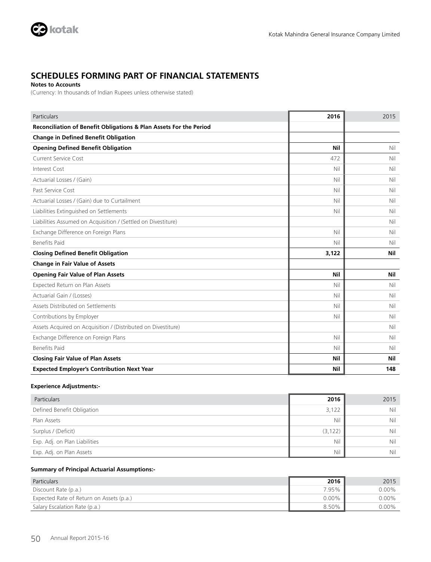

**Notes to Accounts**

(Currency: In thousands of Indian Rupees unless otherwise stated)

| Particulars                                                        | 2016  | 2015 |
|--------------------------------------------------------------------|-------|------|
| Reconciliation of Benefit Obligations & Plan Assets For the Period |       |      |
| <b>Change in Defined Benefit Obligation</b>                        |       |      |
| <b>Opening Defined Benefit Obligation</b>                          | Nil   | Nil  |
| Current Service Cost                                               | 472   | Nil  |
| Interest Cost                                                      | Nil   | Nil  |
| Actuarial Losses / (Gain)                                          | Nil   | Nil  |
| Past Service Cost                                                  | Nil   | Nil  |
| Actuarial Losses / (Gain) due to Curtailment                       | Nil   | Nil  |
| Liabilities Extinguished on Settlements                            | Nil   | Nil  |
| Liabilities Assumed on Acquisition / (Settled on Divestiture)      |       | Nil  |
| Exchange Difference on Foreign Plans                               | Nil   | Nil  |
| <b>Benefits Paid</b>                                               | Nil   | Nil  |
| <b>Closing Defined Benefit Obligation</b>                          | 3,122 | Nil  |
| <b>Change in Fair Value of Assets</b>                              |       |      |
| <b>Opening Fair Value of Plan Assets</b>                           | Nil   | Nil  |
| Expected Return on Plan Assets                                     | Nil   | Nil  |
| Actuarial Gain / (Losses)                                          | Nil   | Nil  |
| Assets Distributed on Settlements                                  | Nil   | Nil  |
| Contributions by Employer                                          | Nil   | Nil  |
| Assets Acquired on Acquisition / (Distributed on Divestiture)      |       | Nil  |
| Exchange Difference on Foreign Plans                               | Nil   | Nil  |
| <b>Benefits Paid</b>                                               | Nil   | Nil  |
| <b>Closing Fair Value of Plan Assets</b>                           | Nil   | Nil  |
| <b>Expected Employer's Contribution Next Year</b>                  | Nil   | 148  |

### **Experience Adjustments:-**

| <b>Particulars</b>            | 2016     | 2015 |
|-------------------------------|----------|------|
| Defined Benefit Obligation    | 3,122    | Nil  |
| Plan Assets                   | Nil      | Nil  |
| Surplus / (Deficit)           | (3, 122) | Nil  |
| Exp. Adj. on Plan Liabilities | Nil      | Nil  |
| Exp. Adj. on Plan Assets      | Nil      | Nil  |

### **Summary of Principal Actuarial Assumptions:-**

| <b>Particulars</b>                       | 2016     | 2015     |
|------------------------------------------|----------|----------|
| Discount Rate (p.a.)                     | 7.95%    | $0.00\%$ |
| Expected Rate of Return on Assets (p.a.) | $0.00\%$ | $0.00\%$ |
| Salary Escalation Rate (p.a.)            | 8.50%    | $0.00\%$ |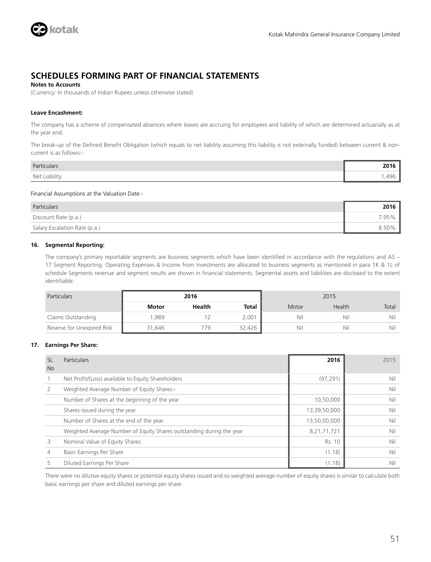

### **Notes to Accounts**

(Currency: In thousands of Indian Rupees unless otherwise stated)

### **Leave Encashment:**

The company has a scheme of compensated absences where leaves are accruing for employees and liability of which are determined actuarially as at the year end.

The break-up of the Defined Benefit Obligation (which equals to net liability assuming this liability is not externally funded) between current & noncurrent is as follows:-

| Particulars   | <b>COMB</b><br>ΖV |
|---------------|-------------------|
| Net Liability | .                 |

Financial Assumptions at the Valuation Date:-

| Particulars                   | 2016  |
|-------------------------------|-------|
| Discount Rate (p.a.)          | 7.95% |
| Salary Escalation Rate (p.a.) | 8.50% |

### **16. Segmental Reporting:**

The company's primary reportable segments are business segments which have been identified in accordance with the regulations and AS – 17 Segment Reporting. Operating Expenses & Income from Investments are allocated to business segments as mentioned in para 1K & 1L of schedule Segments revenue and segment results are shown in financial statements. Segmental assets and liabilities are disclosed to the extent identifiable:

| <b>Particulars</b>         |        | 2016          |        |       | 2015   |       |
|----------------------------|--------|---------------|--------|-------|--------|-------|
|                            | Motor  | <b>Health</b> | Total  | Motor | Health | Total |
| Claims Outstanding         | .989   |               | 2,001  | Nil   | Nil    | Nil   |
| Reserve for Unexpired Risk | 31.646 | 779           | 32,426 | Nil   | Nil    | Nil   |

### **17. Earnings Per Share:**

| <b>SL</b><br><b>No</b> | <b>Particulars</b>                                                   | 2016         | 2015 |
|------------------------|----------------------------------------------------------------------|--------------|------|
|                        | Net Profit/(Loss) available to Equity Shareholders                   | (97, 291)    | Nil  |
|                        | Weighted Average Number of Equity Shares:-                           |              | Nil  |
|                        | Number of Shares at the beginning of the year                        | 10,50,000    | Nil  |
|                        | Shares issued during the year                                        | 13,39,50,000 | Nil  |
|                        | Number of Shares at the end of the year                              | 13,50,00,000 | Nil  |
|                        | Weighted Average Number of Equity Shares outstanding during the year | 8,21,71,721  | Nil  |
| 3                      | Nominal Value of Equity Shares                                       | Rs. 10       | Nil  |
| 4                      | Basic Earnings Per Share                                             | (1.18)       | Nil  |
|                        | Diluted Earnings Per Share                                           | (1.18)       | Nil  |

There were no dilutive equity shares or potential equity shares issued and so weighted average number of equity shares is similar to calculate both basic earnings per share and diluted earnings per share.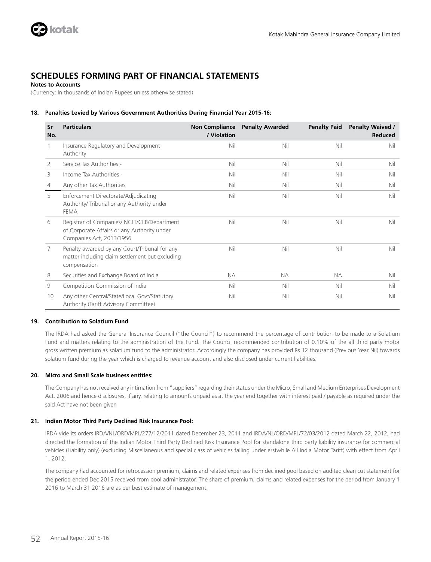

### **Notes to Accounts**

(Currency: In thousands of Indian Rupees unless otherwise stated)

### **18. Penalties Levied by Various Government Authorities During Financial Year 2015-16:**

| Sr<br>No. | <b>Particulars</b>                                                                                                     | <b>Non Compliance</b><br>/ Violation | <b>Penalty Awarded</b> | <b>Penalty Paid</b> | <b>Penalty Waived /</b><br>Reduced |
|-----------|------------------------------------------------------------------------------------------------------------------------|--------------------------------------|------------------------|---------------------|------------------------------------|
| 1         | Insurance Regulatory and Development<br>Authority                                                                      | Nil                                  | Nil                    | Nil                 | Nil                                |
| 2         | Service Tax Authorities -                                                                                              | Nil                                  | Nil                    | Nil                 | Nil                                |
| 3         | Income Tax Authorities -                                                                                               | Nil                                  | Nil                    | Nil                 | Nil                                |
| 4         | Any other Tax Authorities                                                                                              | Nil                                  | Nil                    | Nil                 | Nil                                |
| 5         | Enforcement Directorate/Adjudicating<br>Authority/ Tribunal or any Authority under<br><b>FEMA</b>                      | Nil                                  | Nil                    | Nil                 | Nil                                |
| 6         | Registrar of Companies/ NCLT/CLB/Department<br>of Corporate Affairs or any Authority under<br>Companies Act, 2013/1956 | Nil                                  | Nil                    | Nil                 | Nil                                |
| 7         | Penalty awarded by any Court/Tribunal for any<br>matter including claim settlement but excluding<br>compensation       | Nil                                  | Nil                    | Nil                 | Nil                                |
| 8         | Securities and Exchange Board of India                                                                                 | <b>NA</b>                            | <b>NA</b>              | <b>NA</b>           | Nil                                |
| 9         | Competition Commission of India                                                                                        | Nil                                  | Nil                    | Nil                 | Nil                                |
| 10        | Any other Central/State/Local Govt/Statutory<br>Authority (Tariff Advisory Committee)                                  | Nil                                  | Nil                    | Nil                 | Nil                                |

### **19. Contribution to Solatium Fund**

The IRDA had asked the General Insurance Council ("the Council") to recommend the percentage of contribution to be made to a Solatium Fund and matters relating to the administration of the Fund. The Council recommended contribution of 0.10% of the all third party motor gross written premium as solatium fund to the administrator. Accordingly the company has provided Rs 12 thousand (Previous Year Nil) towards solatium fund during the year which is charged to revenue account and also disclosed under current liabilities.

### **20. Micro and Small Scale business entities:**

The Company has not received any intimation from "suppliers" regarding their status under the Micro, Small and Medium Enterprises Development Act, 2006 and hence disclosures, if any, relating to amounts unpaid as at the year end together with interest paid / payable as required under the said Act have not been given

### **21. Indian Motor Third Party Declined Risk Insurance Pool:**

IRDA vide its orders IRDA/NL/ORD/MPL/277/12/2011 dated December 23, 2011 and IRDA/NL/ORD/MPL/72/03/2012 dated March 22, 2012, had directed the formation of the Indian Motor Third Party Declined Risk Insurance Pool for standalone third party liability insurance for commercial vehicles (Liability only) (excluding Miscellaneous and special class of vehicles falling under erstwhile All India Motor Tariff) with effect from April 1, 2012.

The company had accounted for retrocession premium, claims and related expenses from declined pool based on audited clean cut statement for the period ended Dec 2015 received from pool administrator. The share of premium, claims and related expenses for the period from January 1 2016 to March 31 2016 are as per best estimate of management.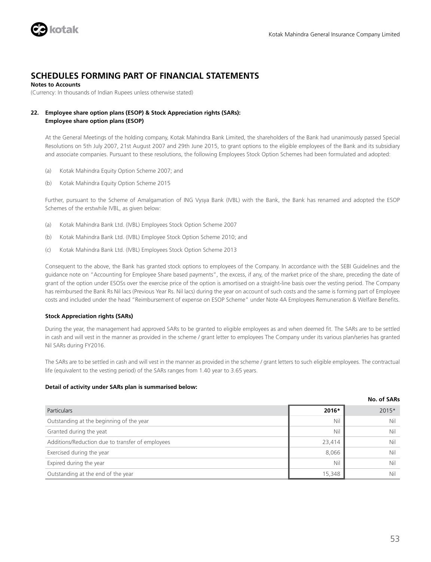

**Notes to Accounts**

(Currency: In thousands of Indian Rupees unless otherwise stated)

### **22. Employee share option plans (ESOP) & Stock Appreciation rights (SARs): Employee share option plans (ESOP)**

At the General Meetings of the holding company, Kotak Mahindra Bank Limited, the shareholders of the Bank had unanimously passed Special Resolutions on 5th July 2007, 21st August 2007 and 29th June 2015, to grant options to the eligible employees of the Bank and its subsidiary and associate companies. Pursuant to these resolutions, the following Employees Stock Option Schemes had been formulated and adopted:

- (a) Kotak Mahindra Equity Option Scheme 2007; and
- (b) Kotak Mahindra Equity Option Scheme 2015

Further, pursuant to the Scheme of Amalgamation of ING Vysya Bank (IVBL) with the Bank, the Bank has renamed and adopted the ESOP Schemes of the erstwhile IVBL, as given below:

- (a) Kotak Mahindra Bank Ltd. (IVBL) Employees Stock Option Scheme 2007
- (b) Kotak Mahindra Bank Ltd. (IVBL) Employee Stock Option Scheme 2010; and
- (c) Kotak Mahindra Bank Ltd. (IVBL) Employees Stock Option Scheme 2013

Consequent to the above, the Bank has granted stock options to employees of the Company. In accordance with the SEBI Guidelines and the guidance note on "Accounting for Employee Share based payments", the excess, if any, of the market price of the share, preceding the date of grant of the option under ESOSs over the exercise price of the option is amortised on a straight-line basis over the vesting period. The Company has reimbursed the Bank Rs Nil lacs (Previous Year Rs. Nil lacs) during the year on account of such costs and the same is forming part of Employee costs and included under the head "Reimbursement of expense on ESOP Scheme" under Note 4A Employees Remuneration & Welfare Benefits.

### **Stock Appreciation rights (SARs)**

During the year, the management had approved SARs to be granted to eligible employees as and when deemed fit. The SARs are to be settled in cash and will vest in the manner as provided in the scheme / grant letter to employees The Company under its various plan/series has granted Nil SARs during FY2016.

The SARs are to be settled in cash and will vest in the manner as provided in the scheme / grant letters to such eligible employees. The contractual life (equivalent to the vesting period) of the SARs ranges from 1.40 year to 3.65 years.

### **Detail of activity under SARs plan is summarised below:**

|                                                  |        | NO. OT SAKS |
|--------------------------------------------------|--------|-------------|
| <b>Particulars</b>                               | 2016*  | 2015*       |
| Outstanding at the beginning of the year         | Nil    | Nil         |
| Granted during the yeat                          | Nil    | Nil         |
| Additions/Reduction due to transfer of employees | 23,414 | Nil         |
| Exercised during the year                        | 8,066  | Nil         |
| Expired during the year                          | Nil    | Nil         |
| Outstanding at the end of the year               | 15,348 | Nil         |

**No. of SARs**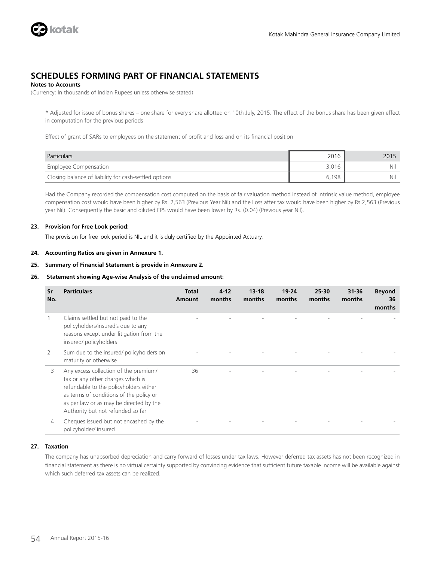

### **Notes to Accounts**

(Currency: In thousands of Indian Rupees unless otherwise stated)

\* Adjusted for issue of bonus shares – one share for every share allotted on 10th July, 2015. The effect of the bonus share has been given effect in computation for the previous periods

Effect of grant of SARs to employees on the statement of profit and loss and on its financial position

| Particulars                                           | 2016  | 2015 |
|-------------------------------------------------------|-------|------|
| Employee Compensation                                 | 3,016 | Nil  |
| Closing balance of liability for cash-settled options | 6.198 | Nil  |

Had the Company recorded the compensation cost computed on the basis of fair valuation method instead of intrinsic value method, employee compensation cost would have been higher by Rs. 2,563 (Previous Year Nil) and the Loss after tax would have been higher by Rs.2,563 (Previous year Nil). Consequently the basic and diluted EPS would have been lower by Rs. (0.04) (Previous year Nil).

### **23. Provision for Free Look period:**

The provision for free look period is NIL and it is duly certified by the Appointed Actuary.

### **24. Accounting Ratios are given in Annexure 1.**

**25. Summary of Financial Statement is provide in Annexure 2.**

### **26. Statement showing Age-wise Analysis of the unclaimed amount:**

| Sr<br>No. | <b>Particulars</b>                                                                                                                                                                                                                              | Total<br>Amount | $4 - 12$<br>months | $13 - 18$<br>months | $19 - 24$<br>months | 25-30<br>months | $31 - 36$<br>months | <b>Beyond</b><br>36<br>months |
|-----------|-------------------------------------------------------------------------------------------------------------------------------------------------------------------------------------------------------------------------------------------------|-----------------|--------------------|---------------------|---------------------|-----------------|---------------------|-------------------------------|
|           | Claims settled but not paid to the<br>policyholders/insured's due to any<br>reasons except under litigation from the<br>insured/policyholders                                                                                                   |                 |                    |                     |                     |                 |                     |                               |
| 2         | Sum due to the insured/policyholders on<br>maturity or otherwise                                                                                                                                                                                |                 |                    |                     |                     |                 |                     |                               |
| 3         | Any excess collection of the premium/<br>tax or any other charges which is<br>refundable to the policyholders either<br>as terms of conditions of the policy or<br>as per law or as may be directed by the<br>Authority but not refunded so far | 36              |                    |                     |                     |                 |                     |                               |
| 4         | Cheques issued but not encashed by the<br>policyholder/insured                                                                                                                                                                                  |                 |                    |                     |                     |                 |                     |                               |

### **27. Taxation**

The company has unabsorbed depreciation and carry forward of losses under tax laws. However deferred tax assets has not been recognized in financial statement as there is no virtual certainty supported by convincing evidence that sufficient future taxable income will be available against which such deferred tax assets can be realized.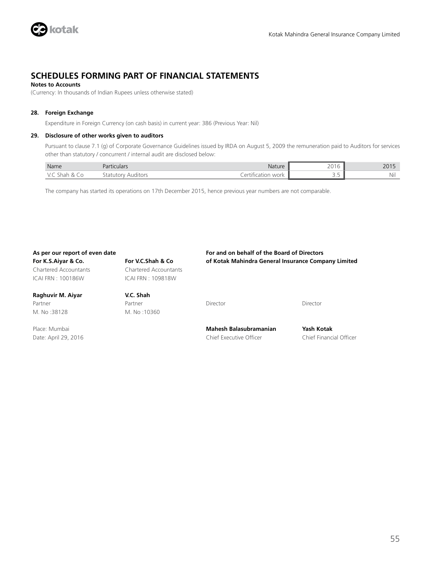

### **Notes to Accounts**

(Currency: In thousands of Indian Rupees unless otherwise stated)

### **28. Foreign Exchange**

Expenditure in Foreign Currency (on cash basis) in current year: 386 (Previous Year: Nil)

### **29. Disclosure of other works given to auditors**

Pursuant to clause 7.1 (g) of Corporate Governance Guidelines issued by IRDA on August 5, 2009 the remuneration paid to Auditors for services other than statutory / concurrent / internal audit are disclosed below:

| Name                             | Partici<br><b>iculars</b> | Nature | 2015<br>20 '<br>-- - -        | 2015<br>2015 |
|----------------------------------|---------------------------|--------|-------------------------------|--------------|
| Sha.<br>. In<br>$\cdot$ . $\sim$ |                           | work   | $\overline{\phantom{a}}$<br>. | Nil          |

The company has started its operations on 17th December 2015, hence previous year numbers are not comparable.

### **As per our report of even date For and on behalf of the Board of Directors**

Chartered Accountants Chartered Accountants ICAI FRN : 100186W ICAI FRN : 109818W

### **Raghuvir M. Aiyar V.C. Shah** Partner Partner Partner Director Director Director Director Director M. No :38128 M. No :10360

**For K.S.Aiyar & Co. For V.C.Shah & Co of Kotak Mahindra General Insurance Company Limited**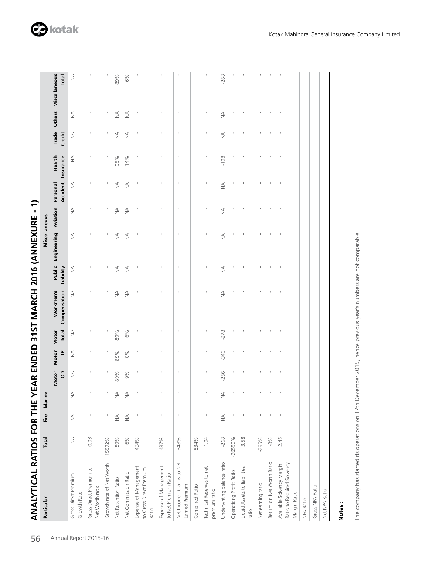| $\frac{1}{2}$                       |
|-------------------------------------|
|                                     |
|                                     |
|                                     |
|                                     |
|                                     |
| シン りょうり こうりょう しりょく                  |
|                                     |
|                                     |
|                                     |
|                                     |
|                                     |
|                                     |
|                                     |
|                                     |
|                                     |
|                                     |
|                                     |
|                                     |
|                                     |
|                                     |
|                                     |
|                                     |
|                                     |
|                                     |
|                                     |
|                                     |
|                                     |
| $\frac{1}{2}$                       |
|                                     |
|                                     |
|                                     |
|                                     |
|                                     |
|                                     |
|                                     |
|                                     |
|                                     |
|                                     |
| IVTICAI RATIOS FOR THE VEAR ENDED ? |
|                                     |
|                                     |
| Ē                                   |

| Particular                                                              | Total                            | Fire                             | Marine       |                  |               |                              |                           |               | Miscellaneous               |               |               |                              |            |               |                                     |
|-------------------------------------------------------------------------|----------------------------------|----------------------------------|--------------|------------------|---------------|------------------------------|---------------------------|---------------|-----------------------------|---------------|---------------|------------------------------|------------|---------------|-------------------------------------|
|                                                                         |                                  |                                  |              | Motor Motor<br>8 | È             | Motor<br>Total               | Workmen's<br>Compensation | Liability     | Public Engineering Aviation |               | Personal      | Health<br>Accident Insurance | Credit     |               | Trade Others Miscellaneous<br>Total |
| Gross Direct Premium<br>Growth Rate                                     | $\stackrel{\triangleleft}{\geq}$ | $\stackrel{\triangleleft}{\geq}$ | $\leq$       | $\leq$           | $\frac{1}{2}$ | $\stackrel{\triangle}{\geq}$ | $\leq$                    | $\leq$        | $\leq$                      | $\lessgtr$    | $\leq$        | $\leq$                       | $\leq$     | $\leq$        | $\leq$                              |
| Gross Direct Premium to<br>Net Worth ratio                              | 0.03                             | ï                                |              | I                |               |                              |                           |               |                             |               |               |                              | ï          |               |                                     |
| Growth rate of Net Worth                                                | 15872%                           | $\mathbf{I}$                     |              |                  |               |                              |                           |               |                             |               |               |                              |            |               |                                     |
| Net Retention Ratio                                                     | 89%                              | $\stackrel{\triangleleft}{\geq}$ | $\prec$<br>z | 89%              | 89%           | 89%                          | ₹                         | $\frac{4}{2}$ | $\frac{4}{2}$               | ₹             | $\frac{4}{2}$ | 95%                          | ₹          | ₹             | 89%                                 |
| Net Commission Ratio                                                    | 6%                               | $\lessgtr$                       | ⋖<br>z       | 9%               | 0%            | 6%                           | $\leq$                    | $\frac{4}{2}$ | $\leq$                      | $\lessgtr$    | ₹             | 14%                          | $\leq$     | $\frac{4}{2}$ | 6%                                  |
| Expense of Management<br>to Gross Direct Premium<br>Ratio               | 434%                             |                                  |              |                  |               |                              |                           |               |                             |               |               |                              |            |               |                                     |
| Expense of Management<br>to Net Premium Ratio                           | 487%                             |                                  |              |                  |               |                              |                           |               |                             |               |               |                              |            |               |                                     |
| Net Incurred Claims to Net<br>Earned Premium                            | 348%                             |                                  |              |                  |               |                              |                           |               |                             |               |               |                              |            |               |                                     |
| Combined Ratio                                                          | 834%                             | $\mathbf{I}$                     |              |                  |               |                              |                           |               |                             |               |               |                              |            |               |                                     |
| Technical Reserves to net<br>premium ratio                              | 1.04                             | $\mathbf{I}$                     |              |                  |               |                              |                           |               |                             |               |               |                              |            |               |                                     |
| Underwriting balance ratio                                              | $-268$                           | $\leq$                           | $\leq$       | $-256$           | $-340$        | $-278$                       | $\lessapprox$             | $\lessgtr$    | $\lessgtr$                  | $\lessapprox$ | $\frac{1}{2}$ | $-108$                       | $\lessgtr$ | $\lessgtr$    | $-268$                              |
| Operationg Profit Ratio                                                 | $-26550%$                        | $\mathbf{I}$                     |              |                  |               |                              |                           |               |                             |               |               |                              |            |               |                                     |
| Liquid Assets to liabilities<br>ratio                                   | 3.58                             | J.                               |              |                  |               |                              |                           |               |                             |               |               |                              |            |               |                                     |
| Net earning ratio                                                       | $-295%$                          | $\,$                             |              |                  |               |                              |                           |               |                             |               |               |                              |            |               |                                     |
| Return on Net Worth Ratio                                               | $-8\%$                           | $\,$                             |              | $\,$             |               | t                            | ï                         | ï             | t                           |               | ×             | t                            | ï          | $\,$          |                                     |
| Ratio to Required Solvency<br>Available Solvency Margin<br>Margin Ratio | 2.45                             |                                  |              |                  |               |                              |                           |               |                             |               |               |                              |            |               |                                     |
| NPA Ratio                                                               |                                  |                                  |              |                  |               |                              |                           |               |                             |               |               |                              |            |               |                                     |
| Gross NPA Ratio                                                         | $\mathbf{I}$                     | ×                                |              |                  |               |                              |                           |               |                             |               |               |                              |            |               |                                     |
| Net NPA Ratio                                                           | f,                               |                                  |              |                  |               |                              |                           |               |                             |               |               |                              |            | ı             |                                     |
|                                                                         |                                  |                                  |              |                  |               |                              |                           |               |                             |               |               |                              |            |               |                                     |

**Notes :**

The company has started its operations on 17th December 2015, hence previous year's numbers are not comparable. The company has started its operations on 17th December 2015, hence previous year's numbers are not comparable.